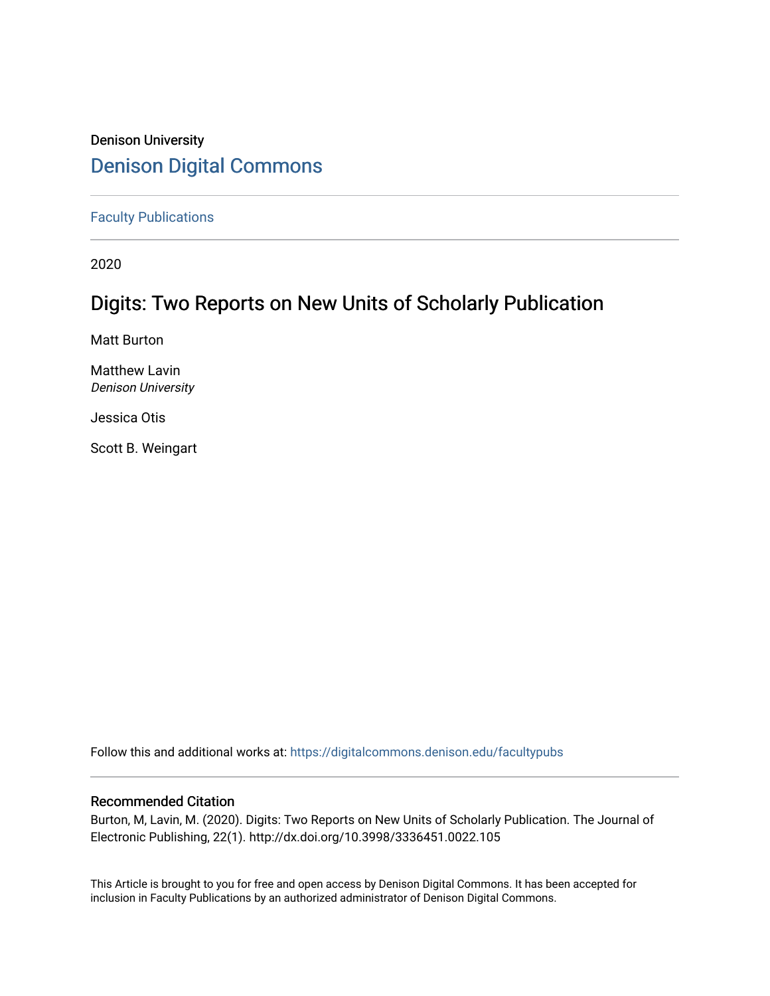# Denison University [Denison Digital Commons](https://digitalcommons.denison.edu/)

[Faculty Publications](https://digitalcommons.denison.edu/facultypubs)

2020

# Digits: Two Reports on New Units of Scholarly Publication

Matt Burton

Matthew Lavin Denison University

Jessica Otis

Scott B. Weingart

Follow this and additional works at: [https://digitalcommons.denison.edu/facultypubs](https://digitalcommons.denison.edu/facultypubs?utm_source=digitalcommons.denison.edu%2Ffacultypubs%2F1062&utm_medium=PDF&utm_campaign=PDFCoverPages)

# Recommended Citation

Burton, M, Lavin, M. (2020). Digits: Two Reports on New Units of Scholarly Publication. The Journal of Electronic Publishing, 22(1). http://dx.doi.org/10.3998/3336451.0022.105

This Article is brought to you for free and open access by Denison Digital Commons. It has been accepted for inclusion in Faculty Publications by an authorized administrator of Denison Digital Commons.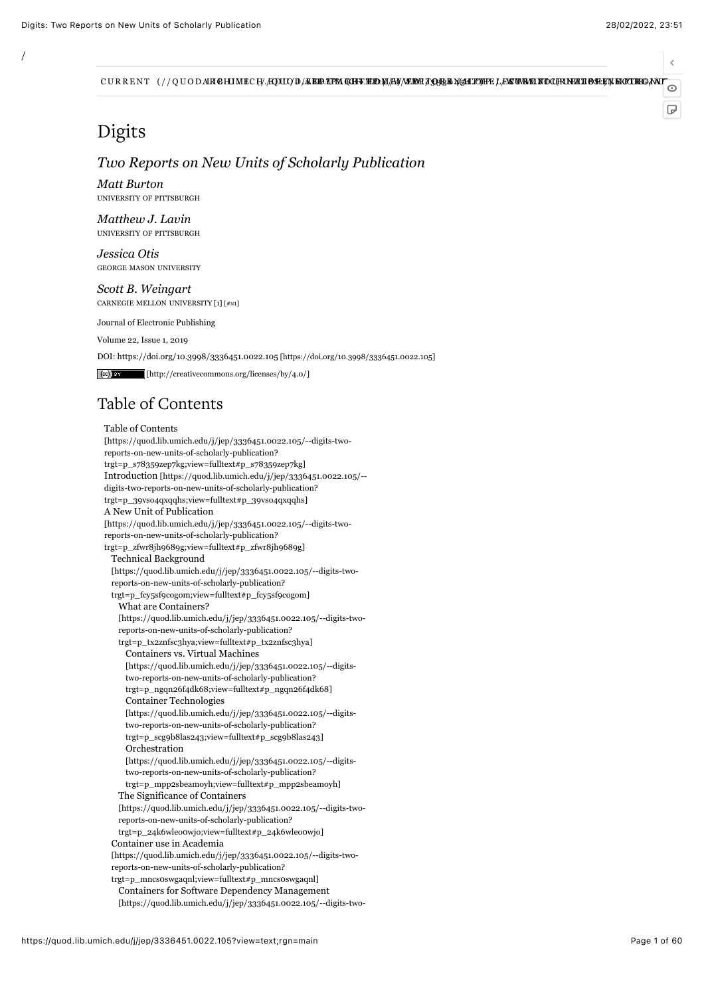$\epsilon$ 

 $\overline{D}$ 

CURRENT (//QUODARGHIMECH/AQUU)D/AEBREPM (AHERED)A/AY/AEBRAGHIOPPELES WAXAFOQHAN-HIBERTA MOCHERANT

# Digits

/

# *Two Reports on New Units of Scholarly Publication*

*Matt Burton* UNIVERSITY OF PITTSBURGH

*Matthew J. Lavin* UNIVERSITY OF PITTSBURGH

*Jessica Otis* GEORGE MASON UNIVERSITY

<span id="page-1-0"></span>*Scott B. Weingart* CARNEGIE MELLON UNIVERSITY [\[1\] \[#N1\]](#page-51-0)

Journal of Electronic Publishing

[Volume 22,](https://quod.lib.umich.edu/j/jep/3336451.0022?rgn=main;view=fulltext) [Issue 1](https://quod.lib.umich.edu/j/jep/3336451.0022.1*?rgn=main;view=fulltext), 2019

DOI: [https://doi.org/10.3998/3336451.0022.105 \[https://doi.org/10.3998/3336451.0022.105\]](https://doi.org/10.3998/3336451.0022.105)

 [\[http://creativecommons.org/licenses/by/4.0/\]](http://creativecommons.org/licenses/by/4.0/) 

# Table of Contents

Table of Contents [\[https://quod.lib.umich.edu/j/jep/3336451.0022.105/--digits-two](https://quod.lib.umich.edu/j/jep/3336451.0022.105/--digits-two-reports-on-new-units-of-scholarly-publication?trgt=p_s78359zep7kg;view=fulltext#p_s78359zep7kg)reports-on-new-units-of-scholarly-publication? trgt=p\_s78359zep7kg;view=fulltext#p\_s78359zep7kg] [Introduction \[https://quod.lib.umich.edu/j/jep/3336451.0022.105/-](https://quod.lib.umich.edu/j/jep/3336451.0022.105/--digits-two-reports-on-new-units-of-scholarly-publication?trgt=p_39vso4qxqqhs;view=fulltext#p_39vso4qxqqhs) digits-two-reports-on-new-units-of-scholarly-publication? trgt=p\_39vso4qxqqhs;view=fulltext#p\_39vso4qxqqhs] A New Unit of Publication [\[https://quod.lib.umich.edu/j/jep/3336451.0022.105/--digits-two](https://quod.lib.umich.edu/j/jep/3336451.0022.105/--digits-two-reports-on-new-units-of-scholarly-publication?trgt=p_zfwr8jh9689g;view=fulltext#p_zfwr8jh9689g)reports-on-new-units-of-scholarly-publication? trgt=p\_zfwr8jh9689g;view=fulltext#p\_zfwr8jh9689g] Technical Background [\[https://quod.lib.umich.edu/j/jep/3336451.0022.105/--digits-two](https://quod.lib.umich.edu/j/jep/3336451.0022.105/--digits-two-reports-on-new-units-of-scholarly-publication?trgt=p_fcy5sf9cogom;view=fulltext#p_fcy5sf9cogom)reports-on-new-units-of-scholarly-publication? trgt=p\_fcy5sf9cogom;view=fulltext#p\_fcy5sf9cogom] What are Containers? [\[https://quod.lib.umich.edu/j/jep/3336451.0022.105/--digits-two](https://quod.lib.umich.edu/j/jep/3336451.0022.105/--digits-two-reports-on-new-units-of-scholarly-publication?trgt=p_tx2znfsc3hya;view=fulltext#p_tx2znfsc3hya)reports-on-new-units-of-scholarly-publication? trgt=p\_tx2znfsc3hya;view=fulltext#p\_tx2znfsc3hya] Containers vs. Virtual Machines [\[https://quod.lib.umich.edu/j/jep/3336451.0022.105/--digits](https://quod.lib.umich.edu/j/jep/3336451.0022.105/--digits-two-reports-on-new-units-of-scholarly-publication?trgt=p_ngqn26f4dk68;view=fulltext#p_ngqn26f4dk68)two-reports-on-new-units-of-scholarly-publication? trgt=p\_ngqn26f4dk68;view=fulltext#p\_ngqn26f4dk68] Container Technologies [\[https://quod.lib.umich.edu/j/jep/3336451.0022.105/--digits](https://quod.lib.umich.edu/j/jep/3336451.0022.105/--digits-two-reports-on-new-units-of-scholarly-publication?trgt=p_scg9b8las243;view=fulltext#p_scg9b8las243)two-reports-on-new-units-of-scholarly-publication? trgt=p\_scg9b8las243;view=fulltext#p\_scg9b8las243] Orchestration [\[https://quod.lib.umich.edu/j/jep/3336451.0022.105/--digits](https://quod.lib.umich.edu/j/jep/3336451.0022.105/--digits-two-reports-on-new-units-of-scholarly-publication?trgt=p_mpp2sbeamoyh;view=fulltext#p_mpp2sbeamoyh)two-reports-on-new-units-of-scholarly-publication? trgt=p\_mpp2sbeamoyh;view=fulltext#p\_mpp2sbeamoyh] The Significance of Containers [\[https://quod.lib.umich.edu/j/jep/3336451.0022.105/--digits-two](https://quod.lib.umich.edu/j/jep/3336451.0022.105/--digits-two-reports-on-new-units-of-scholarly-publication?trgt=p_24k6wleo0wjo;view=fulltext#p_24k6wleo0wjo)reports-on-new-units-of-scholarly-publication? trgt=p\_24k6wleo0wjo;view=fulltext#p\_24k6wleo0wjo] Container use in Academia [\[https://quod.lib.umich.edu/j/jep/3336451.0022.105/--digits-two](https://quod.lib.umich.edu/j/jep/3336451.0022.105/--digits-two-reports-on-new-units-of-scholarly-publication?trgt=p_mncs0swgaqnl;view=fulltext#p_mncs0swgaqnl)reports-on-new-units-of-scholarly-publication? trgt=p\_mncs0swgaqnl;view=fulltext#p\_mncs0swgaqnl] Containers for Software Dependency Management

[\[https://quod.lib.umich.edu/j/jep/3336451.0022.105/--digits-two-](https://quod.lib.umich.edu/j/jep/3336451.0022.105/--digits-two-reports-on-new-units-of-scholarly-publication?trgt=p_1a1v8l62i5g1;view=fulltext#p_1a1v8l62i5g1)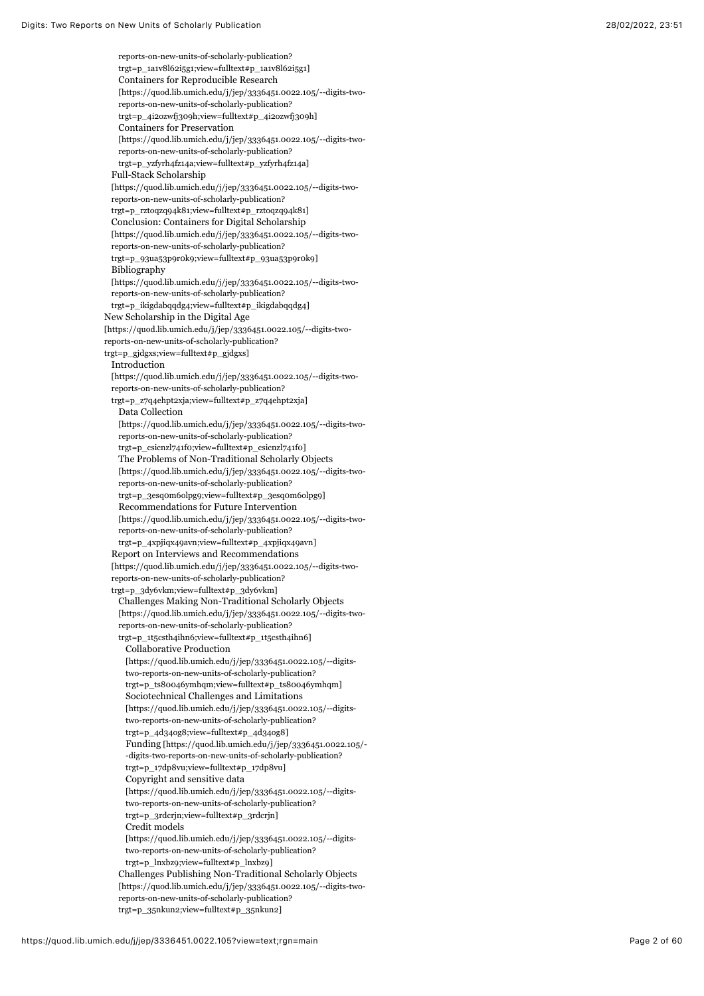reports-on-new-units-of-scholarly-publication? [trgt=p\\_1a1v8l62i5g1;view=fulltext#p\\_1a1v8l62i5g1\]](https://quod.lib.umich.edu/j/jep/3336451.0022.105/--digits-two-reports-on-new-units-of-scholarly-publication?trgt=p_1a1v8l62i5g1;view=fulltext#p_1a1v8l62i5g1) Containers for Reproducible Research [\[https://quod.lib.umich.edu/j/jep/3336451.0022.105/--digits-two](https://quod.lib.umich.edu/j/jep/3336451.0022.105/--digits-two-reports-on-new-units-of-scholarly-publication?trgt=p_4i2ozwfj309h;view=fulltext#p_4i2ozwfj309h)reports-on-new-units-of-scholarly-publication? trgt=p\_4i2ozwfj309h;view=fulltext#p\_4i2ozwfj309h] Containers for Preservation [\[https://quod.lib.umich.edu/j/jep/3336451.0022.105/--digits-two](https://quod.lib.umich.edu/j/jep/3336451.0022.105/--digits-two-reports-on-new-units-of-scholarly-publication?trgt=p_yzfyrh4fz14a;view=fulltext#p_yzfyrh4fz14a)reports-on-new-units-of-scholarly-publication? trgt=p\_yzfyrh4fz14a;view=fulltext#p\_yzfyrh4fz14a] Full-Stack Scholarship [\[https://quod.lib.umich.edu/j/jep/3336451.0022.105/--digits-two](https://quod.lib.umich.edu/j/jep/3336451.0022.105/--digits-two-reports-on-new-units-of-scholarly-publication?trgt=p_rztoqzq94k81;view=fulltext#p_rztoqzq94k81)reports-on-new-units-of-scholarly-publication? trgt=p\_rztoqzq94k81;view=fulltext#p\_rztoqzq94k81] Conclusion: Containers for Digital Scholarship [\[https://quod.lib.umich.edu/j/jep/3336451.0022.105/--digits-two](https://quod.lib.umich.edu/j/jep/3336451.0022.105/--digits-two-reports-on-new-units-of-scholarly-publication?trgt=p_93ua53p9r0k9;view=fulltext#p_93ua53p9r0k9)reports-on-new-units-of-scholarly-publication? trgt=p\_93ua53p9r0k9;view=fulltext#p\_93ua53p9r0k9] Bibliography [\[https://quod.lib.umich.edu/j/jep/3336451.0022.105/--digits-two](https://quod.lib.umich.edu/j/jep/3336451.0022.105/--digits-two-reports-on-new-units-of-scholarly-publication?trgt=p_ikigdabqqdg4;view=fulltext#p_ikigdabqqdg4)reports-on-new-units-of-scholarly-publication? trgt=p\_ikigdabqqdg4;view=fulltext#p\_ikigdabqqdg4] New Scholarship in the Digital Age [\[https://quod.lib.umich.edu/j/jep/3336451.0022.105/--digits-two](https://quod.lib.umich.edu/j/jep/3336451.0022.105/--digits-two-reports-on-new-units-of-scholarly-publication?trgt=p_gjdgxs;view=fulltext#p_gjdgxs)reports-on-new-units-of-scholarly-publication? trgt=p\_gjdgxs;view=fulltext#p\_gjdgxs] Introduction [\[https://quod.lib.umich.edu/j/jep/3336451.0022.105/--digits-two](https://quod.lib.umich.edu/j/jep/3336451.0022.105/--digits-two-reports-on-new-units-of-scholarly-publication?trgt=p_z7q4ehpt2xja;view=fulltext#p_z7q4ehpt2xja)reports-on-new-units-of-scholarly-publication? trgt=p\_z7q4ehpt2xja;view=fulltext#p\_z7q4ehpt2xja] Data Collection [\[https://quod.lib.umich.edu/j/jep/3336451.0022.105/--digits-two](https://quod.lib.umich.edu/j/jep/3336451.0022.105/--digits-two-reports-on-new-units-of-scholarly-publication?trgt=p_csicnzl741f0;view=fulltext#p_csicnzl741f0)reports-on-new-units-of-scholarly-publication? trgt=p\_csicnzl741f0;view=fulltext#p\_csicnzl741f0] The Problems of Non-Traditional Scholarly Objects [\[https://quod.lib.umich.edu/j/jep/3336451.0022.105/--digits-two](https://quod.lib.umich.edu/j/jep/3336451.0022.105/--digits-two-reports-on-new-units-of-scholarly-publication?trgt=p_3esq0m6olpg9;view=fulltext#p_3esq0m6olpg9)reports-on-new-units-of-scholarly-publication? trgt=p\_3esq0m6olpg9;view=fulltext#p\_3esq0m6olpg9] Recommendations for Future Intervention [\[https://quod.lib.umich.edu/j/jep/3336451.0022.105/--digits-two](https://quod.lib.umich.edu/j/jep/3336451.0022.105/--digits-two-reports-on-new-units-of-scholarly-publication?trgt=p_4xpjiqx49avn;view=fulltext#p_4xpjiqx49avn)reports-on-new-units-of-scholarly-publication? trgt=p\_4xpjiqx49avn;view=fulltext#p\_4xpjiqx49avn] Report on Interviews and Recommendations [\[https://quod.lib.umich.edu/j/jep/3336451.0022.105/--digits-two](https://quod.lib.umich.edu/j/jep/3336451.0022.105/--digits-two-reports-on-new-units-of-scholarly-publication?trgt=p_3dy6vkm;view=fulltext#p_3dy6vkm)reports-on-new-units-of-scholarly-publication? trgt=p\_3dy6vkm;view=fulltext#p\_3dy6vkm] [Challenges Making Non-Traditional Scholarly Objects](https://quod.lib.umich.edu/j/jep/3336451.0022.105/--digits-two-reports-on-new-units-of-scholarly-publication?trgt=p_1t5csth4ihn6;view=fulltext#p_1t5csth4ihn6) [https://quod.lib.umich.edu/j/jep/3336451.0022.105/--digits-tworeports-on-new-units-of-scholarly-publication? trgt=p\_1t5csth4ihn6;view=fulltext#p\_1t5csth4ihn6] Collaborative Production [\[https://quod.lib.umich.edu/j/jep/3336451.0022.105/--digits](https://quod.lib.umich.edu/j/jep/3336451.0022.105/--digits-two-reports-on-new-units-of-scholarly-publication?trgt=p_ts80046ymhqm;view=fulltext#p_ts80046ymhqm)two-reports-on-new-units-of-scholarly-publication? trgt=p\_ts80046ymhqm;view=fulltext#p\_ts80046ymhqm] Sociotechnical Challenges and Limitations [\[https://quod.lib.umich.edu/j/jep/3336451.0022.105/--digits](https://quod.lib.umich.edu/j/jep/3336451.0022.105/--digits-two-reports-on-new-units-of-scholarly-publication?trgt=p_4d34og8;view=fulltext#p_4d34og8)two-reports-on-new-units-of-scholarly-publication? trgt=p\_4d34og8;view=fulltext#p\_4d34og8] [Funding \[https://quod.lib.umich.edu/j/jep/3336451.0022.105/-](https://quod.lib.umich.edu/j/jep/3336451.0022.105/--digits-two-reports-on-new-units-of-scholarly-publication?trgt=p_17dp8vu;view=fulltext#p_17dp8vu) -digits-two-reports-on-new-units-of-scholarly-publication? trgt=p\_17dp8vu;view=fulltext#p\_17dp8vu] Copyright and sensitive data [\[https://quod.lib.umich.edu/j/jep/3336451.0022.105/--digits](https://quod.lib.umich.edu/j/jep/3336451.0022.105/--digits-two-reports-on-new-units-of-scholarly-publication?trgt=p_3rdcrjn;view=fulltext#p_3rdcrjn)two-reports-on-new-units-of-scholarly-publication? trgt=p\_3rdcrjn;view=fulltext#p\_3rdcrjn] Credit models [\[https://quod.lib.umich.edu/j/jep/3336451.0022.105/--digits](https://quod.lib.umich.edu/j/jep/3336451.0022.105/--digits-two-reports-on-new-units-of-scholarly-publication?trgt=p_lnxbz9;view=fulltext#p_lnxbz9)two-reports-on-new-units-of-scholarly-publication? trgt=p\_lnxbz9;view=fulltext#p\_lnxbz9] [Challenges Publishing Non-Traditional Scholarly Objects](https://quod.lib.umich.edu/j/jep/3336451.0022.105/--digits-two-reports-on-new-units-of-scholarly-publication?trgt=p_35nkun2;view=fulltext#p_35nkun2) [https://quod.lib.umich.edu/j/jep/3336451.0022.105/--digits-tworeports-on-new-units-of-scholarly-publication? trgt=p\_35nkun2;view=fulltext#p\_35nkun2]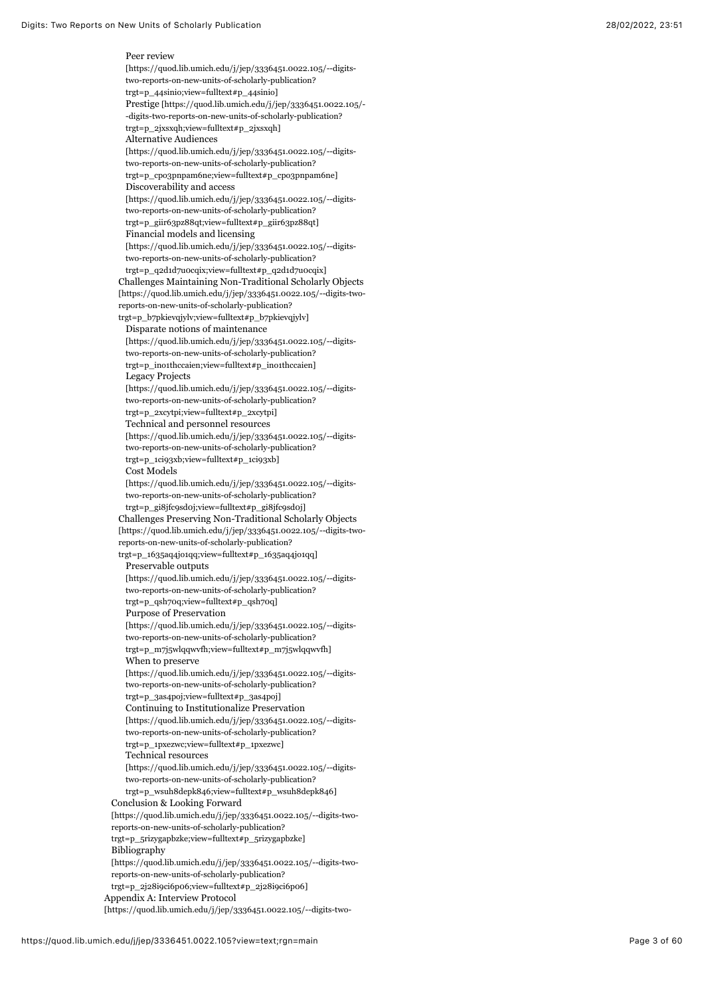Peer review [\[https://quod.lib.umich.edu/j/jep/3336451.0022.105/--digits](https://quod.lib.umich.edu/j/jep/3336451.0022.105/--digits-two-reports-on-new-units-of-scholarly-publication?trgt=p_44sinio;view=fulltext#p_44sinio)two-reports-on-new-units-of-scholarly-publication? trgt=p\_44sinio;view=fulltext#p\_44sinio] [Prestige \[https://quod.lib.umich.edu/j/jep/3336451.0022.105/-](https://quod.lib.umich.edu/j/jep/3336451.0022.105/--digits-two-reports-on-new-units-of-scholarly-publication?trgt=p_2jxsxqh;view=fulltext#p_2jxsxqh) -digits-two-reports-on-new-units-of-scholarly-publication? trgt=p\_2jxsxqh;view=fulltext#p\_2jxsxqh] Alternative Audiences [\[https://quod.lib.umich.edu/j/jep/3336451.0022.105/--digits](https://quod.lib.umich.edu/j/jep/3336451.0022.105/--digits-two-reports-on-new-units-of-scholarly-publication?trgt=p_cpo3pnpam6ne;view=fulltext#p_cpo3pnpam6ne)two-reports-on-new-units-of-scholarly-publication? trgt=p\_cpo3pnpam6ne;view=fulltext#p\_cpo3pnpam6ne] Discoverability and access [\[https://quod.lib.umich.edu/j/jep/3336451.0022.105/--digits](https://quod.lib.umich.edu/j/jep/3336451.0022.105/--digits-two-reports-on-new-units-of-scholarly-publication?trgt=p_giir63pz88qt;view=fulltext#p_giir63pz88qt)two-reports-on-new-units-of-scholarly-publication? trgt=p\_giir63pz88qt;view=fulltext#p\_giir63pz88qt] Financial models and licensing [\[https://quod.lib.umich.edu/j/jep/3336451.0022.105/--digits](https://quod.lib.umich.edu/j/jep/3336451.0022.105/--digits-two-reports-on-new-units-of-scholarly-publication?trgt=p_q2d1d7u0cqix;view=fulltext#p_q2d1d7u0cqix)two-reports-on-new-units-of-scholarly-publication? trgt=p\_q2d1d7u0cqix;view=fulltext#p\_q2d1d7u0cqix] [Challenges Maintaining Non-Traditional Scholarly Objects](https://quod.lib.umich.edu/j/jep/3336451.0022.105/--digits-two-reports-on-new-units-of-scholarly-publication?trgt=p_b7pkievqjylv;view=fulltext#p_b7pkievqjylv) [https://quod.lib.umich.edu/j/jep/3336451.0022.105/--digits-tworeports-on-new-units-of-scholarly-publication? trgt=p\_b7pkievqjylv;view=fulltext#p\_b7pkievqjylv] Disparate notions of maintenance [\[https://quod.lib.umich.edu/j/jep/3336451.0022.105/--digits](https://quod.lib.umich.edu/j/jep/3336451.0022.105/--digits-two-reports-on-new-units-of-scholarly-publication?trgt=p_ino1thccaien;view=fulltext#p_ino1thccaien)two-reports-on-new-units-of-scholarly-publication? trgt=p\_ino1thccaien;view=fulltext#p\_ino1thccaien] Legacy Projects [\[https://quod.lib.umich.edu/j/jep/3336451.0022.105/--digits](https://quod.lib.umich.edu/j/jep/3336451.0022.105/--digits-two-reports-on-new-units-of-scholarly-publication?trgt=p_2xcytpi;view=fulltext#p_2xcytpi)two-reports-on-new-units-of-scholarly-publication? trgt=p\_2xcytpi;view=fulltext#p\_2xcytpi] Technical and personnel resources [\[https://quod.lib.umich.edu/j/jep/3336451.0022.105/--digits](https://quod.lib.umich.edu/j/jep/3336451.0022.105/--digits-two-reports-on-new-units-of-scholarly-publication?trgt=p_1ci93xb;view=fulltext#p_1ci93xb)two-reports-on-new-units-of-scholarly-publication? trgt=p\_1ci93xb;view=fulltext#p\_1ci93xb] Cost Models [\[https://quod.lib.umich.edu/j/jep/3336451.0022.105/--digits](https://quod.lib.umich.edu/j/jep/3336451.0022.105/--digits-two-reports-on-new-units-of-scholarly-publication?trgt=p_gi8jfc9sd0j;view=fulltext#p_gi8jfc9sd0j)two-reports-on-new-units-of-scholarly-publication? trgt=p\_gi8jfc9sd0j;view=fulltext#p\_gi8jfc9sd0j] [Challenges Preserving Non-Traditional Scholarly Objects](https://quod.lib.umich.edu/j/jep/3336451.0022.105/--digits-two-reports-on-new-units-of-scholarly-publication?trgt=p_1635aq4jo1qq;view=fulltext#p_1635aq4jo1qq) [https://quod.lib.umich.edu/j/jep/3336451.0022.105/--digits-tworeports-on-new-units-of-scholarly-publication? trgt=p\_1635aq4jo1qq;view=fulltext#p\_1635aq4jo1qq] Preservable outputs [\[https://quod.lib.umich.edu/j/jep/3336451.0022.105/--digits](https://quod.lib.umich.edu/j/jep/3336451.0022.105/--digits-two-reports-on-new-units-of-scholarly-publication?trgt=p_qsh70q;view=fulltext#p_qsh70q)two-reports-on-new-units-of-scholarly-publication? trgt=p\_qsh70q;view=fulltext#p\_qsh70q] Purpose of Preservation [\[https://quod.lib.umich.edu/j/jep/3336451.0022.105/--digits](https://quod.lib.umich.edu/j/jep/3336451.0022.105/--digits-two-reports-on-new-units-of-scholarly-publication?trgt=p_m7j5wlqqwvfh;view=fulltext#p_m7j5wlqqwvfh)two-reports-on-new-units-of-scholarly-publication? trgt=p\_m7j5wlqqwvfh;view=fulltext#p\_m7j5wlqqwvfh] When to preserve [\[https://quod.lib.umich.edu/j/jep/3336451.0022.105/--digits](https://quod.lib.umich.edu/j/jep/3336451.0022.105/--digits-two-reports-on-new-units-of-scholarly-publication?trgt=p_3as4poj;view=fulltext#p_3as4poj)two-reports-on-new-units-of-scholarly-publication? trgt=p\_3as4poj;view=fulltext#p\_3as4poj] Continuing to Institutionalize Preservation [\[https://quod.lib.umich.edu/j/jep/3336451.0022.105/--digits](https://quod.lib.umich.edu/j/jep/3336451.0022.105/--digits-two-reports-on-new-units-of-scholarly-publication?trgt=p_1pxezwc;view=fulltext#p_1pxezwc)two-reports-on-new-units-of-scholarly-publication? trgt=p\_1pxezwc;view=fulltext#p\_1pxezwc] Technical resources [\[https://quod.lib.umich.edu/j/jep/3336451.0022.105/--digits](https://quod.lib.umich.edu/j/jep/3336451.0022.105/--digits-two-reports-on-new-units-of-scholarly-publication?trgt=p_wsuh8depk846;view=fulltext#p_wsuh8depk846)two-reports-on-new-units-of-scholarly-publication? trgt=p\_wsuh8depk846;view=fulltext#p\_wsuh8depk846] Conclusion & Looking Forward [\[https://quod.lib.umich.edu/j/jep/3336451.0022.105/--digits-two](https://quod.lib.umich.edu/j/jep/3336451.0022.105/--digits-two-reports-on-new-units-of-scholarly-publication?trgt=p_5rizygapbzke;view=fulltext#p_5rizygapbzke)reports-on-new-units-of-scholarly-publication? trgt=p\_5rizygapbzke;view=fulltext#p\_5rizygapbzke] Bibliography [\[https://quod.lib.umich.edu/j/jep/3336451.0022.105/--digits-two](https://quod.lib.umich.edu/j/jep/3336451.0022.105/--digits-two-reports-on-new-units-of-scholarly-publication?trgt=p_2j28i9ci6p06;view=fulltext#p_2j28i9ci6p06)reports-on-new-units-of-scholarly-publication? trgt=p\_2j28i9ci6p06;view=fulltext#p\_2j28i9ci6p06] Appendix A: Interview Protocol

[\[https://quod.lib.umich.edu/j/jep/3336451.0022.105/--digits-two-](https://quod.lib.umich.edu/j/jep/3336451.0022.105/--digits-two-reports-on-new-units-of-scholarly-publication?trgt=p_gwudyy8dal0j;view=fulltext#p_gwudyy8dal0j)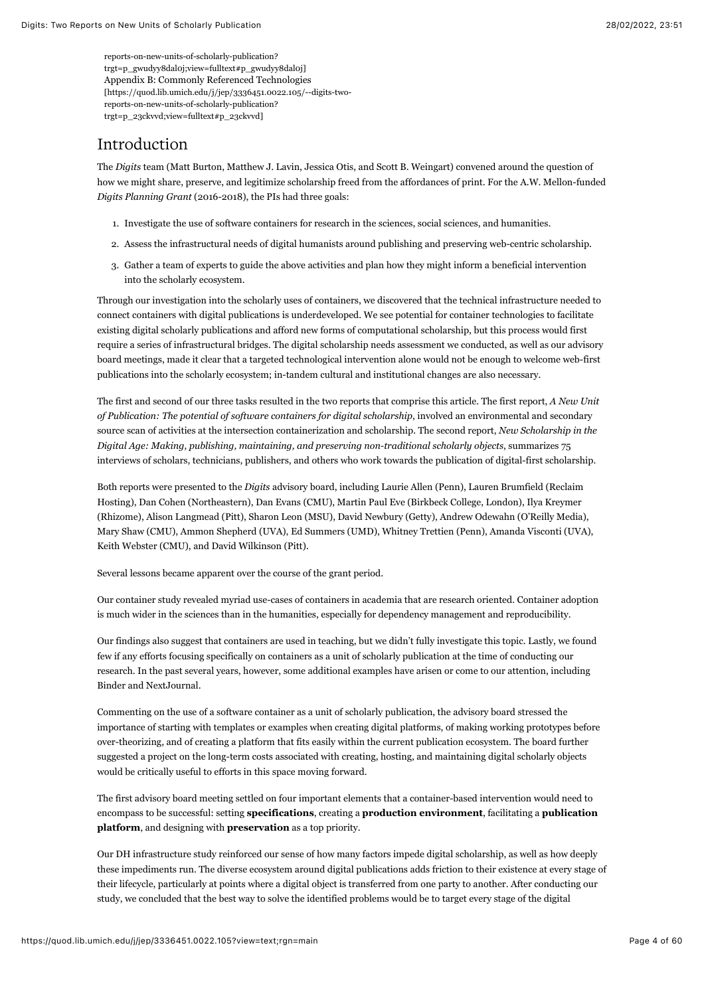reports-on-new-units-of-scholarly-publication? [trgt=p\\_gwudyy8dal0j;view=fulltext#p\\_gwudyy8dal0j\]](https://quod.lib.umich.edu/j/jep/3336451.0022.105/--digits-two-reports-on-new-units-of-scholarly-publication?trgt=p_gwudyy8dal0j;view=fulltext#p_gwudyy8dal0j) Appendix B: Commonly Referenced Technologies [\[https://quod.lib.umich.edu/j/jep/3336451.0022.105/--digits-two](https://quod.lib.umich.edu/j/jep/3336451.0022.105/--digits-two-reports-on-new-units-of-scholarly-publication?trgt=p_23ckvvd;view=fulltext#p_23ckvvd)reports-on-new-units-of-scholarly-publication? trgt=p\_23ckvvd;view=fulltext#p\_23ckvvd]

# Introduction

The *Digits* team (Matt Burton, Matthew J. Lavin, Jessica Otis, and Scott B. Weingart) convened around the question of how we might share, preserve, and legitimize scholarship freed from the affordances of print. For the A.W. Mellon-funded *Digits Planning Grant* (2016-2018), the PIs had three goals:

- 1. Investigate the use of software containers for research in the sciences, social sciences, and humanities.
- 2. Assess the infrastructural needs of digital humanists around publishing and preserving web-centric scholarship.
- 3. Gather a team of experts to guide the above activities and plan how they might inform a beneficial intervention into the scholarly ecosystem.

Through our investigation into the scholarly uses of containers, we discovered that the technical infrastructure needed to connect containers with digital publications is underdeveloped. We see potential for container technologies to facilitate existing digital scholarly publications and afford new forms of computational scholarship, but this process would first require a series of infrastructural bridges. The digital scholarship needs assessment we conducted, as well as our advisory board meetings, made it clear that a targeted technological intervention alone would not be enough to welcome web-first publications into the scholarly ecosystem; in-tandem cultural and institutional changes are also necessary.

The first and second of our three tasks resulted in the two reports that comprise this article. The first report, *A New Unit of Publication: The potential of software containers for digital scholarship*, involved an environmental and secondary source scan of activities at the intersection containerization and scholarship. The second report, *New Scholarship in the Digital Age: Making, publishing, maintaining, and preserving non-traditional scholarly objects*, summarizes 75 interviews of scholars, technicians, publishers, and others who work towards the publication of digital-first scholarship.

Both reports were presented to the *Digits* advisory board, including Laurie Allen (Penn), Lauren Brumfield (Reclaim Hosting), Dan Cohen (Northeastern), Dan Evans (CMU), Martin Paul Eve (Birkbeck College, London), Ilya Kreymer (Rhizome), Alison Langmead (Pitt), Sharon Leon (MSU), David Newbury (Getty), Andrew Odewahn (O'Reilly Media), Mary Shaw (CMU), Ammon Shepherd (UVA), Ed Summers (UMD), Whitney Trettien (Penn), Amanda Visconti (UVA), Keith Webster (CMU), and David Wilkinson (Pitt).

Several lessons became apparent over the course of the grant period.

Our container study revealed myriad use-cases of containers in academia that are research oriented. Container adoption is much wider in the sciences than in the humanities, especially for dependency management and reproducibility.

Our findings also suggest that containers are used in teaching, but we didn't fully investigate this topic. Lastly, we found few if any efforts focusing specifically on containers as a unit of scholarly publication at the time of conducting our research. In the past several years, however, some additional examples have arisen or come to our attention, including Binder and NextJournal.

Commenting on the use of a software container as a unit of scholarly publication, the advisory board stressed the importance of starting with templates or examples when creating digital platforms, of making working prototypes before over-theorizing, and of creating a platform that fits easily within the current publication ecosystem. The board further suggested a project on the long-term costs associated with creating, hosting, and maintaining digital scholarly objects would be critically useful to efforts in this space moving forward.

The first advisory board meeting settled on four important elements that a container-based intervention would need to encompass to be successful: setting **specifications**, creating a **production environment**, facilitating a **publication platform**, and designing with **preservation** as a top priority.

Our DH infrastructure study reinforced our sense of how many factors impede digital scholarship, as well as how deeply these impediments run. The diverse ecosystem around digital publications adds friction to their existence at every stage of their lifecycle, particularly at points where a digital object is transferred from one party to another. After conducting our study, we concluded that the best way to solve the identified problems would be to target every stage of the digital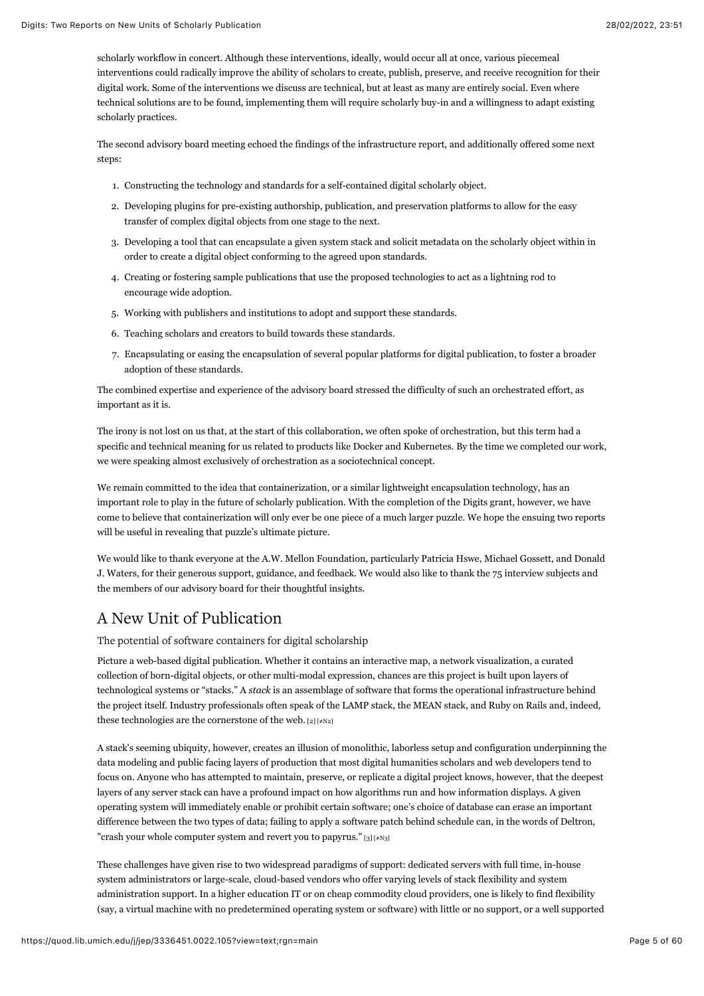scholarly workflow in concert. Although these interventions, ideally, would occur all at once, various piecemeal interventions could radically improve the ability of scholars to create, publish, preserve, and receive recognition for their digital work. Some of the interventions we discuss are technical, but at least as many are entirely social. Even where technical solutions are to be found, implementing them will require scholarly buy-in and a willingness to adapt existing scholarly practices.

The second advisory board meeting echoed the findings of the infrastructure report, and additionally offered some next steps:

- 1. Constructing the technology and standards for a self-contained digital scholarly object.
- 2. Developing plugins for pre-existing authorship, publication, and preservation platforms to allow for the easy transfer of complex digital objects from one stage to the next.
- 3. Developing a tool that can encapsulate a given system stack and solicit metadata on the scholarly object within in order to create a digital object conforming to the agreed upon standards.
- 4. Creating or fostering sample publications that use the proposed technologies to act as a lightning rod to encourage wide adoption.
- 5. Working with publishers and institutions to adopt and support these standards.
- 6. Teaching scholars and creators to build towards these standards.
- 7. Encapsulating or easing the encapsulation of several popular platforms for digital publication, to foster a broader adoption of these standards.

The combined expertise and experience of the advisory board stressed the difficulty of such an orchestrated effort, as important as it is.

The irony is not lost on us that, at the start of this collaboration, we often spoke of orchestration, but this term had a specific and technical meaning for us related to products like Docker and Kubernetes. By the time we completed our work, we were speaking almost exclusively of orchestration as a sociotechnical concept.

We remain committed to the idea that containerization, or a similar lightweight encapsulation technology, has an important role to play in the future of scholarly publication. With the completion of the Digits grant, however, we have come to believe that containerization will only ever be one piece of a much larger puzzle. We hope the ensuing two reports will be useful in revealing that puzzle's ultimate picture.

We would like to thank everyone at the A.W. Mellon Foundation, particularly Patricia Hswe, Michael Gossett, and Donald J. Waters, for their generous support, guidance, and feedback. We would also like to thank the 75 interview subjects and the members of our advisory board for their thoughtful insights.

# A New Unit of Publication

The potential of software containers for digital scholarship

Picture a web-based digital publication. Whether it contains an interactive map, a network visualization, a curated collection of born-digital objects, or other multi-modal expression, chances are this project is built upon layers of technological systems or "stacks." A *stack* is an assemblage of software that forms the operational infrastructure behind the project itself. Industry professionals often speak of the LAMP stack, the MEAN stack, and Ruby on Rails and, indeed, these technologies are the cornerstone of the web.  $[2] [\#N2]$ 

<span id="page-5-0"></span>A stack's seeming ubiquity, however, creates an illusion of monolithic, laborless setup and configuration underpinning the data modeling and public facing layers of production that most digital humanities scholars and web developers tend to focus on. Anyone who has attempted to maintain, preserve, or replicate a digital project knows, however, that the deepest layers of any server stack can have a profound impact on how algorithms run and how information displays. A given operating system will immediately enable or prohibit certain software; one's choice of database can erase an important difference between the two types of data; failing to apply a software patch behind schedule can, in the words of Deltron, "crash your whole computer system and revert you to papyrus."  $[3][*N3]$ 

<span id="page-5-1"></span>These challenges have given rise to two widespread paradigms of support: dedicated servers with full time, in-house system administrators or large-scale, cloud-based vendors who offer varying levels of stack flexibility and system administration support. In a higher education IT or on cheap commodity cloud providers, one is likely to find flexibility (say, a virtual machine with no predetermined operating system or software) with little or no support, or a well supported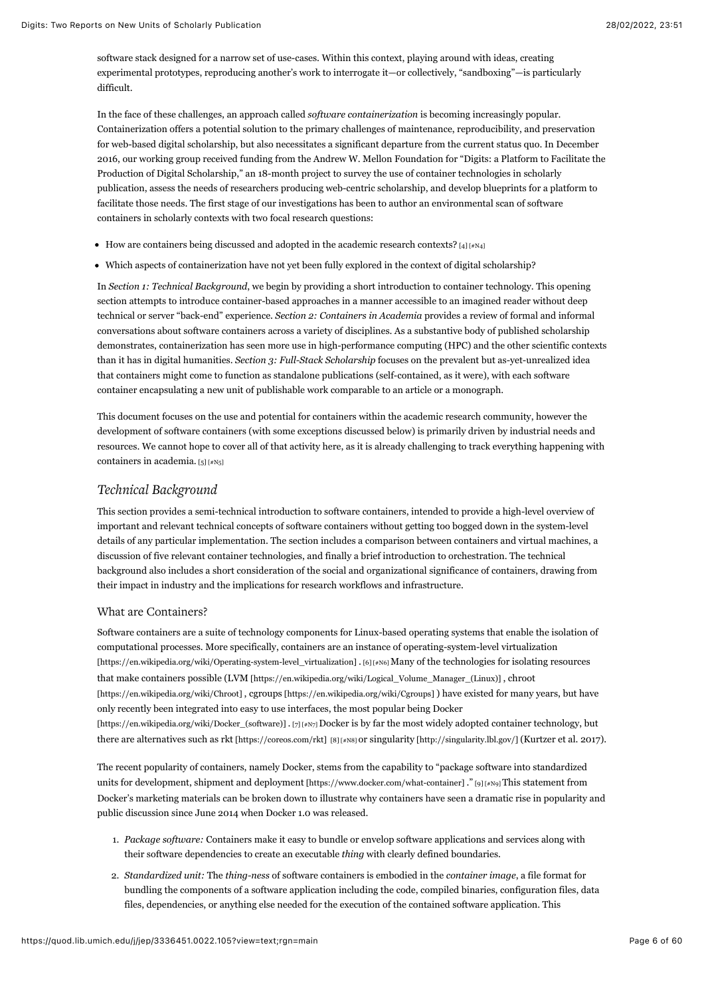software stack designed for a narrow set of use-cases. Within this context, playing around with ideas, creating experimental prototypes, reproducing another's work to interrogate it—or collectively, "sandboxing"—is particularly difficult.

In the face of these challenges, an approach called *software containerization* is becoming increasingly popular. Containerization offers a potential solution to the primary challenges of maintenance, reproducibility, and preservation for web-based digital scholarship, but also necessitates a significant departure from the current status quo. In December 2016, our working group received funding from the Andrew W. Mellon Foundation for "Digits: a Platform to Facilitate the Production of Digital Scholarship," an 18-month project to survey the use of container technologies in scholarly publication, assess the needs of researchers producing web-centric scholarship, and develop blueprints for a platform to facilitate those needs. The first stage of our investigations has been to author an environmental scan of software containers in scholarly contexts with two focal research questions:

- <span id="page-6-0"></span> $\bullet$  How are containers being discussed and adopted in the academic research contexts? [\[4\] \[#N4\]](#page-52-1)
- Which aspects of containerization have not yet been fully explored in the context of digital scholarship?

In *Section 1: Technical Background*, we begin by providing a short introduction to container technology. This opening section attempts to introduce container-based approaches in a manner accessible to an imagined reader without deep technical or server "back-end" experience. *Section 2: Containers in Academia* provides a review of formal and informal conversations about software containers across a variety of disciplines. As a substantive body of published scholarship demonstrates, containerization has seen more use in high-performance computing (HPC) and the other scientific contexts than it has in digital humanities. *Section 3: Full-Stack Scholarship* focuses on the prevalent but as-yet-unrealized idea that containers might come to function as standalone publications (self-contained, as it were), with each software container encapsulating a new unit of publishable work comparable to an article or a monograph.

This document focuses on the use and potential for containers within the academic research community, however the development of software containers (with some exceptions discussed below) is primarily driven by industrial needs and resources. We cannot hope to cover all of that activity here, as it is already challenging to track everything happening with containers in academia. [\[5\] \[#N5\]](#page-52-2)

# <span id="page-6-1"></span>*Technical Background*

This section provides a semi-technical introduction to software containers, intended to provide a high-level overview of important and relevant technical concepts of software containers without getting too bogged down in the system-level details of any particular implementation. The section includes a comparison between containers and virtual machines, a discussion of five relevant container technologies, and finally a brief introduction to orchestration. The technical background also includes a short consideration of the social and organizational significance of containers, drawing from their impact in industry and the implications for research workflows and infrastructure.

#### What are Containers?

<span id="page-6-2"></span>Software containers are a suite of technology components for Linux-based operating systems that enable the isolation of [computational processes. More specifically, containers are an instance of operating-system-level virtualization](https://en.wikipedia.org/wiki/Operating-system-level_virtualization) [https://en.wikipedia.org/wiki/Operating-system-level\_virtualization] . [\[6\] \[#N6\]](#page-52-3) Many of the technologies for isolating resources [that make containers possible \(](https://en.wikipedia.org/wiki/Chroot)[LVM \[https://en.wikipedia.org/wiki/Logical\\_Volume\\_Manager\\_\(Linux\)\]](https://en.wikipedia.org/wiki/Logical_Volume_Manager_(Linux)) [, chroot](https://en.wikipedia.org/wiki/Chroot) [https://en.wikipedia.org/wiki/Chroot] , [cgroups \[https://en.wikipedia.org/wiki/Cgroups\] \)](https://en.wikipedia.org/wiki/Cgroups) have existed for many years, but have [only recently been integrated into easy to use interfaces, the most popular being Docker](https://en.wikipedia.org/wiki/Docker_(software)) [https://en.wikipedia.org/wiki/Docker\_(software)] . [\[7\] \[#N7\] D](#page-52-4)ocker is by far the most widely adopted container technology, but there are alternatives such as [rkt \[https://coreos.com/rkt\]](https://coreos.com/rkt) [\[8\] \[#N8\] o](#page-52-5)r [singularity \[http://singularity.lbl.gov/\] \(](http://singularity.lbl.gov/)Kurtzer et al. 2017).

<span id="page-6-4"></span><span id="page-6-3"></span>[The recent popularity of containers, namely Docker, stems from the capability to "package software into standardized](https://www.docker.com/what-container) units for development, shipment and deployment [https://www.docker.com/what-container]." [\[9\] \[#N9\] T](#page-52-6)his statement from Docker's marketing materials can be broken down to illustrate why containers have seen a dramatic rise in popularity and public discussion since June 2014 when Docker 1.0 was released.

- <span id="page-6-5"></span>1. *Package software:* Containers make it easy to bundle or envelop software applications and services along with their software dependencies to create an executable *thing* with clearly defined boundaries.
- 2. *Standardized unit:* The *thing-ness* of software containers is embodied in the *container image*, a file format for bundling the components of a software application including the code, compiled binaries, configuration files, data files, dependencies, or anything else needed for the execution of the contained software application. This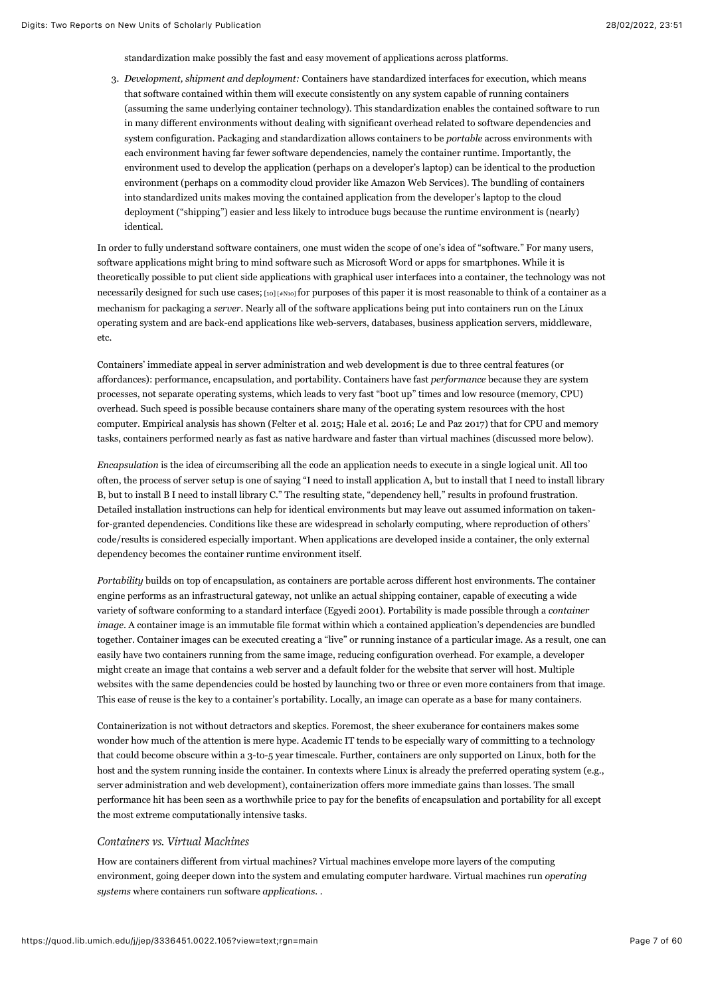standardization make possibly the fast and easy movement of applications across platforms.

3. *Development, shipment and deployment:* Containers have standardized interfaces for execution, which means that software contained within them will execute consistently on any system capable of running containers (assuming the same underlying container technology). This standardization enables the contained software to run in many different environments without dealing with significant overhead related to software dependencies and system configuration. Packaging and standardization allows containers to be *portable* across environments with each environment having far fewer software dependencies, namely the container runtime. Importantly, the environment used to develop the application (perhaps on a developer's laptop) can be identical to the production environment (perhaps on a commodity cloud provider like Amazon Web Services). The bundling of containers into standardized units makes moving the contained application from the developer's laptop to the cloud deployment ("shipping") easier and less likely to introduce bugs because the runtime environment is (nearly) identical.

<span id="page-7-0"></span>In order to fully understand software containers, one must widen the scope of one's idea of "software." For many users, software applications might bring to mind software such as Microsoft Word or apps for smartphones. While it is theoretically possible to put client side applications with graphical user interfaces into a container, the technology was not necessarily designed for such use cases; [\[10\] \[#N10\] f](#page-52-7)or purposes of this paper it is most reasonable to think of a container as a mechanism for packaging a *server.* Nearly all of the software applications being put into containers run on the Linux operating system and are back-end applications like web-servers, databases, business application servers, middleware, etc.

Containers' immediate appeal in server administration and web development is due to three central features (or affordances): performance, encapsulation, and portability. Containers have fast *performance* because they are system processes, not separate operating systems, which leads to very fast "boot up" times and low resource (memory, CPU) overhead. Such speed is possible because containers share many of the operating system resources with the host computer. Empirical analysis has shown (Felter et al. 2015; Hale et al. 2016; Le and Paz 2017) that for CPU and memory tasks, containers performed nearly as fast as native hardware and faster than virtual machines (discussed more below).

*Encapsulation* is the idea of circumscribing all the code an application needs to execute in a single logical unit. All too often, the process of server setup is one of saying "I need to install application A, but to install that I need to install library B, but to install B I need to install library C." The resulting state, "dependency hell," results in profound frustration. Detailed installation instructions can help for identical environments but may leave out assumed information on takenfor-granted dependencies. Conditions like these are widespread in scholarly computing, where reproduction of others' code/results is considered especially important. When applications are developed inside a container, the only external dependency becomes the container runtime environment itself.

*Portability* builds on top of encapsulation, as containers are portable across different host environments. The container engine performs as an infrastructural gateway, not unlike an actual shipping container, capable of executing a wide variety of software conforming to a standard interface (Egyedi 2001). Portability is made possible through a *container image*. A container image is an immutable file format within which a contained application's dependencies are bundled together. Container images can be executed creating a "live" or running instance of a particular image. As a result, one can easily have two containers running from the same image, reducing configuration overhead. For example, a developer might create an image that contains a web server and a default folder for the website that server will host. Multiple websites with the same dependencies could be hosted by launching two or three or even more containers from that image. This ease of reuse is the key to a container's portability. Locally, an image can operate as a base for many containers.

Containerization is not without detractors and skeptics. Foremost, the sheer exuberance for containers makes some wonder how much of the attention is mere hype. Academic IT tends to be especially wary of committing to a technology that could become obscure within a 3-to-5 year timescale. Further, containers are only supported on Linux, both for the host and the system running inside the container. In contexts where Linux is already the preferred operating system (e.g., server administration and web development), containerization offers more immediate gains than losses. The small performance hit has been seen as a worthwhile price to pay for the benefits of encapsulation and portability for all except the most extreme computationally intensive tasks.

## *Containers vs. Virtual Machines*

How are containers different from virtual machines? Virtual machines envelope more layers of the computing environment, going deeper down into the system and emulating computer hardware. Virtual machines run *operating systems* where containers run software *applications*. .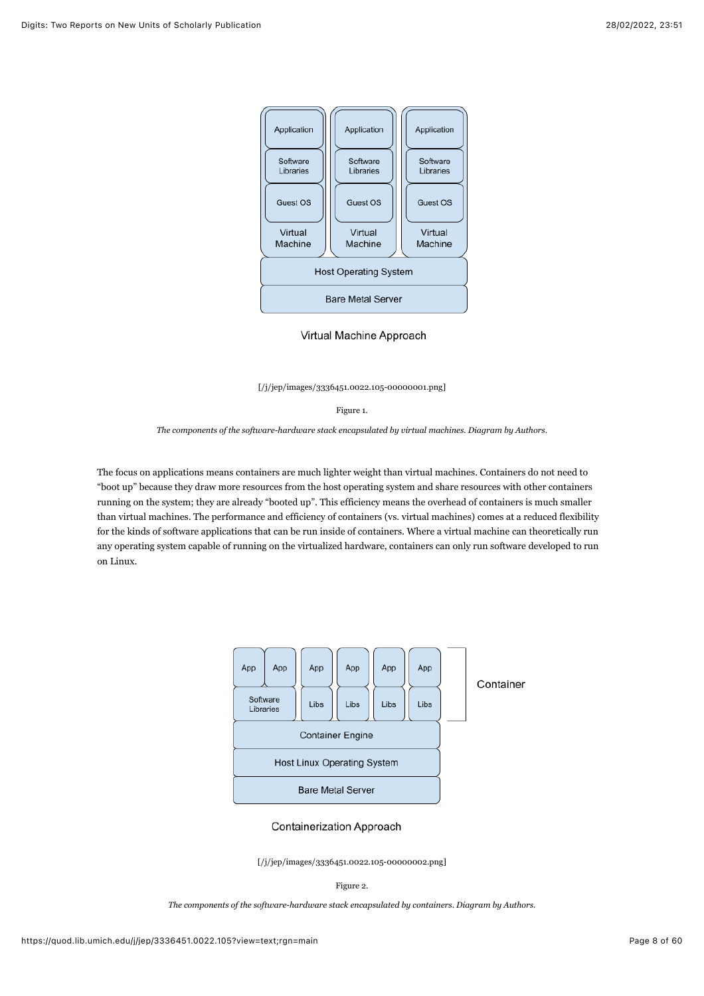

Virtual Machine Approach

[\[/j/jep/images/3336451.0022.105-00000001.png\]](https://quod.lib.umich.edu/j/jep/images/3336451.0022.105-00000001.png)

Figure 1.

*The components of the software-hardware stack encapsulated by virtual machines. Diagram by Authors.*

The focus on applications means containers are much lighter weight than virtual machines. Containers do not need to "boot up" because they draw more resources from the host operating system and share resources with other containers running on the system; they are already "booted up". This efficiency means the overhead of containers is much smaller than virtual machines. The performance and efficiency of containers (vs. virtual machines) comes at a reduced flexibility for the kinds of software applications that can be run inside of containers. Where a virtual machine can theoretically run any operating system capable of running on the virtualized hardware, containers can only run software developed to run on Linux.



#### **Containerization Approach**

[\[/j/jep/images/3336451.0022.105-00000002.png\]](https://quod.lib.umich.edu/j/jep/images/3336451.0022.105-00000002.png)

#### Figure 2.

*The components of the software-hardware stack encapsulated by containers. Diagram by Authors.*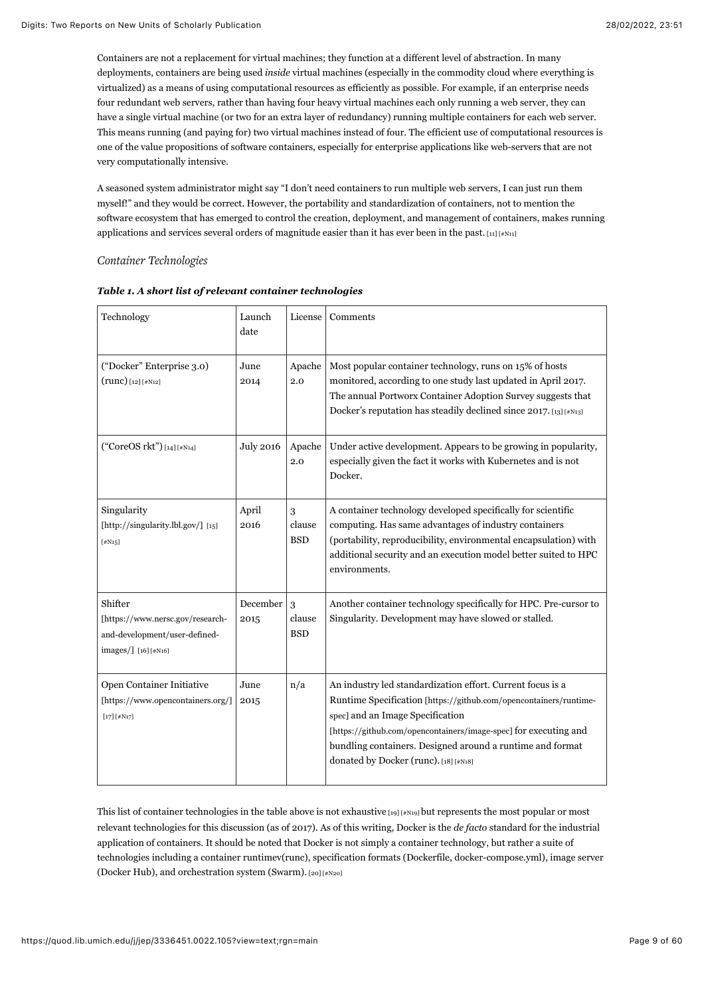Containers are not a replacement for virtual machines; they function at a different level of abstraction. In many deployments, containers are being used *inside* virtual machines (especially in the commodity cloud where everything is virtualized) as a means of using computational resources as efficiently as possible. For example, if an enterprise needs four redundant web servers, rather than having four heavy virtual machines each only running a web server, they can have a single virtual machine (or two for an extra layer of redundancy) running multiple containers for each web server. This means running (and paying for) two virtual machines instead of four. The efficient use of computational resources is one of the value propositions of software containers, especially for enterprise applications like web-servers that are not very computationally intensive.

A seasoned system administrator might say "I don't need containers to run multiple web servers, I can just run them myself!" and they would be correct. However, the portability and standardization of containers, not to mention the software ecosystem that has emerged to control the creation, deployment, and management of containers, makes running applications and services several orders of magnitude easier than it has ever been in the past.  $\text{[11]}$   $\text{[#N11]}$ 

<span id="page-9-0"></span>*Container Technologies*

<span id="page-9-4"></span><span id="page-9-3"></span><span id="page-9-2"></span><span id="page-9-1"></span>

| Technology                                                                                          | Launch<br>date   | License                   | Comments                                                                                                                                                                                                                                                                                                                                      |
|-----------------------------------------------------------------------------------------------------|------------------|---------------------------|-----------------------------------------------------------------------------------------------------------------------------------------------------------------------------------------------------------------------------------------------------------------------------------------------------------------------------------------------|
| ("Docker" Enterprise 3.0)<br>$(runc)$ [12] [#N12]                                                   | June<br>2014     | Apache<br>2.0             | Most popular container technology, runs on 15% of hosts<br>monitored, according to one study last updated in April 2017.<br>The annual Portworx Container Adoption Survey suggests that<br>Docker's reputation has steadily declined since 2017. [13] [#N13]                                                                                  |
| ("CoreOS rkt") [14] [#N14]                                                                          | <b>July 2016</b> | Apache<br>2.0             | Under active development. Appears to be growing in popularity,<br>especially given the fact it works with Kubernetes and is not<br>Docker.                                                                                                                                                                                                    |
| Singularity<br>[http://singularity.lbl.gov/] [15]<br>$[$ #N15]                                      | April<br>2016    | 3<br>clause<br><b>BSD</b> | A container technology developed specifically for scientific<br>computing. Has same advantages of industry containers<br>(portability, reproducibility, environmental encapsulation) with<br>additional security and an execution model better suited to HPC<br>environments.                                                                 |
| Shifter<br>[https://www.nersc.gov/research-<br>and-development/user-defined-<br>images/] [16][#N16] | December<br>2015 | 3<br>clause<br><b>BSD</b> | Another container technology specifically for HPC. Pre-cursor to<br>Singularity. Development may have slowed or stalled.                                                                                                                                                                                                                      |
| Open Container Initiative<br>[https://www.opencontainers.org/]<br>$[17] [4N17]$                     | June<br>2015     | n/a                       | An industry led standardization effort. Current focus is a<br>Runtime Specification [https://github.com/opencontainers/runtime-<br>spec] and an Image Specification<br>[https://github.com/opencontainers/image-spec] for executing and<br>bundling containers. Designed around a runtime and format<br>donated by Docker (runc). [18] [#N18] |

| Table 1. A short list of relevant container technologies |  |
|----------------------------------------------------------|--|
|----------------------------------------------------------|--|

<span id="page-9-9"></span><span id="page-9-8"></span><span id="page-9-7"></span><span id="page-9-6"></span><span id="page-9-5"></span>This list of container technologies in the table above is not exhaustive  $[19]$  [#N19] but represents the most popular or most relevant technologies for this discussion (as of 2017). As of this writing, Docker is the *de facto* standard for the industrial application of containers. It should be noted that Docker is not simply a container technology, but rather a suite of technologies including a container runtimev(runc), specification formats (Dockerfile, docker-compose.yml), image server (Docker Hub), and orchestration system (Swarm). [\[20\] \[#N20\]](#page-52-17)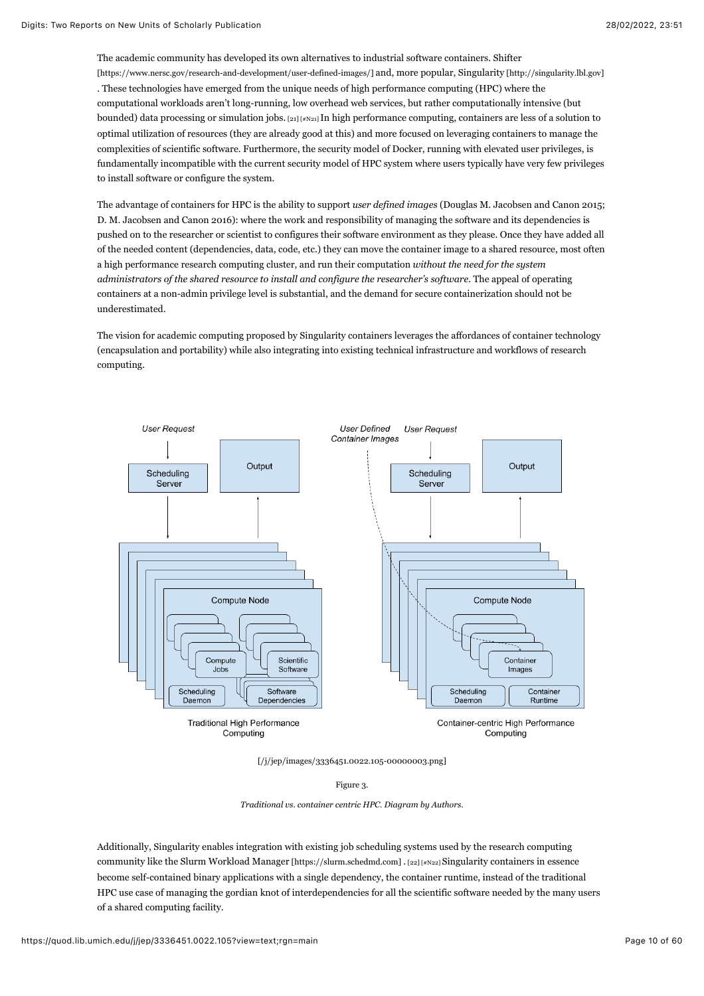<span id="page-10-0"></span>The academic community has developed its own alternatives to industrial software containers. Shifter [\[https://www.nersc.gov/research-and-development/user-defined-images/\] and, more popular, Singularity \[htt](https://www.nersc.gov/research-and-development/user-defined-images/)[p://singularity.lbl.gov\]](http://singularity.lbl.gov/) . These technologies have emerged from the unique needs of high performance computing (HPC) where the computational workloads aren't long-running, low overhead web services, but rather computationally intensive (but bounded) data processing or simulation jobs.  $[21] [\#N21]$  In high performance computing, containers are less of a solution to optimal utilization of resources (they are already good at this) and more focused on leveraging containers to manage the complexities of scientific software. Furthermore, the security model of Docker, running with elevated user privileges, is fundamentally incompatible with the current security model of HPC system where users typically have very few privileges to install software or configure the system.

The advantage of containers for HPC is the ability to support *user defined images* (Douglas M. Jacobsen and Canon 2015; D. M. Jacobsen and Canon 2016): where the work and responsibility of managing the software and its dependencies is pushed on to the researcher or scientist to configures their software environment as they please. Once they have added all of the needed content (dependencies, data, code, etc.) they can move the container image to a shared resource, most often a high performance research computing cluster, and run their computation *without the need for the system administrators of the shared resource to install and configure the researcher's software.* The appeal of operating containers at a non-admin privilege level is substantial, and the demand for secure containerization should not be underestimated.

The vision for academic computing proposed by Singularity containers leverages the affordances of container technology (encapsulation and portability) while also integrating into existing technical infrastructure and workflows of research computing.



[\[/j/jep/images/3336451.0022.105-00000003.png\]](https://quod.lib.umich.edu/j/jep/images/3336451.0022.105-00000003.png)

#### <span id="page-10-1"></span>Figure 3.

*Traditional vs. container centric HPC. Diagram by Authors.*

Additionally, Singularity enables integration with existing job scheduling systems used by the research computing community like the [Slurm Workload Manager \[https://slurm.schedmd.com\] .](https://slurm.schedmd.com/) [\[22\] \[#N22\] S](#page-52-19)ingularity containers in essence become self-contained binary applications with a single dependency, the container runtime, instead of the traditional HPC use case of managing the gordian knot of interdependencies for all the scientific software needed by the many users of a shared computing facility.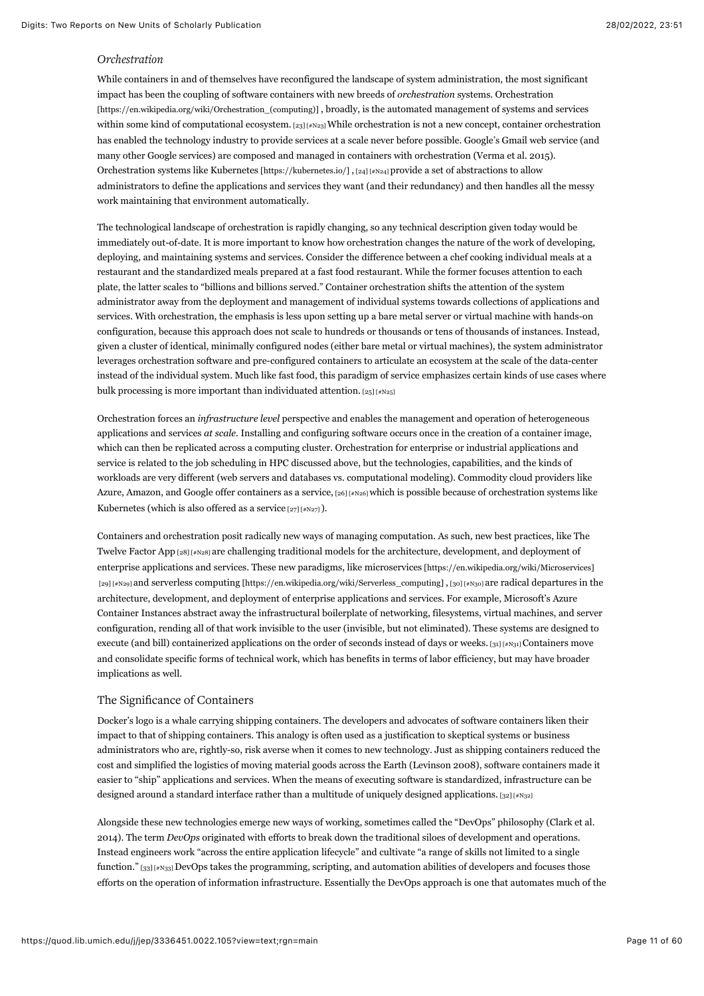## *Orchestration*

<span id="page-11-0"></span>While containers in and of themselves have reconfigured the landscape of system administration, the most significant impact has been the coupling of software containers with new breeds of *orchestration* systems. Orchestration [\[https://en.wikipedia.org/wiki/Orchestration\\_\(computing\)\] , broadly, is the automated management of systems and](https://en.wikipedia.org/wiki/Orchestration_(computing)) services within some kind of computational ecosystem.  $[23]$  [#N23] While orchestration is not a new concept, container orchestration has enabled the technology industry to provide services at a scale never before possible. Google's Gmail web service (and many other Google services) are composed and managed in containers with orchestration (Verma et al. 2015). Orchestration systems like [Kubernetes \[https://kubernetes.io/\]](https://kubernetes.io/) , [\[24\] \[#N24\] p](#page-52-21)rovide a set of abstractions to allow administrators to define the applications and services they want (and their redundancy) and then handles all the messy work maintaining that environment automatically.

<span id="page-11-1"></span>The technological landscape of orchestration is rapidly changing, so any technical description given today would be immediately out-of-date. It is more important to know how orchestration changes the nature of the work of developing, deploying, and maintaining systems and services. Consider the difference between a chef cooking individual meals at a restaurant and the standardized meals prepared at a fast food restaurant. While the former focuses attention to each plate, the latter scales to "billions and billions served." Container orchestration shifts the attention of the system administrator away from the deployment and management of individual systems towards collections of applications and services. With orchestration, the emphasis is less upon setting up a bare metal server or virtual machine with hands-on configuration, because this approach does not scale to hundreds or thousands or tens of thousands of instances. Instead, given a cluster of identical, minimally configured nodes (either bare metal or virtual machines), the system administrator leverages orchestration software and pre-configured containers to articulate an ecosystem at the scale of the data-center instead of the individual system. Much like fast food, this paradigm of service emphasizes certain kinds of use cases where bulk processing is more important than individuated attention.  $[25]$  [#N25]

<span id="page-11-2"></span>Orchestration forces an *infrastructure level* perspective and enables the management and operation of heterogeneous applications and services *at scale.* Installing and configuring software occurs once in the creation of a container image, which can then be replicated across a computing cluster. Orchestration for enterprise or industrial applications and service is related to the job scheduling in HPC discussed above, but the technologies, capabilities, and the kinds of workloads are very different (web servers and databases vs. computational modeling). Commodity cloud providers like Azure, Amazon, and Google offer containers as a service,  $[26]$  [#N26] which is possible because of orchestration systems like Kubernetes (which is also offered as a service  $[27]$   $[#N27]$ ).

<span id="page-11-7"></span><span id="page-11-6"></span><span id="page-11-5"></span><span id="page-11-4"></span><span id="page-11-3"></span>Containers and orchestration posit radically new ways of managing computation. As such, new best practices, like The Twelve Factor App [\[28\] \[#N28\]](#page-52-25) are challenging traditional models for the architecture, development, and deployment of enterprise applications and services. These new paradigms, like [microservices \[https://en.wikipedia.org/wiki/Microservices\]](https://en.wikipedia.org/wiki/Microservices) [\[29\] \[#N29\] a](#page-52-26)nd [serverless computing \[https://en.wikipedia.org/wiki/Serverless\\_computing\] ,](https://en.wikipedia.org/wiki/Serverless_computing) [\[30\] \[#N30\] a](#page-52-27)re radical departures in the architecture, development, and deployment of enterprise applications and services. For example, Microsoft's Azure Container Instances abstract away the infrastructural boilerplate of networking, filesystems, virtual machines, and server configuration, rending all of that work invisible to the user (invisible, but not eliminated). These systems are designed to execute (and bill) containerized applications on the order of seconds instead of days or weeks. [31]  $[4N_31]$  Containers move and consolidate specific forms of technical work, which has benefits in terms of labor efficiency, but may have broader implications as well.

## <span id="page-11-8"></span>The Significance of Containers

Docker's logo is a whale carrying shipping containers. The developers and advocates of software containers liken their impact to that of shipping containers. This analogy is often used as a justification to skeptical systems or business administrators who are, rightly-so, risk averse when it comes to new technology. Just as shipping containers reduced the cost and simplified the logistics of moving material goods across the Earth (Levinson 2008), software containers made it easier to "ship" applications and services. When the means of executing software is standardized, infrastructure can be designed around a standard interface rather than a multitude of uniquely designed applications.  $[32]$  [#N32]

<span id="page-11-10"></span><span id="page-11-9"></span>Alongside these new technologies emerge new ways of working, sometimes called the "DevOps" philosophy (Clark et al. 2014). The term *DevOps* originated with efforts to break down the traditional siloes of development and operations. Instead engineers work "across the entire application lifecycle" and cultivate "a range of skills not limited to a single function." [\[33\] \[#N33\] D](#page-53-1)evOps takes the programming, scripting, and automation abilities of developers and focuses those efforts on the operation of information infrastructure. Essentially the DevOps approach is one that automates much of the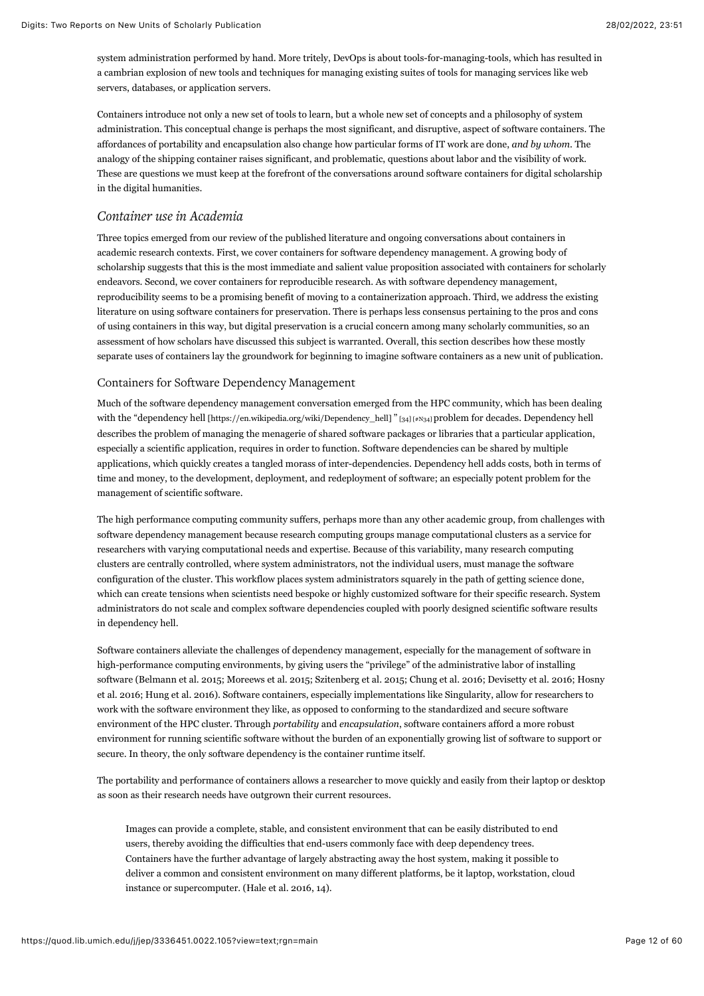system administration performed by hand. More tritely, DevOps is about tools-for-managing-tools, which has resulted in a cambrian explosion of new tools and techniques for managing existing suites of tools for managing services like web servers, databases, or application servers.

Containers introduce not only a new set of tools to learn, but a whole new set of concepts and a philosophy of system administration. This conceptual change is perhaps the most significant, and disruptive, aspect of software containers. The affordances of portability and encapsulation also change how particular forms of IT work are done, *and by whom*. The analogy of the shipping container raises significant, and problematic, questions about labor and the visibility of work. These are questions we must keep at the forefront of the conversations around software containers for digital scholarship in the digital humanities.

# *Container use in Academia*

Three topics emerged from our review of the published literature and ongoing conversations about containers in academic research contexts. First, we cover containers for software dependency management. A growing body of scholarship suggests that this is the most immediate and salient value proposition associated with containers for scholarly endeavors. Second, we cover containers for reproducible research. As with software dependency management, reproducibility seems to be a promising benefit of moving to a containerization approach. Third, we address the existing literature on using software containers for preservation. There is perhaps less consensus pertaining to the pros and cons of using containers in this way, but digital preservation is a crucial concern among many scholarly communities, so an assessment of how scholars have discussed this subject is warranted. Overall, this section describes how these mostly separate uses of containers lay the groundwork for beginning to imagine software containers as a new unit of publication.

## Containers for Software Dependency Management

<span id="page-12-0"></span>Much of the software dependency management conversation emerged from the HPC community, which has been dealing with the ["dependency hell \[https://en.wikipedia.org/wiki/Dependency\\_hell\] "](https://en.wikipedia.org/wiki/Dependency_hell)[\[34\] \[#N34\] p](#page-53-2)roblem for decades. Dependency hell describes the problem of managing the menagerie of shared software packages or libraries that a particular application, especially a scientific application, requires in order to function. Software dependencies can be shared by multiple applications, which quickly creates a tangled morass of inter-dependencies. Dependency hell adds costs, both in terms of time and money, to the development, deployment, and redeployment of software; an especially potent problem for the management of scientific software.

The high performance computing community suffers, perhaps more than any other academic group, from challenges with software dependency management because research computing groups manage computational clusters as a service for researchers with varying computational needs and expertise. Because of this variability, many research computing clusters are centrally controlled, where system administrators, not the individual users, must manage the software configuration of the cluster. This workflow places system administrators squarely in the path of getting science done, which can create tensions when scientists need bespoke or highly customized software for their specific research. System administrators do not scale and complex software dependencies coupled with poorly designed scientific software results in dependency hell.

Software containers alleviate the challenges of dependency management, especially for the management of software in high-performance computing environments, by giving users the "privilege" of the administrative labor of installing software (Belmann et al. 2015; Moreews et al. 2015; Szitenberg et al. 2015; Chung et al. 2016; Devisetty et al. 2016; Hosny et al. 2016; Hung et al. 2016). Software containers, especially implementations like Singularity, allow for researchers to work with the software environment they like, as opposed to conforming to the standardized and secure software environment of the HPC cluster. Through *portability* and *encapsulation*, software containers afford a more robust environment for running scientific software without the burden of an exponentially growing list of software to support or secure. In theory, the only software dependency is the container runtime itself.

The portability and performance of containers allows a researcher to move quickly and easily from their laptop or desktop as soon as their research needs have outgrown their current resources.

Images can provide a complete, stable, and consistent environment that can be easily distributed to end users, thereby avoiding the difficulties that end-users commonly face with deep dependency trees. Containers have the further advantage of largely abstracting away the host system, making it possible to deliver a common and consistent environment on many different platforms, be it laptop, workstation, cloud instance or supercomputer. (Hale et al. 2016, 14).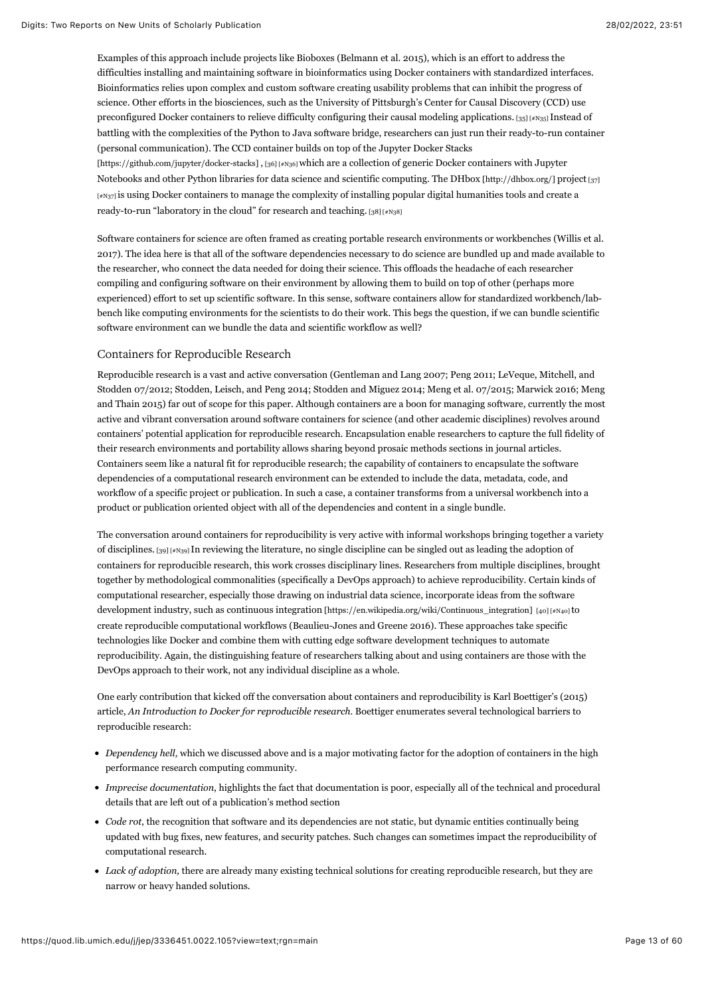<span id="page-13-0"></span>Examples of this approach include projects like Bioboxes (Belmann et al. 2015), which is an effort to address the difficulties installing and maintaining software in bioinformatics using Docker containers with standardized interfaces. Bioinformatics relies upon complex and custom software creating usability problems that can inhibit the progress of science. Other efforts in the biosciences, such as the University of Pittsburgh's Center for Causal Discovery (CCD) use preconfigured Docker containers to relieve difficulty configuring their causal modeling applications. [\[35\] \[#N35\] I](#page-53-3)nstead of battling with the complexities of the Python to Java software bridge, researchers can just run their ready-to-run container [\(personal communication\). The CCD container builds on top of the Jupyter Docker Stacks](https://github.com/jupyter/docker-stacks) [https://github.com/jupyter/docker-stacks] , [\[36\] \[#N36\] w](#page-53-4)hich are a collection of generic Docker containers with Jupyter Notebooks and other Python libraries for data science and scientific computing. The [DHbox \[http://dhbox.org/\] p](http://dhbox.org/)roject [37] [\[#N37\] is using Docker containers to manage the complexity of installing popular digital humanities tools and create a](#page-53-5) ready-to-run "laboratory in the cloud" for research and teaching. [\[38\] \[#N38\]](#page-53-6)

<span id="page-13-3"></span><span id="page-13-2"></span><span id="page-13-1"></span>Software containers for science are often framed as creating portable research environments or workbenches (Willis et al. 2017). The idea here is that all of the software dependencies necessary to do science are bundled up and made available to the researcher, who connect the data needed for doing their science. This offloads the headache of each researcher compiling and configuring software on their environment by allowing them to build on top of other (perhaps more experienced) effort to set up scientific software. In this sense, software containers allow for standardized workbench/labbench like computing environments for the scientists to do their work. This begs the question, if we can bundle scientific software environment can we bundle the data and scientific workflow as well?

#### Containers for Reproducible Research

Reproducible research is a vast and active conversation (Gentleman and Lang 2007; Peng 2011; LeVeque, Mitchell, and Stodden 07/2012; Stodden, Leisch, and Peng 2014; Stodden and Miguez 2014; Meng et al. 07/2015; Marwick 2016; Meng and Thain 2015) far out of scope for this paper. Although containers are a boon for managing software, currently the most active and vibrant conversation around software containers for science (and other academic disciplines) revolves around containers' potential application for reproducible research. Encapsulation enable researchers to capture the full fidelity of their research environments and portability allows sharing beyond prosaic methods sections in journal articles. Containers seem like a natural fit for reproducible research; the capability of containers to encapsulate the software dependencies of a computational research environment can be extended to include the data, metadata, code, and workflow of a specific project or publication. In such a case, a container transforms from a universal workbench into a product or publication oriented object with all of the dependencies and content in a single bundle.

<span id="page-13-5"></span><span id="page-13-4"></span>The conversation around containers for reproducibility is very active with informal workshops bringing together a variety of disciplines. [\[39\] \[#N39\]](#page-53-7) In reviewing the literature, no single discipline can be singled out as leading the adoption of containers for reproducible research, this work crosses disciplinary lines. Researchers from multiple disciplines, brought together by methodological commonalities (specifically a DevOps approach) to achieve reproducibility. Certain kinds of computational researcher, especially those drawing on industrial data science, incorporate ideas from the software development industry, such as [continuous integration \[https://en.wikipedia.org/wiki/Continuous\\_integration\]](https://en.wikipedia.org/wiki/Continuous_integration) [\[40\] \[#N40\] t](#page-53-8)o create reproducible computational workflows (Beaulieu-Jones and Greene 2016). These approaches take specific technologies like Docker and combine them with cutting edge software development techniques to automate reproducibility. Again, the distinguishing feature of researchers talking about and using containers are those with the DevOps approach to their work, not any individual discipline as a whole.

One early contribution that kicked off the conversation about containers and reproducibility is Karl Boettiger's (2015) article, *An Introduction to Docker for reproducible research.* Boettiger enumerates several technological barriers to reproducible research:

- *Dependency hell,* which we discussed above and is a major motivating factor for the adoption of containers in the high performance research computing community.
- *Imprecise documentation*, highlights the fact that documentation is poor, especially all of the technical and procedural details that are left out of a publication's method section
- *Code rot*, the recognition that software and its dependencies are not static, but dynamic entities continually being updated with bug fixes, new features, and security patches. Such changes can sometimes impact the reproducibility of computational research.
- *Lack of adoption,* there are already many existing technical solutions for creating reproducible research, but they are narrow or heavy handed solutions.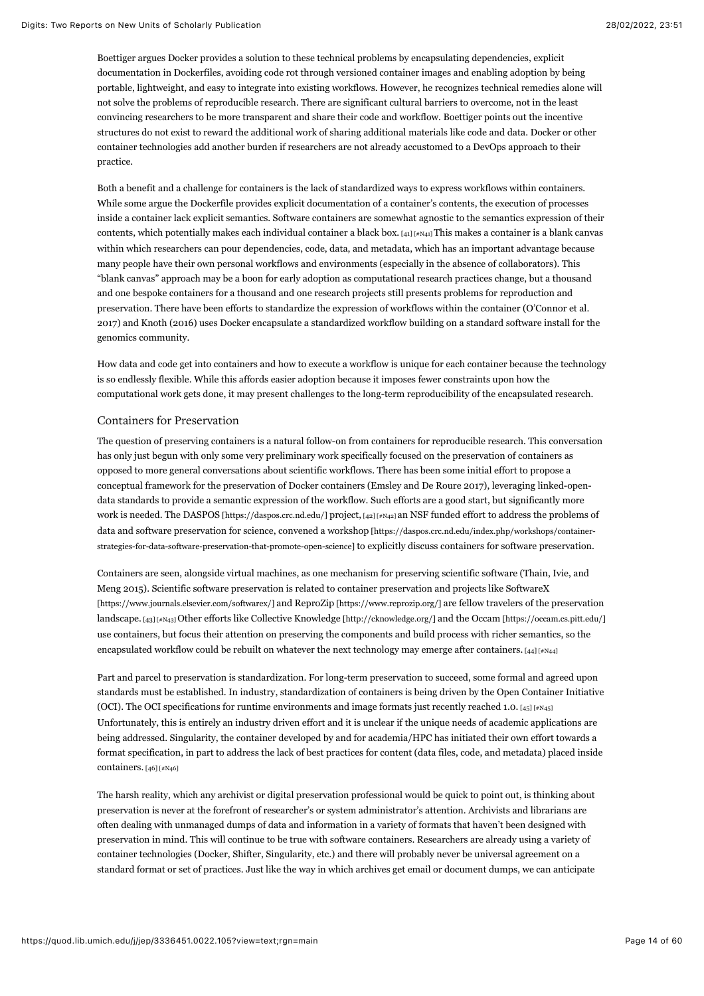Boettiger argues Docker provides a solution to these technical problems by encapsulating dependencies, explicit documentation in Dockerfiles, avoiding code rot through versioned container images and enabling adoption by being portable, lightweight, and easy to integrate into existing workflows. However, he recognizes technical remedies alone will not solve the problems of reproducible research. There are significant cultural barriers to overcome, not in the least convincing researchers to be more transparent and share their code and workflow. Boettiger points out the incentive structures do not exist to reward the additional work of sharing additional materials like code and data. Docker or other container technologies add another burden if researchers are not already accustomed to a DevOps approach to their practice.

<span id="page-14-0"></span>Both a benefit and a challenge for containers is the lack of standardized ways to express workflows within containers. While some argue the Dockerfile provides explicit documentation of a container's contents, the execution of processes inside a container lack explicit semantics. Software containers are somewhat agnostic to the semantics expression of their contents, which potentially makes each individual container a black box.  $[41]$   $[48]$  makes a container is a blank canvas within which researchers can pour dependencies, code, data, and metadata, which has an important advantage because many people have their own personal workflows and environments (especially in the absence of collaborators). This "blank canvas" approach may be a boon for early adoption as computational research practices change, but a thousand and one bespoke containers for a thousand and one research projects still presents problems for reproduction and preservation. There have been efforts to standardize the expression of workflows within the container (O'Connor et al. 2017) and Knoth (2016) uses Docker encapsulate a standardized workflow building on a standard software install for the genomics community.

How data and code get into containers and how to execute a workflow is unique for each container because the technology is so endlessly flexible. While this affords easier adoption because it imposes fewer constraints upon how the computational work gets done, it may present challenges to the long-term reproducibility of the encapsulated research.

## Containers for Preservation

The question of preserving containers is a natural follow-on from containers for reproducible research. This conversation has only just begun with only some very preliminary work specifically focused on the preservation of containers as opposed to more general conversations about scientific workflows. There has been some initial effort to propose a conceptual framework for the preservation of Docker containers (Emsley and De Roure 2017), leveraging linked-opendata standards to provide a semantic expression of the workflow. Such efforts are a good start, but significantly more work is needed. The [DASPOS \[https://daspos.crc.nd.edu/\]](https://daspos.crc.nd.edu/) project, [\[42\] \[#N42\]](#page-53-10) an NSF funded effort to address the problems of [data and software preservation for science, convened a workshop \[https://daspos.crc.nd.edu/index.php/workshops/container](https://daspos.crc.nd.edu/index.php/workshops/container-strategies-for-data-software-preservation-that-promote-open-science)strategies-for-data-software-preservation-that-promote-open-science] to explicitly discuss containers for software preservation.

<span id="page-14-2"></span><span id="page-14-1"></span>Containers are seen, alongside virtual machines, as one mechanism for preserving scientific software (Thain, Ivie, and Meng 2015). Scientific software preservation is related to container preservation and projects like SoftwareX [\[https://www.journals.elsevier.com/softwarex/\] and ReproZip \[https://www.reprozip.org/\] are fellow travelers of the](https://www.journals.elsevier.com/softwarex/) preservation landscape. [\[43\] \[#N43\]](#page-53-11) Other efforts like [Collective Knowledge \[http://cknowledge.org/\]](http://cknowledge.org/) and the [Occam \[https://occam.cs.pitt.edu/\]](https://occam.cs.pitt.edu/) use containers, but focus their attention on preserving the components and build process with richer semantics, so the encapsulated workflow could be rebuilt on whatever the next technology may emerge after containers. [\[44\] \[#N44\]](#page-53-12)

<span id="page-14-4"></span><span id="page-14-3"></span>Part and parcel to preservation is standardization. For long-term preservation to succeed, some formal and agreed upon standards must be established. In industry, standardization of containers is being driven by the Open Container Initiative (OCI). The OCI specifications for runtime environments and image formats just recently reached 1.0.  $[45]$  [#N45] Unfortunately, this is entirely an industry driven effort and it is unclear if the unique needs of academic applications are being addressed. Singularity, the container developed by and for academia/HPC has initiated their own effort towards a format specification, in part to address the lack of best practices for content (data files, code, and metadata) placed inside containers. [\[46\] \[#N46\]](#page-53-14)

<span id="page-14-5"></span>The harsh reality, which any archivist or digital preservation professional would be quick to point out, is thinking about preservation is never at the forefront of researcher's or system administrator's attention. Archivists and librarians are often dealing with unmanaged dumps of data and information in a variety of formats that haven't been designed with preservation in mind. This will continue to be true with software containers. Researchers are already using a variety of container technologies (Docker, Shifter, Singularity, etc.) and there will probably never be universal agreement on a standard format or set of practices. Just like the way in which archives get email or document dumps, we can anticipate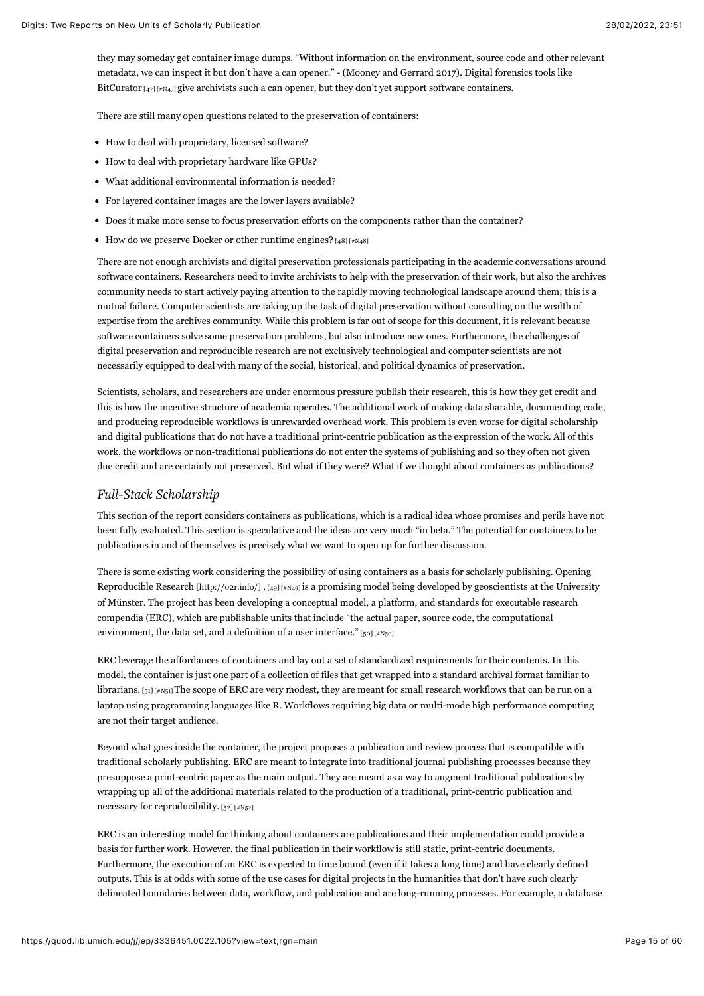they may someday get container image dumps. "Without information on the environment, source code and other relevant metadata, we can inspect it but don't have a can opener." - (Mooney and Gerrard 2017). Digital forensics tools like BitCurator  $[47]$  [ $*$ N47] give archivists such a can opener, but they don't yet support software containers.

<span id="page-15-0"></span>There are still many open questions related to the preservation of containers:

- How to deal with proprietary, licensed software?
- How to deal with proprietary hardware like GPUs?
- What additional environmental information is needed?
- For layered container images are the lower layers available?
- Does it make more sense to focus preservation efforts on the components rather than the container?
- How do we preserve Docker or other runtime engines?  $[48]$  [ $\#N48$ ]

<span id="page-15-1"></span>There are not enough archivists and digital preservation professionals participating in the academic conversations around software containers. Researchers need to invite archivists to help with the preservation of their work, but also the archives community needs to start actively paying attention to the rapidly moving technological landscape around them; this is a mutual failure. Computer scientists are taking up the task of digital preservation without consulting on the wealth of expertise from the archives community. While this problem is far out of scope for this document, it is relevant because software containers solve some preservation problems, but also introduce new ones. Furthermore, the challenges of digital preservation and reproducible research are not exclusively technological and computer scientists are not necessarily equipped to deal with many of the social, historical, and political dynamics of preservation.

Scientists, scholars, and researchers are under enormous pressure publish their research, this is how they get credit and this is how the incentive structure of academia operates. The additional work of making data sharable, documenting code, and producing reproducible workflows is unrewarded overhead work. This problem is even worse for digital scholarship and digital publications that do not have a traditional print-centric publication as the expression of the work. All of this work, the workflows or non-traditional publications do not enter the systems of publishing and so they often not given due credit and are certainly not preserved. But what if they were? What if we thought about containers as publications?

# *Full-Stack Scholarship*

This section of the report considers containers as publications, which is a radical idea whose promises and perils have not been fully evaluated. This section is speculative and the ideas are very much "in beta." The potential for containers to be publications in and of themselves is precisely what we want to open up for further discussion.

<span id="page-15-2"></span>[There is some existing work considering the possibility of using containers as a basis for scholarly publishing. Opening](http://o2r.info/) Reproducible Research [http://o2r.info/] , [\[49\] \[#N49\]](#page-53-17) is a promising model being developed by geoscientists at the University of Münster. The project has been developing a conceptual model, a platform, and standards for executable research compendia (ERC), which are publishable units that include "the actual paper, source code, the computational environment, the data set, and a definition of a user interface." [\[50\] \[#N50\]](#page-53-18)

<span id="page-15-4"></span><span id="page-15-3"></span>ERC leverage the affordances of containers and lay out a set of standardized requirements for their contents. In this model, the container is just one part of a collection of files that get wrapped into a standard archival format familiar to librarians. [\[51\] \[#N51\]](#page-53-19) The scope of ERC are very modest, they are meant for small research workflows that can be run on a laptop using programming languages like R. Workflows requiring big data or multi-mode high performance computing are not their target audience.

Beyond what goes inside the container, the project proposes a publication and review process that is compatible with traditional scholarly publishing. ERC are meant to integrate into traditional journal publishing processes because they presuppose a print-centric paper as the main output. They are meant as a way to augment traditional publications by wrapping up all of the additional materials related to the production of a traditional, print-centric publication and necessary for reproducibility. [\[52\] \[#N52\]](#page-53-20)

<span id="page-15-5"></span>ERC is an interesting model for thinking about containers are publications and their implementation could provide a basis for further work. However, the final publication in their workflow is still static, print-centric documents. Furthermore, the execution of an ERC is expected to time bound (even if it takes a long time) and have clearly defined outputs. This is at odds with some of the use cases for digital projects in the humanities that don't have such clearly delineated boundaries between data, workflow, and publication and are long-running processes. For example, a database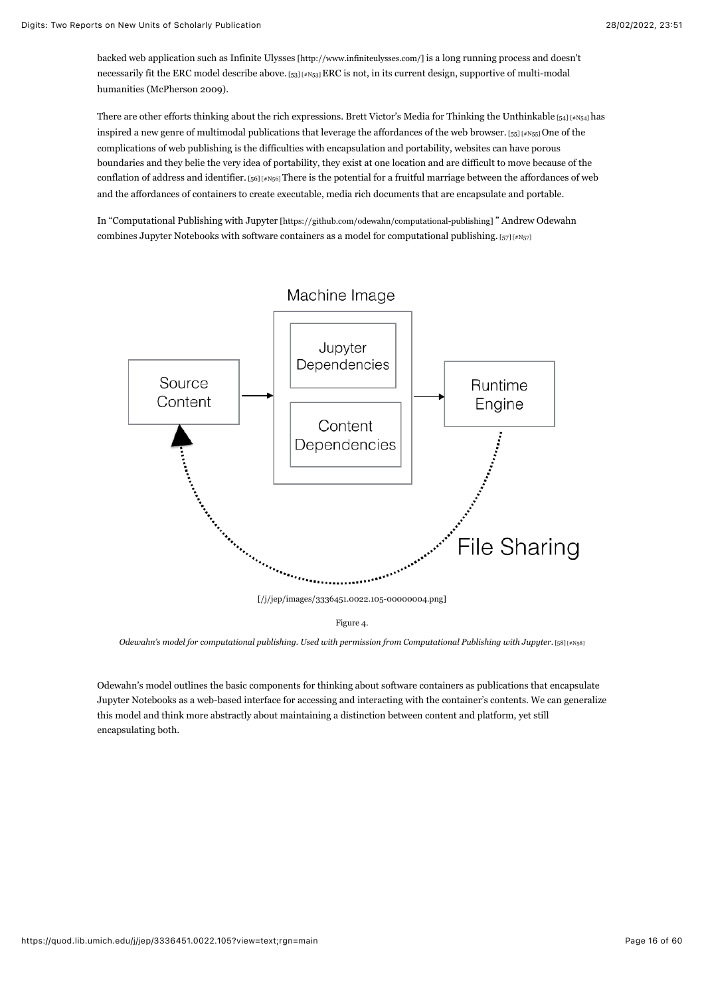<span id="page-16-0"></span>backed web application such as [Infinite Ulysses \[http://www.infiniteulysses.com/\]](http://www.infiniteulysses.com/) is a long running process and doesn't necessarily fit the ERC model describe above. [\[53\] \[#N53\]](#page-53-21) ERC is not, in its current design, supportive of multi-modal humanities (McPherson 2009).

<span id="page-16-2"></span><span id="page-16-1"></span>There are other efforts thinking about the rich expressions. Brett Victor's Media for Thinking the Unthinkable  $[54]$  [#N54] has inspired a new genre of multimodal publications that leverage the affordances of the web browser. [\[55\] \[#N55\] O](#page-53-23)ne of the complications of web publishing is the difficulties with encapsulation and portability, websites can have porous boundaries and they belie the very idea of portability, they exist at one location and are difficult to move because of the conflation of address and identifier.  $[56]$  [#N56] There is the potential for a fruitful marriage between the affordances of web and the affordances of containers to create executable, media rich documents that are encapsulate and portable.

<span id="page-16-3"></span>In ["Computational Publishing with Jupyter \[https://github.com/odewahn/computational-publishing\] "](https://github.com/odewahn/computational-publishing) Andrew Odewahn combines Jupyter Notebooks with software containers as a model for computational publishing. [\[57\] \[#N57\]](#page-53-25)

<span id="page-16-4"></span>

<span id="page-16-5"></span>*Odewahn's model for computational publishing. Used with permission from Computational Publishing with Jupyter.* [\[58\] \[#N58\]](#page-53-26)

Odewahn's model outlines the basic components for thinking about software containers as publications that encapsulate Jupyter Notebooks as a web-based interface for accessing and interacting with the container's contents. We can generalize this model and think more abstractly about maintaining a distinction between content and platform, yet still encapsulating both.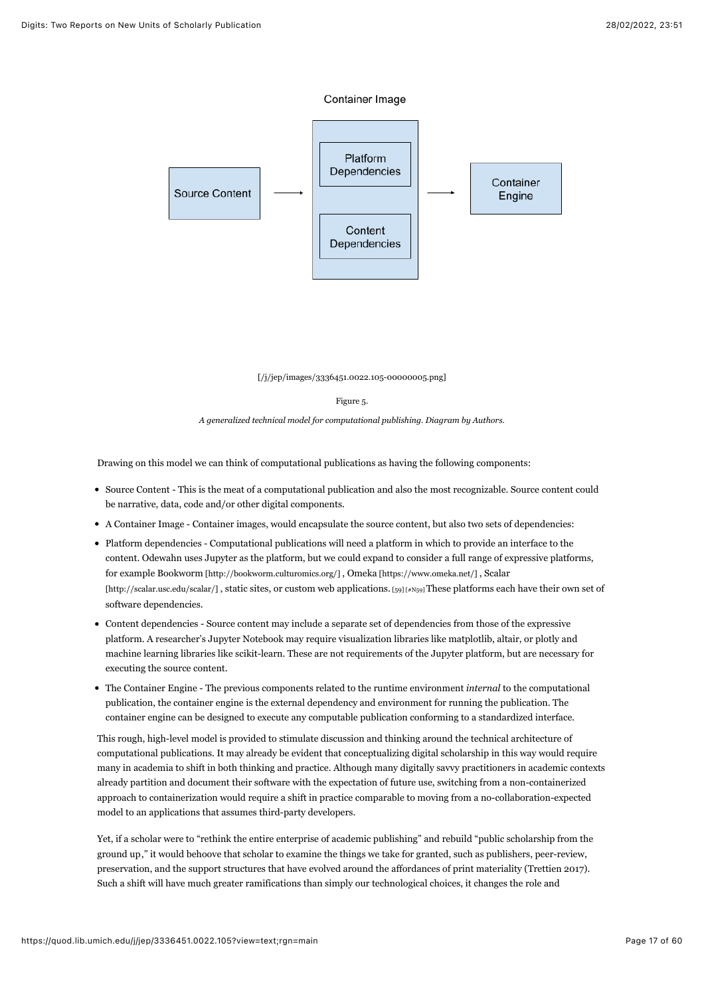



[\[/j/jep/images/3336451.0022.105-00000005.png\]](https://quod.lib.umich.edu/j/jep/images/3336451.0022.105-00000005.png)

#### <span id="page-17-0"></span>Figure 5.

*A generalized technical model for computational publishing. Diagram by Authors.*

Drawing on this model we can think of computational publications as having the following components:

- Source Content This is the meat of a computational publication and also the most recognizable. Source content could be narrative, data, code and/or other digital components.
- A Container Image Container images, would encapsulate the source content, but also two sets of dependencies:
- Platform dependencies Computational publications will need a platform in which to provide an interface to the content. Odewahn uses Jupyter as the platform, but we could expand to consider a full range of expressive platforms, [for example B](http://scalar.usc.edu/scalar/)[ookworm \[http://bookworm.culturomics.org/\]](http://bookworm.culturomics.org/) [,](http://scalar.usc.edu/scalar/) [Omeka \[https://www.omeka.net/\]](https://www.omeka.net/) [, Scalar](http://scalar.usc.edu/scalar/) [http://scalar.usc.edu/scalar/], static sites, or custom web applications. [\[59\] \[#N59\]](#page-54-0) These platforms each have their own set of software dependencies.
- Content dependencies Source content may include a separate set of dependencies from those of the expressive platform. A researcher's Jupyter Notebook may require visualization libraries like matplotlib, altair, or plotly and machine learning libraries like scikit-learn. These are not requirements of the Jupyter platform, but are necessary for executing the source content.
- The Container Engine The previous components related to the runtime environment *internal* to the computational publication, the container engine is the external dependency and environment for running the publication. The container engine can be designed to execute any computable publication conforming to a standardized interface.

This rough, high-level model is provided to stimulate discussion and thinking around the technical architecture of computational publications. It may already be evident that conceptualizing digital scholarship in this way would require many in academia to shift in both thinking and practice. Although many digitally savvy practitioners in academic contexts already partition and document their software with the expectation of future use, switching from a non-containerized approach to containerization would require a shift in practice comparable to moving from a no-collaboration-expected model to an applications that assumes third-party developers.

Yet, if a scholar were to "rethink the entire enterprise of academic publishing" and rebuild "public scholarship from the ground up," it would behoove that scholar to examine the things we take for granted, such as publishers, peer-review, preservation, and the support structures that have evolved around the affordances of print materiality (Trettien 2017). Such a shift will have much greater ramifications than simply our technological choices, it changes the role and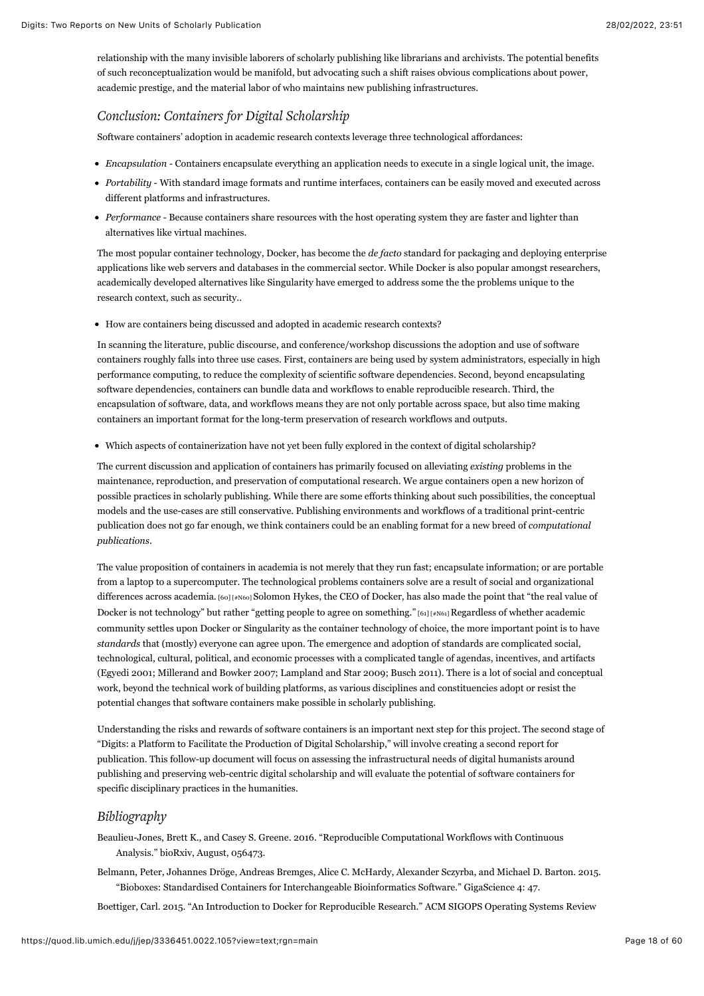relationship with the many invisible laborers of scholarly publishing like librarians and archivists. The potential benefits of such reconceptualization would be manifold, but advocating such a shift raises obvious complications about power, academic prestige, and the material labor of who maintains new publishing infrastructures.

# *Conclusion: Containers for Digital Scholarship*

Software containers' adoption in academic research contexts leverage three technological affordances:

- *Encapsulation* Containers encapsulate everything an application needs to execute in a single logical unit, the image.
- *Portability* With standard image formats and runtime interfaces, containers can be easily moved and executed across different platforms and infrastructures.
- *Performance -* Because containers share resources with the host operating system they are faster and lighter than alternatives like virtual machines.

The most popular container technology, Docker, has become the *de facto* standard for packaging and deploying enterprise applications like web servers and databases in the commercial sector. While Docker is also popular amongst researchers, academically developed alternatives like Singularity have emerged to address some the the problems unique to the research context, such as security..

How are containers being discussed and adopted in academic research contexts?

In scanning the literature, public discourse, and conference/workshop discussions the adoption and use of software containers roughly falls into three use cases. First, containers are being used by system administrators, especially in high performance computing, to reduce the complexity of scientific software dependencies. Second, beyond encapsulating software dependencies, containers can bundle data and workflows to enable reproducible research. Third, the encapsulation of software, data, and workflows means they are not only portable across space, but also time making containers an important format for the long-term preservation of research workflows and outputs.

Which aspects of containerization have not yet been fully explored in the context of digital scholarship?

The current discussion and application of containers has primarily focused on alleviating *existing* problems in the maintenance, reproduction, and preservation of computational research. We argue containers open a new horizon of possible practices in scholarly publishing. While there are some efforts thinking about such possibilities, the conceptual models and the use-cases are still conservative. Publishing environments and workflows of a traditional print-centric publication does not go far enough, we think containers could be an enabling format for a new breed of *computational publications*.

<span id="page-18-1"></span><span id="page-18-0"></span>The value proposition of containers in academia is not merely that they run fast; encapsulate information; or are portable from a laptop to a supercomputer. The technological problems containers solve are a result of social and organizational differences across academia. [\[60\] \[#N60\]](#page-54-1) Solomon Hykes, the CEO of Docker, has also made the point that "the real value of Docker is not technology" but rather "getting people to agree on something." [\[61\] \[#N61\] R](#page-54-2)egardless of whether academic community settles upon Docker or Singularity as the container technology of choice, the more important point is to have *standards* that (mostly) everyone can agree upon. The emergence and adoption of standards are complicated social, technological, cultural, political, and economic processes with a complicated tangle of agendas, incentives, and artifacts (Egyedi 2001; Millerand and Bowker 2007; Lampland and Star 2009; Busch 2011). There is a lot of social and conceptual work, beyond the technical work of building platforms, as various disciplines and constituencies adopt or resist the potential changes that software containers make possible in scholarly publishing.

Understanding the risks and rewards of software containers is an important next step for this project. The second stage of "Digits: a Platform to Facilitate the Production of Digital Scholarship," will involve creating a second report for publication. This follow-up document will focus on assessing the infrastructural needs of digital humanists around publishing and preserving web-centric digital scholarship and will evaluate the potential of software containers for specific disciplinary practices in the humanities.

# *Bibliography*

Beaulieu-Jones, Brett K., and Casey S. Greene. 2016. "Reproducible Computational Workflows with Continuous Analysis." bioRxiv, August, 056473.

Belmann, Peter, Johannes Dröge, Andreas Bremges, Alice C. McHardy, Alexander Sczyrba, and Michael D. Barton. 2015. "Bioboxes: Standardised Containers for Interchangeable Bioinformatics Software." GigaScience 4: 47.

Boettiger, Carl. 2015. "An Introduction to Docker for Reproducible Research." ACM SIGOPS Operating Systems Review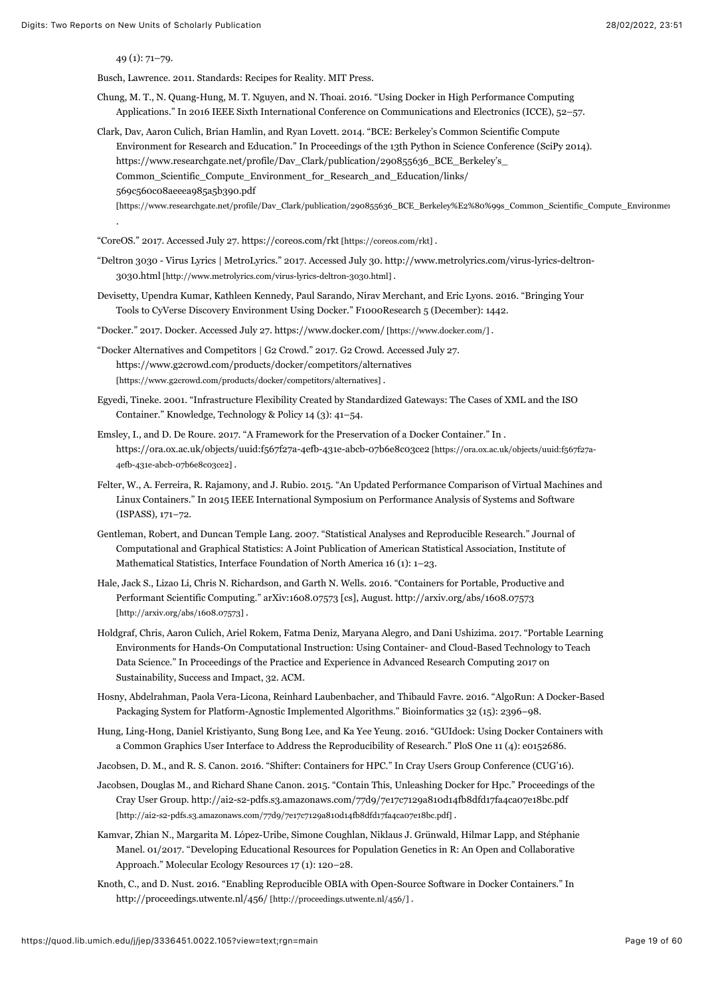49 (1): 71–79.

Busch, Lawrence. 2011. Standards: Recipes for Reality. MIT Press.

- Chung, M. T., N. Quang-Hung, M. T. Nguyen, and N. Thoai. 2016. "Using Docker in High Performance Computing Applications." In 2016 IEEE Sixth International Conference on Communications and Electronics (ICCE), 52–57.
- Clark, Dav, Aaron Culich, Brian Hamlin, and Ryan Lovett. 2014. "BCE: Berkeley's Common Scientific Compute Environment for Research and Education." In Proceedings of the 13th Python in Science Conference (SciPy 2014). https://www.researchgate.net/profile/Dav\_Clark/publication/290855636\_BCE\_Berkeley's\_ Common Scientific Compute Environment for Research and Education/links/ 569c560c08aeeea985a5b390.pdf
	- [https://www.researchgate.net/profile/Dav\_Clark/publication/290855636\_BCE\_Berkeley%E2%80%99s\_Common\_Scientific\_Compute\_Environment .

"CoreOS." 2017. Accessed July 27. [https://coreos.com/rkt \[https://coreos.com/rkt\]](https://coreos.com/rkt) .

- "Del[tron 3030 Virus Lyrics | MetroLyrics." 2017. Accessed July 30. http://www.metrolyrics.com/virus-lyrics-deltron-](http://www.metrolyrics.com/virus-lyrics-deltron-3030.html)3030.html [http://www.metrolyrics.com/virus-lyrics-deltron-3030.html] .
- Devisetty, Upendra Kumar, Kathleen Kennedy, Paul Sarando, Nirav Merchant, and Eric Lyons. 2016. "Bringing Your Tools to CyVerse Discovery Environment Using Docker." F1000Research 5 (December): 1442.
- "Docker." 2017. Docker. Accessed July 27. [https://www.docker.com/ \[https://www.docker.com/\]](https://www.docker.com/) .
- "Docker Alternatives and Competitors | G2 Crowd." 2017. G2 Crowd. Accessed July 27. <https://www.g2crowd.com/products/docker/competitors/alternatives> [https://www.g2crowd.com/products/docker/competitors/alternatives] .
- Egyedi, Tineke. 2001. "Infrastructure Flexibility Created by Standardized Gateways: The Cases of XML and the ISO Container." Knowledge, Technology & Policy 14 (3): 41–54.
- Emsley, I., and D. De Roure. 2017. "A Framework for the Preservation of a Docker Container." In . [https://ora.ox.ac.uk/objects/uuid:f567f27a-4efb-431e-abcb-07b6e8c03ce2 \[https://ora.ox.ac.uk/objects/uuid:f567f27a-](https://ora.ox.ac.uk/objects/uuid:f567f27a-4efb-431e-abcb-07b6e8c03ce2)4efb-431e-abcb-07b6e8c03ce2] .
- Felter, W., A. Ferreira, R. Rajamony, and J. Rubio. 2015. "An Updated Performance Comparison of Virtual Machines and Linux Containers." In 2015 IEEE International Symposium on Performance Analysis of Systems and Software (ISPASS), 171–72.
- Gentleman, Robert, and Duncan Temple Lang. 2007. "Statistical Analyses and Reproducible Research." Journal of Computational and Graphical Statistics: A Joint Publication of American Statistical Association, Institute of Mathematical Statistics, Interface Foundation of North America 16 (1): 1–23.
- Hale, Jack S., Lizao Li, Chris N. Richardson, and Garth N. Wells. 2016. "Containers for Portable, Productive and [Performant Scientific Computing." arXiv:1608.07573 \[cs\], August. http://arxiv.org/abs/1608.07573](http://arxiv.org/abs/1608.07573) [http://arxiv.org/abs/1608.07573] .
- Holdgraf, Chris, Aaron Culich, Ariel Rokem, Fatma Deniz, Maryana Alegro, and Dani Ushizima. 2017. "Portable Learning Environments for Hands-On Computational Instruction: Using Container- and Cloud-Based Technology to Teach Data Science." In Proceedings of the Practice and Experience in Advanced Research Computing 2017 on Sustainability, Success and Impact, 32. ACM.
- Hosny, Abdelrahman, Paola Vera-Licona, Reinhard Laubenbacher, and Thibauld Favre. 2016. "AlgoRun: A Docker-Based Packaging System for Platform-Agnostic Implemented Algorithms." Bioinformatics 32 (15): 2396–98.
- Hung, Ling-Hong, Daniel Kristiyanto, Sung Bong Lee, and Ka Yee Yeung. 2016. "GUIdock: Using Docker Containers with a Common Graphics User Interface to Address the Reproducibility of Research." PloS One 11 (4): e0152686.
- Jacobsen, D. M., and R. S. Canon. 2016. "Shifter: Containers for HPC." In Cray Users Group Conference (CUG'16).
- Jacobsen, Douglas M., and Richard Shane Canon. 2015. "Contain This, Unleashing Docker for Hpc." Proceedings of the [Cray User Group. http://ai2-s2-pdfs.s3.amazonaws.com/77d9/7e17c7129a810d14fb8dfd17fa4ca07e18bc.pdf](http://ai2-s2-pdfs.s3.amazonaws.com/77d9/7e17c7129a810d14fb8dfd17fa4ca07e18bc.pdf)  $[http://aia-s2-pdfs.s3.amazonaws.com/77d9/7e17c7129a810d14fb8dfd17fa4ca07e18bc.pdf]\,.$
- Kamvar, Zhian N., Margarita M. López-Uribe, Simone Coughlan, Niklaus J. Grünwald, Hilmar Lapp, and Stéphanie Manel. 01/2017. "Developing Educational Resources for Population Genetics in R: An Open and Collaborative Approach." Molecular Ecology Resources 17 (1): 120–28.
- Knoth, C., and D. Nust. 2016. "Enabling Reproducible OBIA with Open-Source Software in Docker Containers." In [http://proceedings.utwente.nl/456/ \[http://proceedings.utwente.nl/456/\]](http://proceedings.utwente.nl/456/) .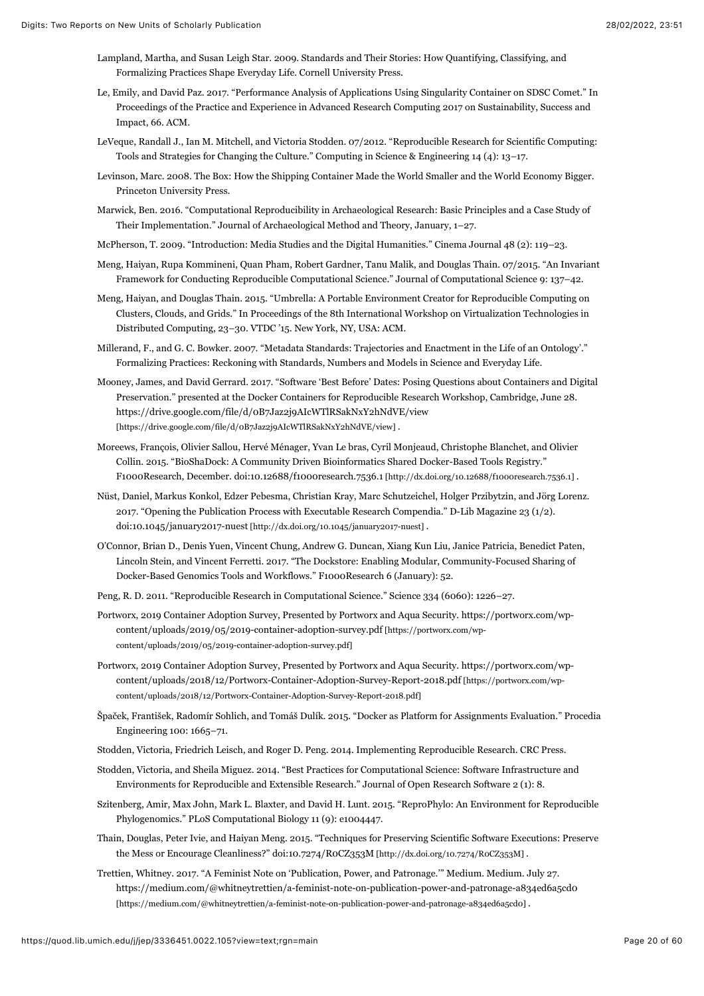- Lampland, Martha, and Susan Leigh Star. 2009. Standards and Their Stories: How Quantifying, Classifying, and Formalizing Practices Shape Everyday Life. Cornell University Press.
- Le, Emily, and David Paz. 2017. "Performance Analysis of Applications Using Singularity Container on SDSC Comet." In Proceedings of the Practice and Experience in Advanced Research Computing 2017 on Sustainability, Success and Impact, 66. ACM.
- LeVeque, Randall J., Ian M. Mitchell, and Victoria Stodden. 07/2012. "Reproducible Research for Scientific Computing: Tools and Strategies for Changing the Culture." Computing in Science & Engineering 14 (4): 13–17.
- Levinson, Marc. 2008. The Box: How the Shipping Container Made the World Smaller and the World Economy Bigger. Princeton University Press.
- Marwick, Ben. 2016. "Computational Reproducibility in Archaeological Research: Basic Principles and a Case Study of Their Implementation." Journal of Archaeological Method and Theory, January, 1–27.
- McPherson, T. 2009. "Introduction: Media Studies and the Digital Humanities." Cinema Journal 48 (2): 119–23.
- Meng, Haiyan, Rupa Kommineni, Quan Pham, Robert Gardner, Tanu Malik, and Douglas Thain. 07/2015. "An Invariant Framework for Conducting Reproducible Computational Science." Journal of Computational Science 9: 137–42.
- Meng, Haiyan, and Douglas Thain. 2015. "Umbrella: A Portable Environment Creator for Reproducible Computing on Clusters, Clouds, and Grids." In Proceedings of the 8th International Workshop on Virtualization Technologies in Distributed Computing, 23–30. VTDC '15. New York, NY, USA: ACM.
- Millerand, F., and G. C. Bowker. 2007. "Metadata Standards: Trajectories and Enactment in the Life of an Ontology'." Formalizing Practices: Reckoning with Standards, Numbers and Models in Science and Everyday Life.
- Mooney, James, and David Gerrard. 2017. "Software 'Best Before' Dates: Posing Questions about Containers and Digital Preservation." presented at the Docker Containers for Reproducible Research Workshop, Cambridge, June 28. <https://drive.google.com/file/d/0B7Jaz2j9AIcWTlRSakNxY2hNdVE/view> [https://drive.google.com/file/d/0B7Jaz2j9AIcWTlRSakNxY2hNdVE/view] .
- Moreews, François, Olivier Sallou, Hervé Ménager, Yvan Le bras, Cyril Monjeaud, Christophe Blanchet, and Olivier Collin. 2015. "BioShaDock: A Community Driven Bioinformatics Shared Docker-Based Tools Registry." F1000Research, December. doi:[10.12688/f1000research.7536.1 \[http://dx.doi.org/10.12688/f1000research.7536.1\]](http://dx.doi.org/10.12688/f1000research.7536.1) .
- Nüst, Daniel, Markus Konkol, Edzer Pebesma, Christian Kray, Marc Schutzeichel, Holger Przibytzin, and Jörg Lorenz. 2017. "Opening the Publication Process with Executable Research Compendia." D-Lib Magazine 23 (1/2). doi:[10.1045/january2017-nuest \[http://dx.doi.org/10.1045/january2017-nuest\]](http://dx.doi.org/10.1045/january2017-nuest) .
- O'Connor, Brian D., Denis Yuen, Vincent Chung, Andrew G. Duncan, Xiang Kun Liu, Janice Patricia, Benedict Paten, Lincoln Stein, and Vincent Ferretti. 2017. "The Dockstore: Enabling Modular, Community-Focused Sharing of Docker-Based Genomics Tools and Workflows." F1000Research 6 (January): 52.
- Peng, R. D. 2011. "Reproducible Research in Computational Science." Science 334 (6060): 1226–27.
- Port[worx, 2019 Container Adoption Survey, Presented by Portworx and Aqua Security. https://portworx.com/wp](https://portworx.com/wp-content/uploads/2019/05/2019-container-adoption-survey.pdf)content/uploads/2019/05/2019-container-adoption-survey.pdf [https://portworx.com/wpcontent/uploads/2019/05/2019-container-adoption-survey.pdf]
- Port[worx, 2019 Container Adoption Survey, Presented by Portworx and Aqua Security. https://portworx.com/wp](https://portworx.com/wp-content/uploads/2018/12/Portworx-Container-Adoption-Survey-Report-2018.pdf)content/uploads/2018/12/Portworx-Container-Adoption-Survey-Report-2018.pdf [https://portworx.com/wpcontent/uploads/2018/12/Portworx-Container-Adoption-Survey-Report-2018.pdf]
- Špaček, František, Radomír Sohlich, and Tomáš Dulík. 2015. "Docker as Platform for Assignments Evaluation." Procedia Engineering 100: 1665–71.
- Stodden, Victoria, Friedrich Leisch, and Roger D. Peng. 2014. Implementing Reproducible Research. CRC Press.
- Stodden, Victoria, and Sheila Miguez. 2014. "Best Practices for Computational Science: Software Infrastructure and Environments for Reproducible and Extensible Research." Journal of Open Research Software 2 (1): 8.
- Szitenberg, Amir, Max John, Mark L. Blaxter, and David H. Lunt. 2015. "ReproPhylo: An Environment for Reproducible Phylogenomics." PLoS Computational Biology 11 (9): e1004447.
- Thain, Douglas, Peter Ivie, and Haiyan Meng. 2015. "Techniques for Preserving Scientific Software Executions: Preserve the Mess or Encourage Cleanliness?" doi:[10.7274/R0CZ353M \[http://dx.doi.org/10.7274/R0CZ353M\] .](http://dx.doi.org/10.7274/R0CZ353M)
- Trettien, Whitney. 2017. "A Feminist Note on 'Publication, Power, and Patronage.'" Medium. Medium. July 27. <https://medium.com/@whitneytrettien/a-feminist-note-on-publication-power-and-patronage-a834ed6a5cd0> [https://medium.com/@whitneytrettien/a-feminist-note-on-publication-power-and-patronage-a834ed6a5cd0] .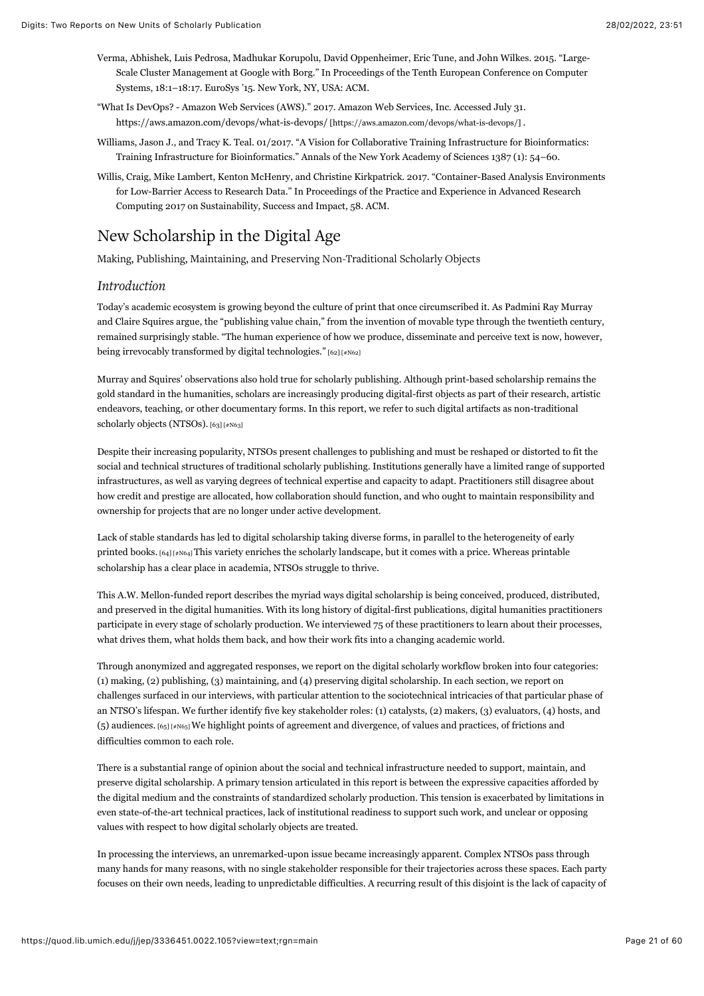- Verma, Abhishek, Luis Pedrosa, Madhukar Korupolu, David Oppenheimer, Eric Tune, and John Wilkes. 2015. "Large-Scale Cluster Management at Google with Borg." In Proceedings of the Tenth European Conference on Computer Systems, 18:1–18:17. EuroSys '15. New York, NY, USA: ACM.
- "What Is DevOps? Amazon Web Services (AWS)." 2017. Amazon Web Services, Inc. Accessed July 31. [https://aws.amazon.com/devops/what-is-devops/ \[https://aws.amazon.com/devops/what-is-devops/\]](https://aws.amazon.com/devops/what-is-devops/) .
- Williams, Jason J., and Tracy K. Teal. 01/2017. "A Vision for Collaborative Training Infrastructure for Bioinformatics: Training Infrastructure for Bioinformatics." Annals of the New York Academy of Sciences 1387 (1): 54–60.
- Willis, Craig, Mike Lambert, Kenton McHenry, and Christine Kirkpatrick. 2017. "Container-Based Analysis Environments for Low-Barrier Access to Research Data." In Proceedings of the Practice and Experience in Advanced Research Computing 2017 on Sustainability, Success and Impact, 58. ACM.

# New Scholarship in the Digital Age

Making, Publishing, Maintaining, and Preserving Non-Traditional Scholarly Objects

# *Introduction*

Today's academic ecosystem is growing beyond the culture of print that once circumscribed it. As Padmini Ray Murray and Claire Squires argue, the "publishing value chain," from the invention of movable type through the twentieth century, remained surprisingly stable. "The human experience of how we produce, disseminate and perceive text is now, however, being irrevocably transformed by digital technologies." [\[62\] \[#N62\]](#page-54-3)

<span id="page-21-0"></span>Murray and Squires' observations also hold true for scholarly publishing. Although print-based scholarship remains the gold standard in the humanities, scholars are increasingly producing digital-first objects as part of their research, artistic endeavors, teaching, or other documentary forms. In this report, we refer to such digital artifacts as non-traditional scholarly objects (NTSOs). [\[63\] \[#N63\]](#page-54-4)

<span id="page-21-1"></span>Despite their increasing popularity, NTSOs present challenges to publishing and must be reshaped or distorted to fit the social and technical structures of traditional scholarly publishing. Institutions generally have a limited range of supported infrastructures, as well as varying degrees of technical expertise and capacity to adapt. Practitioners still disagree about how credit and prestige are allocated, how collaboration should function, and who ought to maintain responsibility and ownership for projects that are no longer under active development.

<span id="page-21-2"></span>Lack of stable standards has led to digital scholarship taking diverse forms, in parallel to the heterogeneity of early printed books. [\[64\] \[#N64\] T](#page-54-5)his variety enriches the scholarly landscape, but it comes with a price. Whereas printable scholarship has a clear place in academia, NTSOs struggle to thrive.

This A.W. Mellon-funded report describes the myriad ways digital scholarship is being conceived, produced, distributed, and preserved in the digital humanities. With its long history of digital-first publications, digital humanities practitioners participate in every stage of scholarly production. We interviewed 75 of these practitioners to learn about their processes, what drives them, what holds them back, and how their work fits into a changing academic world.

Through anonymized and aggregated responses, we report on the digital scholarly workflow broken into four categories: (1) making, (2) publishing, (3) maintaining, and (4) preserving digital scholarship. In each section, we report on challenges surfaced in our interviews, with particular attention to the sociotechnical intricacies of that particular phase of an NTSO's lifespan. We further identify five key stakeholder roles: (1) catalysts, (2) makers, (3) evaluators, (4) hosts, and (5) audiences. [\[65\] \[#N65\] W](#page-54-6)e highlight points of agreement and divergence, of values and practices, of frictions and difficulties common to each role.

<span id="page-21-3"></span>There is a substantial range of opinion about the social and technical infrastructure needed to support, maintain, and preserve digital scholarship. A primary tension articulated in this report is between the expressive capacities afforded by the digital medium and the constraints of standardized scholarly production. This tension is exacerbated by limitations in even state-of-the-art technical practices, lack of institutional readiness to support such work, and unclear or opposing values with respect to how digital scholarly objects are treated.

In processing the interviews, an unremarked-upon issue became increasingly apparent. Complex NTSOs pass through many hands for many reasons, with no single stakeholder responsible for their trajectories across these spaces. Each party focuses on their own needs, leading to unpredictable difficulties. A recurring result of this disjoint is the lack of capacity of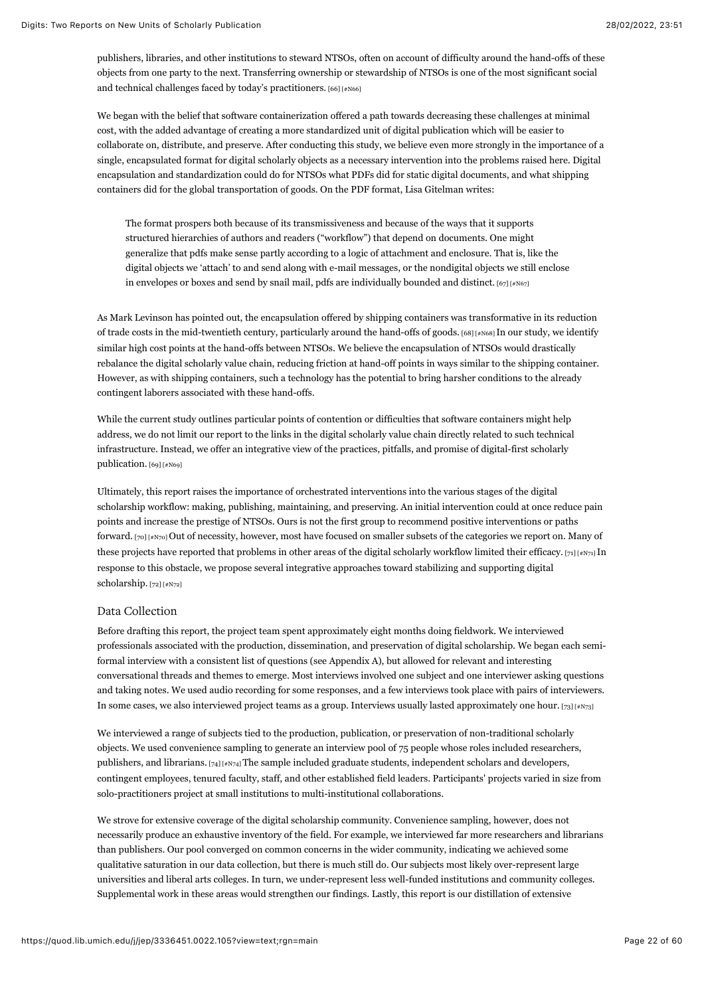publishers, libraries, and other institutions to steward NTSOs, often on account of difficulty around the hand-offs of these objects from one party to the next. Transferring ownership or stewardship of NTSOs is one of the most significant social and technical challenges faced by today's practitioners. [\[66\] \[#N66\]](#page-54-7)

<span id="page-22-0"></span>We began with the belief that software containerization offered a path towards decreasing these challenges at minimal cost, with the added advantage of creating a more standardized unit of digital publication which will be easier to collaborate on, distribute, and preserve. After conducting this study, we believe even more strongly in the importance of a single, encapsulated format for digital scholarly objects as a necessary intervention into the problems raised here. Digital encapsulation and standardization could do for NTSOs what PDFs did for static digital documents, and what shipping containers did for the global transportation of goods. On the PDF format, Lisa Gitelman writes:

<span id="page-22-2"></span><span id="page-22-1"></span>The format prospers both because of its transmissiveness and because of the ways that it supports structured hierarchies of authors and readers ("workflow") that depend on documents. One might generalize that pdfs make sense partly according to a logic of attachment and enclosure. That is, like the digital objects we 'attach' to and send along with e-mail messages, or the nondigital objects we still enclose in envelopes or boxes and send by snail mail, pdfs are individually bounded and distinct.  $[67]$  [#N67]

As Mark Levinson has pointed out, the encapsulation offered by shipping containers was transformative in its reduction of trade costs in the mid-twentieth century, particularly around the hand-offs of goods. [\[68\] \[#N68\]](#page-54-9) In our study, we identify similar high cost points at the hand-offs between NTSOs. We believe the encapsulation of NTSOs would drastically rebalance the digital scholarly value chain, reducing friction at hand-off points in ways similar to the shipping container. However, as with shipping containers, such a technology has the potential to bring harsher conditions to the already contingent laborers associated with these hand-offs.

While the current study outlines particular points of contention or difficulties that software containers might help address, we do not limit our report to the links in the digital scholarly value chain directly related to such technical infrastructure. Instead, we offer an integrative view of the practices, pitfalls, and promise of digital-first scholarly publication. [\[69\] \[#N69\]](#page-54-10)

<span id="page-22-4"></span><span id="page-22-3"></span>Ultimately, this report raises the importance of orchestrated interventions into the various stages of the digital scholarship workflow: making, publishing, maintaining, and preserving. An initial intervention could at once reduce pain points and increase the prestige of NTSOs. Ours is not the first group to recommend positive interventions or paths forward. [\[70\] \[#N70\] O](#page-54-11)ut of necessity, however, most have focused on smaller subsets of the categories we report on. Many of these projects have reported that problems in other areas of the digital scholarly workflow limited their efficacy. [\[71\] \[#N71\] I](#page-55-0)n response to this obstacle, we propose several integrative approaches toward stabilizing and supporting digital scholarship. [\[72\] \[#N72\]](#page-55-1)

## <span id="page-22-6"></span><span id="page-22-5"></span>Data Collection

Before drafting this report, the project team spent approximately eight months doing fieldwork. We interviewed professionals associated with the production, dissemination, and preservation of digital scholarship. We began each semiformal interview with a consistent list of questions (see Appendix A), but allowed for relevant and interesting conversational threads and themes to emerge. Most interviews involved one subject and one interviewer asking questions and taking notes. We used audio recording for some responses, and a few interviews took place with pairs of interviewers. In some cases, we also interviewed project teams as a group. Interviews usually lasted approximately one hour. [\[73\] \[#N73\]](#page-55-2)

<span id="page-22-8"></span><span id="page-22-7"></span>We interviewed a range of subjects tied to the production, publication, or preservation of non-traditional scholarly objects. We used convenience sampling to generate an interview pool of 75 people whose roles included researchers, publishers, and librarians. [\[74\] \[#N74\]](#page-55-3) The sample included graduate students, independent scholars and developers, contingent employees, tenured faculty, staff, and other established field leaders. Participants' projects varied in size from solo-practitioners project at small institutions to multi-institutional collaborations.

We strove for extensive coverage of the digital scholarship community. Convenience sampling, however, does not necessarily produce an exhaustive inventory of the field. For example, we interviewed far more researchers and librarians than publishers. Our pool converged on common concerns in the wider community, indicating we achieved some qualitative saturation in our data collection, but there is much still do. Our subjects most likely over-represent large universities and liberal arts colleges. In turn, we under-represent less well-funded institutions and community colleges. Supplemental work in these areas would strengthen our findings. Lastly, this report is our distillation of extensive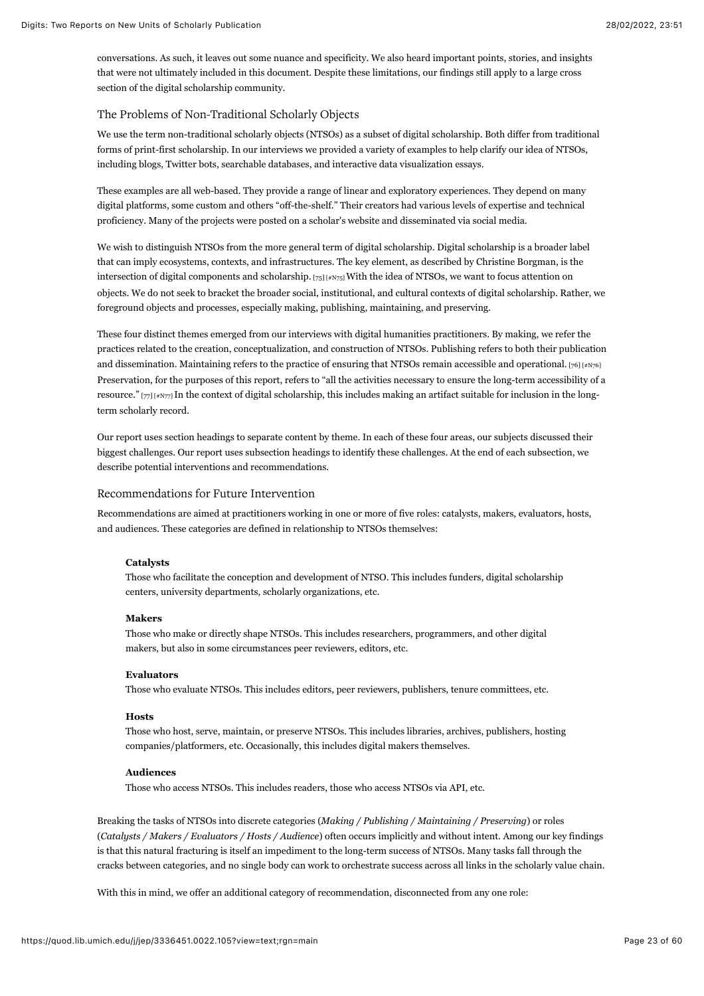conversations. As such, it leaves out some nuance and specificity. We also heard important points, stories, and insights that were not ultimately included in this document. Despite these limitations, our findings still apply to a large cross section of the digital scholarship community.

## The Problems of Non-Traditional Scholarly Objects

We use the term non-traditional scholarly objects (NTSOs) as a subset of digital scholarship. Both differ from traditional forms of print-first scholarship. In our interviews we provided a variety of examples to help clarify our idea of NTSOs, including blogs, Twitter bots, searchable databases, and interactive data visualization essays.

These examples are all web-based. They provide a range of linear and exploratory experiences. They depend on many digital platforms, some custom and others "off-the-shelf." Their creators had various levels of expertise and technical proficiency. Many of the projects were posted on a scholar's website and disseminated via social media.

<span id="page-23-0"></span>We wish to distinguish NTSOs from the more general term of digital scholarship. Digital scholarship is a broader label that can imply ecosystems, contexts, and infrastructures. The key element, as described by Christine Borgman, is the intersection of digital components and scholarship. [\[75\] \[#N75\] W](#page-55-4)ith the idea of NTSOs, we want to focus attention on objects. We do not seek to bracket the broader social, institutional, and cultural contexts of digital scholarship. Rather, we foreground objects and processes, especially making, publishing, maintaining, and preserving.

<span id="page-23-1"></span>These four distinct themes emerged from our interviews with digital humanities practitioners. By making, we refer the practices related to the creation, conceptualization, and construction of NTSOs. Publishing refers to both their publication and dissemination. Maintaining refers to the practice of ensuring that NTSOs remain accessible and operational.  $[76]$  [#N76] Preservation, for the purposes of this report, refers to "all the activities necessary to ensure the long-term accessibility of a resource." [\[77\] \[#N77\]](#page-55-6) In the context of digital scholarship, this includes making an artifact suitable for inclusion in the longterm scholarly record.

<span id="page-23-2"></span>Our report uses section headings to separate content by theme. In each of these four areas, our subjects discussed their biggest challenges. Our report uses subsection headings to identify these challenges. At the end of each subsection, we describe potential interventions and recommendations.

#### Recommendations for Future Intervention

Recommendations are aimed at practitioners working in one or more of five roles: catalysts, makers, evaluators, hosts, and audiences. These categories are defined in relationship to NTSOs themselves:

#### **Catalysts**

Those who facilitate the conception and development of NTSO. This includes funders, digital scholarship centers, university departments, scholarly organizations, etc.

#### **Makers**

Those who make or directly shape NTSOs. This includes researchers, programmers, and other digital makers, but also in some circumstances peer reviewers, editors, etc.

#### **Evaluators**

Those who evaluate NTSOs. This includes editors, peer reviewers, publishers, tenure committees, etc.

#### **Hosts**

Those who host, serve, maintain, or preserve NTSOs. This includes libraries, archives, publishers, hosting companies/platformers, etc. Occasionally, this includes digital makers themselves.

#### **Audiences**

Those who access NTSOs. This includes readers, those who access NTSOs via API, etc.

Breaking the tasks of NTSOs into discrete categories (*Making / Publishing / Maintaining / Preserving*) or roles (*Catalysts / Makers / Evaluators / Hosts / Audience*) often occurs implicitly and without intent. Among our key findings is that this natural fracturing is itself an impediment to the long-term success of NTSOs. Many tasks fall through the cracks between categories, and no single body can work to orchestrate success across all links in the scholarly value chain.

With this in mind, we offer an additional category of recommendation, disconnected from any one role: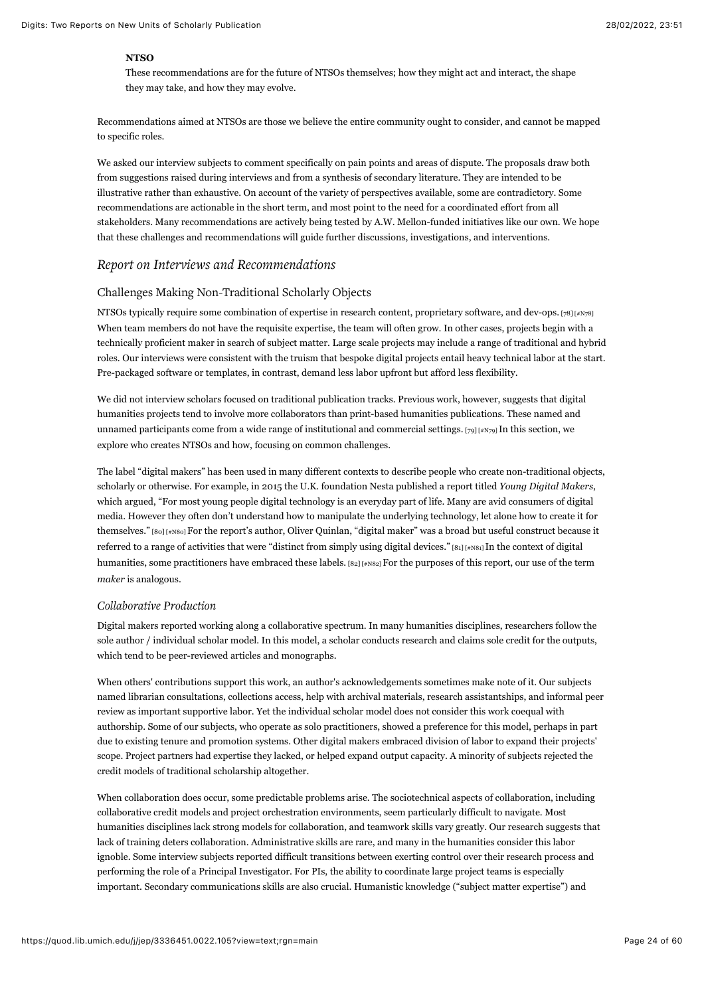## **NTSO**

These recommendations are for the future of NTSOs themselves; how they might act and interact, the shape they may take, and how they may evolve.

Recommendations aimed at NTSOs are those we believe the entire community ought to consider, and cannot be mapped to specific roles.

We asked our interview subjects to comment specifically on pain points and areas of dispute. The proposals draw both from suggestions raised during interviews and from a synthesis of secondary literature. They are intended to be illustrative rather than exhaustive. On account of the variety of perspectives available, some are contradictory. Some recommendations are actionable in the short term, and most point to the need for a coordinated effort from all stakeholders. Many recommendations are actively being tested by A.W. Mellon-funded initiatives like our own. We hope that these challenges and recommendations will guide further discussions, investigations, and interventions.

## *Report on Interviews and Recommendations*

## Challenges Making Non-Traditional Scholarly Objects

<span id="page-24-0"></span>NTSOs typically require some combination of expertise in research content, proprietary software, and dev-ops. [\[78\] \[#N78\]](#page-55-7) When team members do not have the requisite expertise, the team will often grow. In other cases, projects begin with a technically proficient maker in search of subject matter. Large scale projects may include a range of traditional and hybrid roles. Our interviews were consistent with the truism that bespoke digital projects entail heavy technical labor at the start. Pre-packaged software or templates, in contrast, demand less labor upfront but afford less flexibility.

<span id="page-24-1"></span>We did not interview scholars focused on traditional publication tracks. Previous work, however, suggests that digital humanities projects tend to involve more collaborators than print-based humanities publications. These named and unnamed participants come from a wide range of institutional and commercial settings. [\[79\] \[#N79\] I](#page-55-8)n this section, we explore who creates NTSOs and how, focusing on common challenges.

<span id="page-24-2"></span>The label "digital makers" has been used in many different contexts to describe people who create non-traditional objects, scholarly or otherwise. For example, in 2015 the U.K. foundation Nesta published a report titled *Young Digital Makers*, which argued, "For most young people digital technology is an everyday part of life. Many are avid consumers of digital media. However they often don't understand how to manipulate the underlying technology, let alone how to create it for themselves." [\[80\] \[#N80\]](#page-55-9) For the report's author, Oliver Quinlan, "digital maker" was a broad but useful construct because it referred to a range of activities that were "distinct from simply using digital devices." [\[81\] \[#N81\]](#page-55-10) In the context of digital humanities, some practitioners have embraced these labels. [\[82\] \[#N82\] F](#page-55-11)or the purposes of this report, our use of the term *maker* is analogous.

## <span id="page-24-4"></span><span id="page-24-3"></span>*Collaborative Production*

Digital makers reported working along a collaborative spectrum. In many humanities disciplines, researchers follow the sole author / individual scholar model. In this model, a scholar conducts research and claims sole credit for the outputs, which tend to be peer-reviewed articles and monographs.

When others' contributions support this work, an author's acknowledgements sometimes make note of it. Our subjects named librarian consultations, collections access, help with archival materials, research assistantships, and informal peer review as important supportive labor. Yet the individual scholar model does not consider this work coequal with authorship. Some of our subjects, who operate as solo practitioners, showed a preference for this model, perhaps in part due to existing tenure and promotion systems. Other digital makers embraced division of labor to expand their projects' scope. Project partners had expertise they lacked, or helped expand output capacity. A minority of subjects rejected the credit models of traditional scholarship altogether.

When collaboration does occur, some predictable problems arise. The sociotechnical aspects of collaboration, including collaborative credit models and project orchestration environments, seem particularly difficult to navigate. Most humanities disciplines lack strong models for collaboration, and teamwork skills vary greatly. Our research suggests that lack of training deters collaboration. Administrative skills are rare, and many in the humanities consider this labor ignoble. Some interview subjects reported difficult transitions between exerting control over their research process and performing the role of a Principal Investigator. For PIs, the ability to coordinate large project teams is especially important. Secondary communications skills are also crucial. Humanistic knowledge ("subject matter expertise") and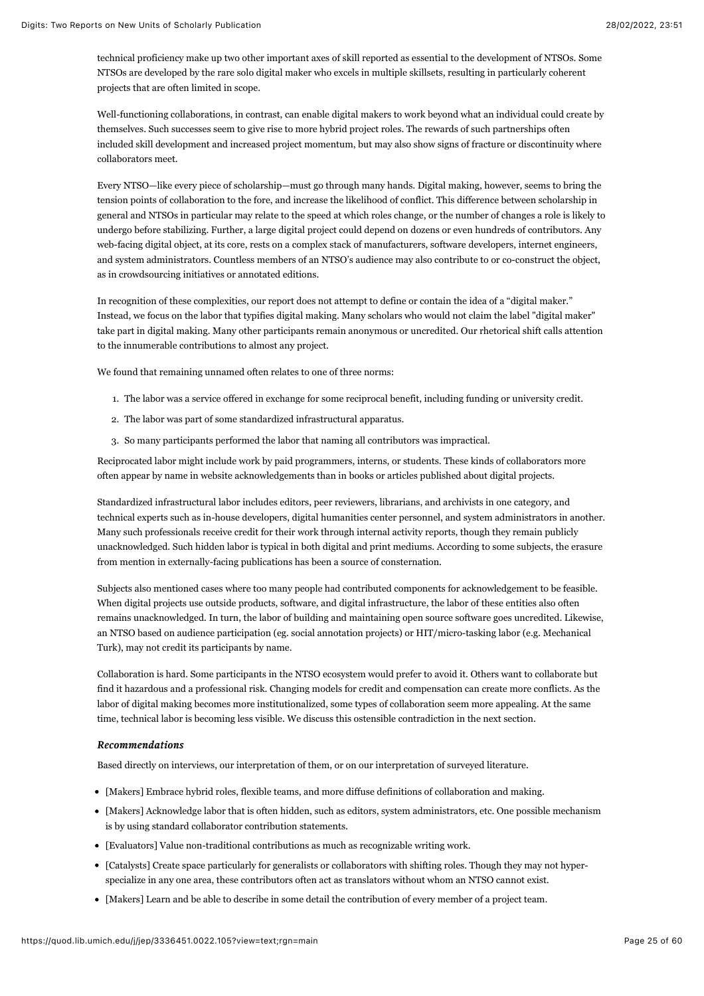technical proficiency make up two other important axes of skill reported as essential to the development of NTSOs. Some NTSOs are developed by the rare solo digital maker who excels in multiple skillsets, resulting in particularly coherent projects that are often limited in scope.

Well-functioning collaborations, in contrast, can enable digital makers to work beyond what an individual could create by themselves. Such successes seem to give rise to more hybrid project roles. The rewards of such partnerships often included skill development and increased project momentum, but may also show signs of fracture or discontinuity where collaborators meet.

Every NTSO—like every piece of scholarship—must go through many hands. Digital making, however, seems to bring the tension points of collaboration to the fore, and increase the likelihood of conflict. This difference between scholarship in general and NTSOs in particular may relate to the speed at which roles change, or the number of changes a role is likely to undergo before stabilizing. Further, a large digital project could depend on dozens or even hundreds of contributors. Any web-facing digital object, at its core, rests on a complex stack of manufacturers, software developers, internet engineers, and system administrators. Countless members of an NTSO's audience may also contribute to or co-construct the object, as in crowdsourcing initiatives or annotated editions.

In recognition of these complexities, our report does not attempt to define or contain the idea of a "digital maker." Instead, we focus on the labor that typifies digital making. Many scholars who would not claim the label "digital maker" take part in digital making. Many other participants remain anonymous or uncredited. Our rhetorical shift calls attention to the innumerable contributions to almost any project.

We found that remaining unnamed often relates to one of three norms:

- 1. The labor was a service offered in exchange for some reciprocal benefit, including funding or university credit.
- 2. The labor was part of some standardized infrastructural apparatus.
- 3. So many participants performed the labor that naming all contributors was impractical.

Reciprocated labor might include work by paid programmers, interns, or students. These kinds of collaborators more often appear by name in website acknowledgements than in books or articles published about digital projects.

Standardized infrastructural labor includes editors, peer reviewers, librarians, and archivists in one category, and technical experts such as in-house developers, digital humanities center personnel, and system administrators in another. Many such professionals receive credit for their work through internal activity reports, though they remain publicly unacknowledged. Such hidden labor is typical in both digital and print mediums. According to some subjects, the erasure from mention in externally-facing publications has been a source of consternation.

Subjects also mentioned cases where too many people had contributed components for acknowledgement to be feasible. When digital projects use outside products, software, and digital infrastructure, the labor of these entities also often remains unacknowledged. In turn, the labor of building and maintaining open source software goes uncredited. Likewise, an NTSO based on audience participation (eg. social annotation projects) or HIT/micro-tasking labor (e.g. Mechanical Turk), may not credit its participants by name.

Collaboration is hard. Some participants in the NTSO ecosystem would prefer to avoid it. Others want to collaborate but find it hazardous and a professional risk. Changing models for credit and compensation can create more conflicts. As the labor of digital making becomes more institutionalized, some types of collaboration seem more appealing. At the same time, technical labor is becoming less visible. We discuss this ostensible contradiction in the next section.

### *Recommendations Recommendations*

Based directly on interviews, our interpretation of them, or on our interpretation of surveyed literature.

- [Makers] Embrace hybrid roles, flexible teams, and more diffuse definitions of collaboration and making.
- [Makers] Acknowledge labor that is often hidden, such as editors, system administrators, etc. One possible mechanism is by using standard collaborator contribution statements.
- [Evaluators] Value non-traditional contributions as much as recognizable writing work.
- [Catalysts] Create space particularly for generalists or collaborators with shifting roles. Though they may not hyperspecialize in any one area, these contributors often act as translators without whom an NTSO cannot exist.
- [Makers] Learn and be able to describe in some detail the contribution of every member of a project team.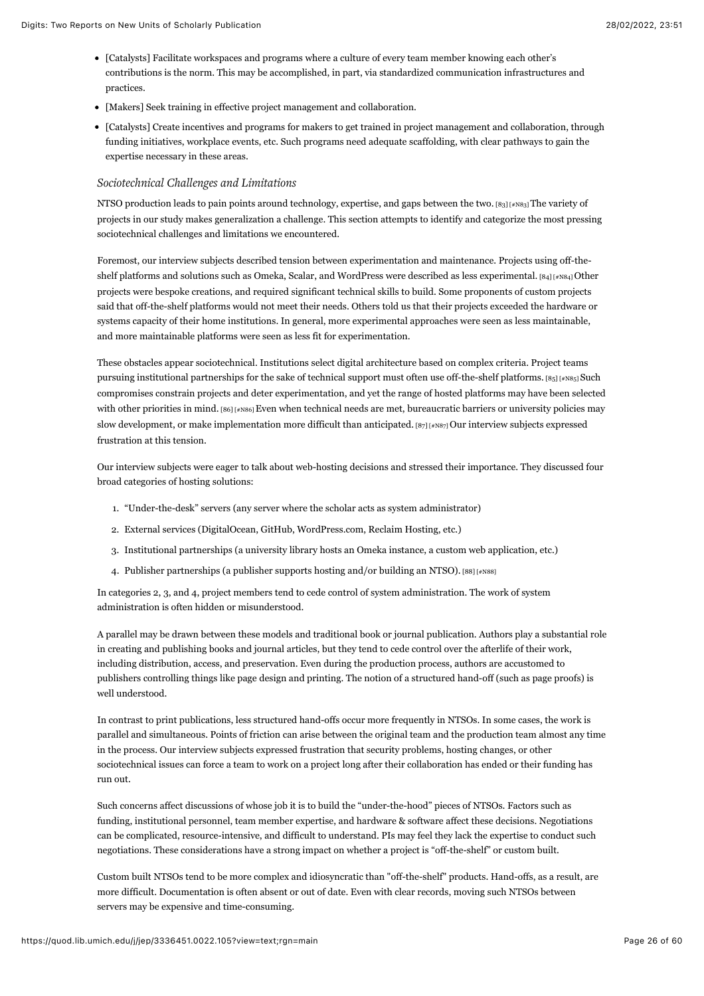- [Catalysts] Facilitate workspaces and programs where a culture of every team member knowing each other's contributions is the norm. This may be accomplished, in part, via standardized communication infrastructures and practices.
- [Makers] Seek training in effective project management and collaboration.
- [Catalysts] Create incentives and programs for makers to get trained in project management and collaboration, through funding initiatives, workplace events, etc. Such programs need adequate scaffolding, with clear pathways to gain the expertise necessary in these areas.

## *Sociotechnical Challenges and Limitations*

<span id="page-26-0"></span>NTSO production leads to pain points around technology, expertise, and gaps between the two. [\[83\] \[#N83\]](#page-55-12) The variety of projects in our study makes generalization a challenge. This section attempts to identify and categorize the most pressing sociotechnical challenges and limitations we encountered.

<span id="page-26-1"></span>Foremost, our interview subjects described tension between experimentation and maintenance. Projects using off-theshelf platforms and solutions such as Omeka, Scalar, and WordPress were described as less experimental.  $[84]$  [#N84] Other projects were bespoke creations, and required significant technical skills to build. Some proponents of custom projects said that off-the-shelf platforms would not meet their needs. Others told us that their projects exceeded the hardware or systems capacity of their home institutions. In general, more experimental approaches were seen as less maintainable, and more maintainable platforms were seen as less fit for experimentation.

<span id="page-26-3"></span><span id="page-26-2"></span>These obstacles appear sociotechnical. Institutions select digital architecture based on complex criteria. Project teams pursuing institutional partnerships for the sake of technical support must often use off-the-shelf platforms.  $[s_5]$  [#N85] Such compromises constrain projects and deter experimentation, and yet the range of hosted platforms may have been selected with other priorities in mind. [\[86\] \[#N86\]](#page-56-1) Even when technical needs are met, bureaucratic barriers or university policies may slow development, or make implementation more difficult than anticipated.  $[87]$  [ $*$ N87] Our interview subjects expressed frustration at this tension.

Our interview subjects were eager to talk about web-hosting decisions and stressed their importance. They discussed four broad categories of hosting solutions:

- <span id="page-26-4"></span>1. "Under-the-desk" servers (any server where the scholar acts as system administrator)
- 2. External services (DigitalOcean, GitHub, WordPress.com, Reclaim Hosting, etc.)
- 3. Institutional partnerships (a university library hosts an Omeka instance, a custom web application, etc.)
- <span id="page-26-5"></span>4. Publisher partnerships (a publisher supports hosting and/or building an NTSO). [\[88\] \[#N88\]](#page-56-3)

In categories 2, 3, and 4, project members tend to cede control of system administration. The work of system administration is often hidden or misunderstood.

A parallel may be drawn between these models and traditional book or journal publication. Authors play a substantial role in creating and publishing books and journal articles, but they tend to cede control over the afterlife of their work, including distribution, access, and preservation. Even during the production process, authors are accustomed to publishers controlling things like page design and printing. The notion of a structured hand-off (such as page proofs) is well understood.

In contrast to print publications, less structured hand-offs occur more frequently in NTSOs. In some cases, the work is parallel and simultaneous. Points of friction can arise between the original team and the production team almost any time in the process. Our interview subjects expressed frustration that security problems, hosting changes, or other sociotechnical issues can force a team to work on a project long after their collaboration has ended or their funding has run out.

Such concerns affect discussions of whose job it is to build the "under-the-hood" pieces of NTSOs. Factors such as funding, institutional personnel, team member expertise, and hardware & software affect these decisions. Negotiations can be complicated, resource-intensive, and difficult to understand. PIs may feel they lack the expertise to conduct such negotiations. These considerations have a strong impact on whether a project is "off-the-shelf" or custom built.

Custom built NTSOs tend to be more complex and idiosyncratic than "off-the-shelf" products. Hand-offs, as a result, are more difficult. Documentation is often absent or out of date. Even with clear records, moving such NTSOs between servers may be expensive and time-consuming.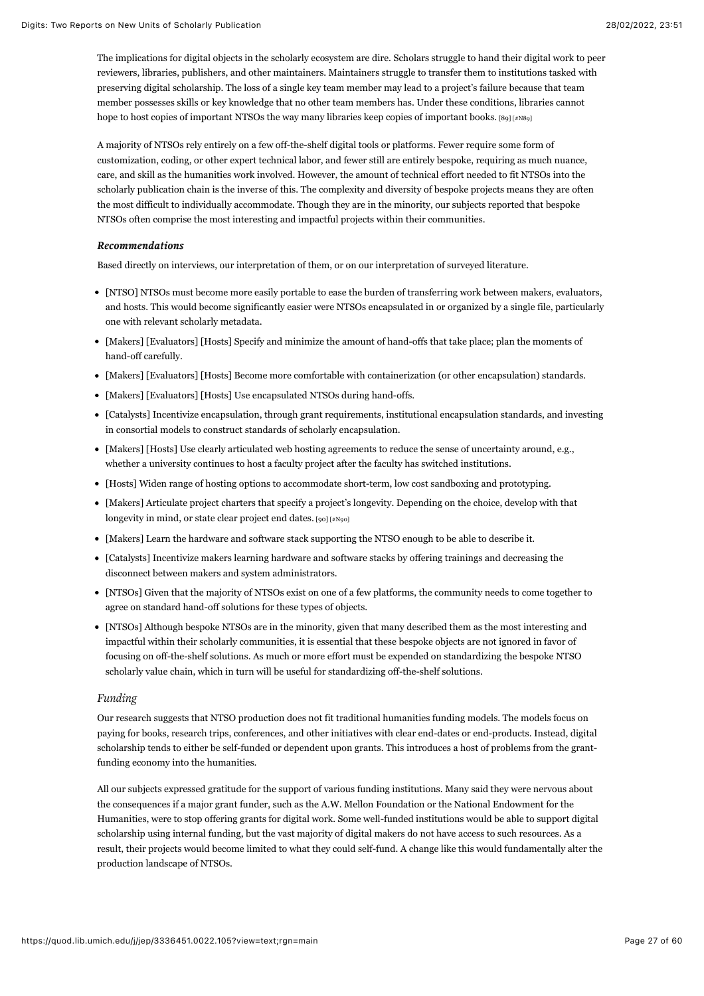The implications for digital objects in the scholarly ecosystem are dire. Scholars struggle to hand their digital work to peer reviewers, libraries, publishers, and other maintainers. Maintainers struggle to transfer them to institutions tasked with preserving digital scholarship. The loss of a single key team member may lead to a project's failure because that team member possesses skills or key knowledge that no other team members has. Under these conditions, libraries cannot hope to host copies of important NTSOs the way many libraries keep copies of important books. [\[89\] \[#N89\]](#page-56-4)

<span id="page-27-0"></span>A majority of NTSOs rely entirely on a few off-the-shelf digital tools or platforms. Fewer require some form of customization, coding, or other expert technical labor, and fewer still are entirely bespoke, requiring as much nuance, care, and skill as the humanities work involved. However, the amount of technical effort needed to fit NTSOs into the scholarly publication chain is the inverse of this. The complexity and diversity of bespoke projects means they are often the most difficult to individually accommodate. Though they are in the minority, our subjects reported that bespoke NTSOs often comprise the most interesting and impactful projects within their communities.

### *Recommendations Recommendations*

Based directly on interviews, our interpretation of them, or on our interpretation of surveyed literature.

- [NTSO] NTSOs must become more easily portable to ease the burden of transferring work between makers, evaluators, and hosts. This would become significantly easier were NTSOs encapsulated in or organized by a single file, particularly one with relevant scholarly metadata.
- [Makers] [Evaluators] [Hosts] Specify and minimize the amount of hand-offs that take place; plan the moments of hand-off carefully.
- [Makers] [Evaluators] [Hosts] Become more comfortable with containerization (or other encapsulation) standards.
- [Makers] [Evaluators] [Hosts] Use encapsulated NTSOs during hand-offs.
- [Catalysts] Incentivize encapsulation, through grant requirements, institutional encapsulation standards, and investing in consortial models to construct standards of scholarly encapsulation.
- [Makers] [Hosts] Use clearly articulated web hosting agreements to reduce the sense of uncertainty around, e.g., whether a university continues to host a faculty project after the faculty has switched institutions.
- [Hosts] Widen range of hosting options to accommodate short-term, low cost sandboxing and prototyping.
- <span id="page-27-1"></span>[Makers] Articulate project charters that specify a project's longevity. Depending on the choice, develop with that longevity in mind, or state clear project end dates.  $[90]$  [#N90]
- [Makers] Learn the hardware and software stack supporting the NTSO enough to be able to describe it.
- [Catalysts] Incentivize makers learning hardware and software stacks by offering trainings and decreasing the disconnect between makers and system administrators.
- [NTSOs] Given that the majority of NTSOs exist on one of a few platforms, the community needs to come together to agree on standard hand-off solutions for these types of objects.
- [NTSOs] Although bespoke NTSOs are in the minority, given that many described them as the most interesting and impactful within their scholarly communities, it is essential that these bespoke objects are not ignored in favor of focusing on off-the-shelf solutions. As much or more effort must be expended on standardizing the bespoke NTSO scholarly value chain, which in turn will be useful for standardizing off-the-shelf solutions.

#### *Funding*

Our research suggests that NTSO production does not fit traditional humanities funding models. The models focus on paying for books, research trips, conferences, and other initiatives with clear end-dates or end-products. Instead, digital scholarship tends to either be self-funded or dependent upon grants. This introduces a host of problems from the grantfunding economy into the humanities.

All our subjects expressed gratitude for the support of various funding institutions. Many said they were nervous about the consequences if a major grant funder, such as the A.W. Mellon Foundation or the National Endowment for the Humanities, were to stop offering grants for digital work. Some well-funded institutions would be able to support digital scholarship using internal funding, but the vast majority of digital makers do not have access to such resources. As a result, their projects would become limited to what they could self-fund. A change like this would fundamentally alter the production landscape of NTSOs.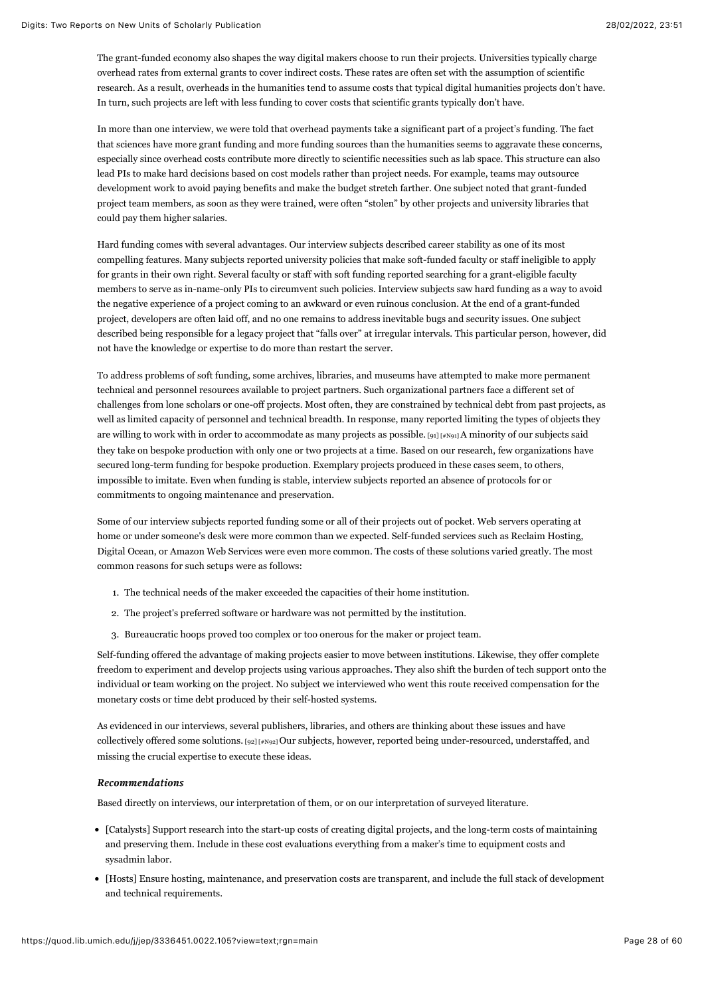The grant-funded economy also shapes the way digital makers choose to run their projects. Universities typically charge overhead rates from external grants to cover indirect costs. These rates are often set with the assumption of scientific research. As a result, overheads in the humanities tend to assume costs that typical digital humanities projects don't have. In turn, such projects are left with less funding to cover costs that scientific grants typically don't have.

In more than one interview, we were told that overhead payments take a significant part of a project's funding. The fact that sciences have more grant funding and more funding sources than the humanities seems to aggravate these concerns, especially since overhead costs contribute more directly to scientific necessities such as lab space. This structure can also lead PIs to make hard decisions based on cost models rather than project needs. For example, teams may outsource development work to avoid paying benefits and make the budget stretch farther. One subject noted that grant-funded project team members, as soon as they were trained, were often "stolen" by other projects and university libraries that could pay them higher salaries.

Hard funding comes with several advantages. Our interview subjects described career stability as one of its most compelling features. Many subjects reported university policies that make soft-funded faculty or staff ineligible to apply for grants in their own right. Several faculty or staff with soft funding reported searching for a grant-eligible faculty members to serve as in-name-only PIs to circumvent such policies. Interview subjects saw hard funding as a way to avoid the negative experience of a project coming to an awkward or even ruinous conclusion. At the end of a grant-funded project, developers are often laid off, and no one remains to address inevitable bugs and security issues. One subject described being responsible for a legacy project that "falls over" at irregular intervals. This particular person, however, did not have the knowledge or expertise to do more than restart the server.

<span id="page-28-0"></span>To address problems of soft funding, some archives, libraries, and museums have attempted to make more permanent technical and personnel resources available to project partners. Such organizational partners face a different set of challenges from lone scholars or one-off projects. Most often, they are constrained by technical debt from past projects, as well as limited capacity of personnel and technical breadth. In response, many reported limiting the types of objects they are willing to work with in order to accommodate as many projects as possible. [\[91\] \[#N91\]](#page-56-6) A minority of our subjects said they take on bespoke production with only one or two projects at a time. Based on our research, few organizations have secured long-term funding for bespoke production. Exemplary projects produced in these cases seem, to others, impossible to imitate. Even when funding is stable, interview subjects reported an absence of protocols for or commitments to ongoing maintenance and preservation.

Some of our interview subjects reported funding some or all of their projects out of pocket. Web servers operating at home or under someone's desk were more common than we expected. Self-funded services such as Reclaim Hosting, Digital Ocean, or Amazon Web Services were even more common. The costs of these solutions varied greatly. The most common reasons for such setups were as follows:

- 1. The technical needs of the maker exceeded the capacities of their home institution.
- 2. The project's preferred software or hardware was not permitted by the institution.
- 3. Bureaucratic hoops proved too complex or too onerous for the maker or project team.

Self-funding offered the advantage of making projects easier to move between institutions. Likewise, they offer complete freedom to experiment and develop projects using various approaches. They also shift the burden of tech support onto the individual or team working on the project. No subject we interviewed who went this route received compensation for the monetary costs or time debt produced by their self-hosted systems.

<span id="page-28-1"></span>As evidenced in our interviews, several publishers, libraries, and others are thinking about these issues and have collectively offered some solutions. [\[92\] \[#N92\]](#page-56-7) Our subjects, however, reported being under-resourced, understaffed, and missing the crucial expertise to execute these ideas.

#### *Recommendations Recommendations*

Based directly on interviews, our interpretation of them, or on our interpretation of surveyed literature.

- [Catalysts] Support research into the start-up costs of creating digital projects, and the long-term costs of maintaining and preserving them. Include in these cost evaluations everything from a maker's time to equipment costs and sysadmin labor.
- [Hosts] Ensure hosting, maintenance, and preservation costs are transparent, and include the full stack of development and technical requirements.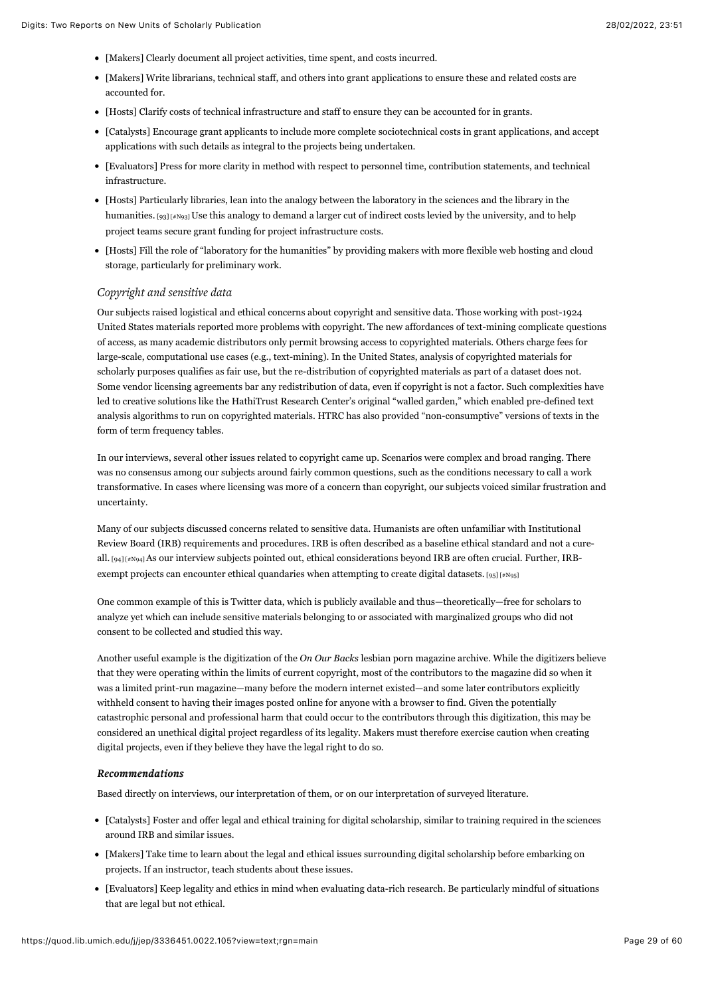- [Makers] Clearly document all project activities, time spent, and costs incurred.
- [Makers] Write librarians, technical staff, and others into grant applications to ensure these and related costs are accounted for.
- [Hosts] Clarify costs of technical infrastructure and staff to ensure they can be accounted for in grants.
- [Catalysts] Encourage grant applicants to include more complete sociotechnical costs in grant applications, and accept applications with such details as integral to the projects being undertaken.
- [Evaluators] Press for more clarity in method with respect to personnel time, contribution statements, and technical infrastructure.
- <span id="page-29-0"></span>[Hosts] Particularly libraries, lean into the analogy between the laboratory in the sciences and the library in the humanities. [\[93\] \[#N93\] U](#page-57-0)se this analogy to demand a larger cut of indirect costs levied by the university, and to help project teams secure grant funding for project infrastructure costs.
- [Hosts] Fill the role of "laboratory for the humanities" by providing makers with more flexible web hosting and cloud storage, particularly for preliminary work.

## *Copyright and sensitive data*

Our subjects raised logistical and ethical concerns about copyright and sensitive data. Those working with post-1924 United States materials reported more problems with copyright. The new affordances of text-mining complicate questions of access, as many academic distributors only permit browsing access to copyrighted materials. Others charge fees for large-scale, computational use cases (e.g., text-mining). In the United States, analysis of copyrighted materials for scholarly purposes qualifies as fair use, but the re-distribution of copyrighted materials as part of a dataset does not. Some vendor licensing agreements bar any redistribution of data, even if copyright is not a factor. Such complexities have led to creative solutions like the HathiTrust Research Center's original "walled garden," which enabled pre-defined text analysis algorithms to run on copyrighted materials. HTRC has also provided "non-consumptive" versions of texts in the form of term frequency tables.

In our interviews, several other issues related to copyright came up. Scenarios were complex and broad ranging. There was no consensus among our subjects around fairly common questions, such as the conditions necessary to call a work transformative. In cases where licensing was more of a concern than copyright, our subjects voiced similar frustration and uncertainty.

<span id="page-29-1"></span>Many of our subjects discussed concerns related to sensitive data. Humanists are often unfamiliar with Institutional Review Board (IRB) requirements and procedures. IRB is often described as a baseline ethical standard and not a cureall. [\[94\] \[#N94\] A](#page-57-1)s our interview subjects pointed out, ethical considerations beyond IRB are often crucial. Further, IRBexempt projects can encounter ethical quandaries when attempting to create digital datasets.  $[95]$  [#N95]

<span id="page-29-2"></span>One common example of this is Twitter data, which is publicly available and thus—theoretically—free for scholars to analyze yet which can include sensitive materials belonging to or associated with marginalized groups who did not consent to be collected and studied this way.

Another useful example is the digitization of the *On Our Backs* lesbian porn magazine archive. While the digitizers believe that they were operating within the limits of current copyright, most of the contributors to the magazine did so when it was a limited print-run magazine—many before the modern internet existed—and some later contributors explicitly withheld consent to having their images posted online for anyone with a browser to find. Given the potentially catastrophic personal and professional harm that could occur to the contributors through this digitization, this may be considered an unethical digital project regardless of its legality. Makers must therefore exercise caution when creating digital projects, even if they believe they have the legal right to do so.

#### *Recommendations Recommendations*

Based directly on interviews, our interpretation of them, or on our interpretation of surveyed literature.

- [Catalysts] Foster and offer legal and ethical training for digital scholarship, similar to training required in the sciences around IRB and similar issues.
- [Makers] Take time to learn about the legal and ethical issues surrounding digital scholarship before embarking on projects. If an instructor, teach students about these issues.
- [Evaluators] Keep legality and ethics in mind when evaluating data-rich research. Be particularly mindful of situations that are legal but not ethical.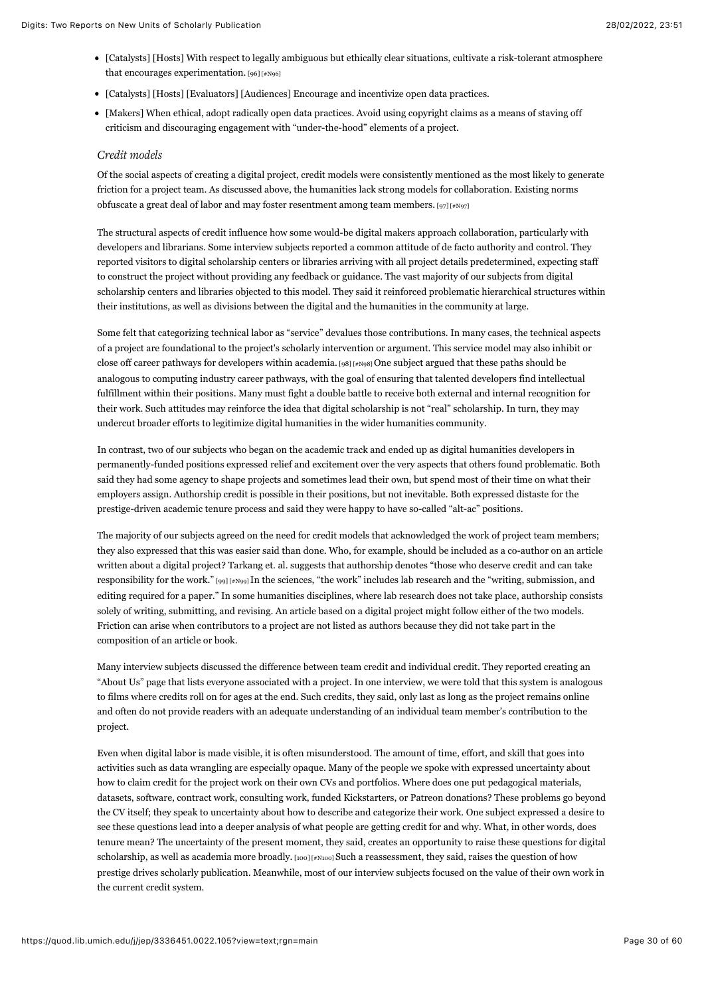- <span id="page-30-0"></span>[Catalysts] [Hosts] With respect to legally ambiguous but ethically clear situations, cultivate a risk-tolerant atmosphere that encourages experimentation. [\[96\] \[#N96\]](#page-57-3)
- [Catalysts] [Hosts] [Evaluators] [Audiences] Encourage and incentivize open data practices.
- [Makers] When ethical, adopt radically open data practices. Avoid using copyright claims as a means of staving off criticism and discouraging engagement with "under-the-hood" elements of a project.

## *Credit models*

<span id="page-30-1"></span>Of the social aspects of creating a digital project, credit models were consistently mentioned as the most likely to generate friction for a project team. As discussed above, the humanities lack strong models for collaboration. Existing norms obfuscate a great deal of labor and may foster resentment among team members. [97]  $[*/]$ 

The structural aspects of credit influence how some would-be digital makers approach collaboration, particularly with developers and librarians. Some interview subjects reported a common attitude of de facto authority and control. They reported visitors to digital scholarship centers or libraries arriving with all project details predetermined, expecting staff to construct the project without providing any feedback or guidance. The vast majority of our subjects from digital scholarship centers and libraries objected to this model. They said it reinforced problematic hierarchical structures within their institutions, as well as divisions between the digital and the humanities in the community at large.

<span id="page-30-2"></span>Some felt that categorizing technical labor as "service" devalues those contributions. In many cases, the technical aspects of a project are foundational to the project's scholarly intervention or argument. This service model may also inhibit or close off career pathways for developers within academia. [\[98\] \[#N98\]](#page-57-5) One subject argued that these paths should be analogous to computing industry career pathways, with the goal of ensuring that talented developers find intellectual fulfillment within their positions. Many must fight a double battle to receive both external and internal recognition for their work. Such attitudes may reinforce the idea that digital scholarship is not "real" scholarship. In turn, they may undercut broader efforts to legitimize digital humanities in the wider humanities community.

In contrast, two of our subjects who began on the academic track and ended up as digital humanities developers in permanently-funded positions expressed relief and excitement over the very aspects that others found problematic. Both said they had some agency to shape projects and sometimes lead their own, but spend most of their time on what their employers assign. Authorship credit is possible in their positions, but not inevitable. Both expressed distaste for the prestige-driven academic tenure process and said they were happy to have so-called "alt-ac" positions.

<span id="page-30-3"></span>The majority of our subjects agreed on the need for credit models that acknowledged the work of project team members; they also expressed that this was easier said than done. Who, for example, should be included as a co-author on an article written about a digital project? Tarkang et. al. suggests that authorship denotes "those who deserve credit and can take responsibility for the work." [\[99\] \[#N99\] I](#page-57-6)n the sciences, "the work" includes lab research and the "writing, submission, and editing required for a paper." In some humanities disciplines, where lab research does not take place, authorship consists solely of writing, submitting, and revising. An article based on a digital project might follow either of the two models. Friction can arise when contributors to a project are not listed as authors because they did not take part in the composition of an article or book.

Many interview subjects discussed the difference between team credit and individual credit. They reported creating an "About Us" page that lists everyone associated with a project. In one interview, we were told that this system is analogous to films where credits roll on for ages at the end. Such credits, they said, only last as long as the project remains online and often do not provide readers with an adequate understanding of an individual team member's contribution to the project.

<span id="page-30-4"></span>Even when digital labor is made visible, it is often misunderstood. The amount of time, effort, and skill that goes into activities such as data wrangling are especially opaque. Many of the people we spoke with expressed uncertainty about how to claim credit for the project work on their own CVs and portfolios. Where does one put pedagogical materials, datasets, software, contract work, consulting work, funded Kickstarters, or Patreon donations? These problems go beyond the CV itself; they speak to uncertainty about how to describe and categorize their work. One subject expressed a desire to see these questions lead into a deeper analysis of what people are getting credit for and why. What, in other words, does tenure mean? The uncertainty of the present moment, they said, creates an opportunity to raise these questions for digital scholarship, as well as academia more broadly. [\[100\] \[#N100\] S](#page-57-7)uch a reassessment, they said, raises the question of how prestige drives scholarly publication. Meanwhile, most of our interview subjects focused on the value of their own work in the current credit system.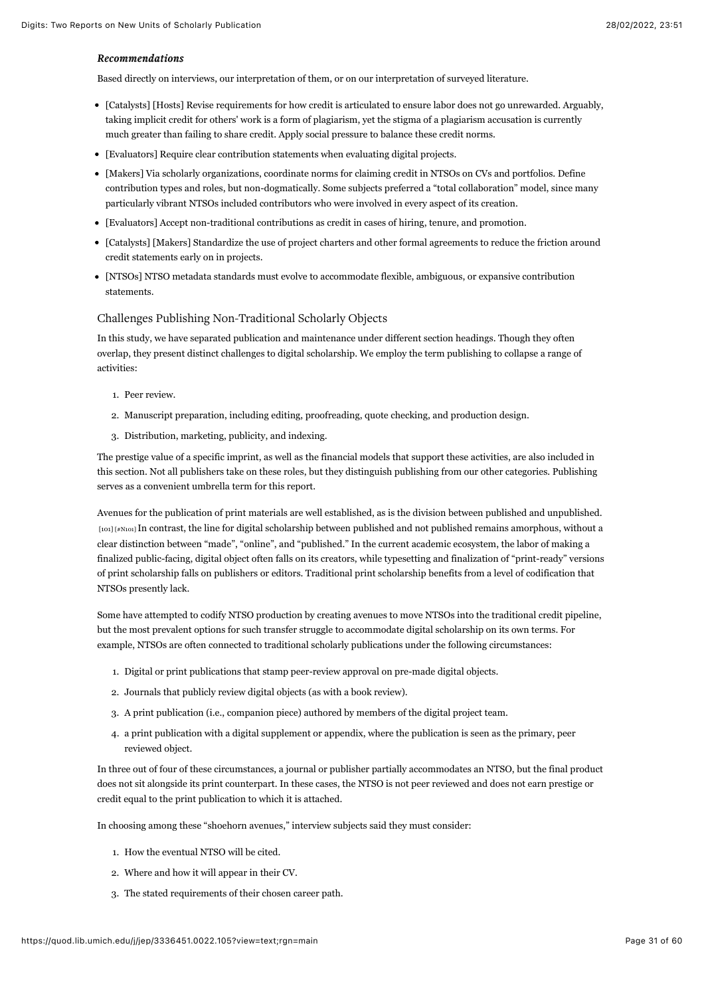#### *Recommendations Recommendations*

Based directly on interviews, our interpretation of them, or on our interpretation of surveyed literature.

- [Catalysts] [Hosts] Revise requirements for how credit is articulated to ensure labor does not go unrewarded. Arguably, taking implicit credit for others' work is a form of plagiarism, yet the stigma of a plagiarism accusation is currently much greater than failing to share credit. Apply social pressure to balance these credit norms.
- [Evaluators] Require clear contribution statements when evaluating digital projects.
- [Makers] Via scholarly organizations, coordinate norms for claiming credit in NTSOs on CVs and portfolios. Define contribution types and roles, but non-dogmatically. Some subjects preferred a "total collaboration" model, since many particularly vibrant NTSOs included contributors who were involved in every aspect of its creation.
- [Evaluators] Accept non-traditional contributions as credit in cases of hiring, tenure, and promotion.
- [Catalysts] [Makers] Standardize the use of project charters and other formal agreements to reduce the friction around credit statements early on in projects.
- [NTSOs] NTSO metadata standards must evolve to accommodate flexible, ambiguous, or expansive contribution statements.

#### Challenges Publishing Non-Traditional Scholarly Objects

In this study, we have separated publication and maintenance under different section headings. Though they often overlap, they present distinct challenges to digital scholarship. We employ the term publishing to collapse a range of activities:

- 1. Peer review.
- 2. Manuscript preparation, including editing, proofreading, quote checking, and production design.
- 3. Distribution, marketing, publicity, and indexing.

The prestige value of a specific imprint, as well as the financial models that support these activities, are also included in this section. Not all publishers take on these roles, but they distinguish publishing from our other categories. Publishing serves as a convenient umbrella term for this report.

<span id="page-31-0"></span>Avenues for the publication of print materials are well established, as is the division between published and unpublished. [\[101\] \[#N101\]](#page-57-8) In contrast, the line for digital scholarship between published and not published remains amorphous, without a clear distinction between "made", "online", and "published." In the current academic ecosystem, the labor of making a finalized public-facing, digital object often falls on its creators, while typesetting and finalization of "print-ready" versions of print scholarship falls on publishers or editors. Traditional print scholarship benefits from a level of codification that NTSOs presently lack.

Some have attempted to codify NTSO production by creating avenues to move NTSOs into the traditional credit pipeline, but the most prevalent options for such transfer struggle to accommodate digital scholarship on its own terms. For example, NTSOs are often connected to traditional scholarly publications under the following circumstances:

- 1. Digital or print publications that stamp peer-review approval on pre-made digital objects.
- 2. Journals that publicly review digital objects (as with a book review).
- 3. A print publication (i.e., companion piece) authored by members of the digital project team.
- 4. a print publication with a digital supplement or appendix, where the publication is seen as the primary, peer reviewed object.

In three out of four of these circumstances, a journal or publisher partially accommodates an NTSO, but the final product does not sit alongside its print counterpart. In these cases, the NTSO is not peer reviewed and does not earn prestige or credit equal to the print publication to which it is attached.

In choosing among these "shoehorn avenues," interview subjects said they must consider:

- 1. How the eventual NTSO will be cited.
- 2. Where and how it will appear in their CV.
- 3. The stated requirements of their chosen career path.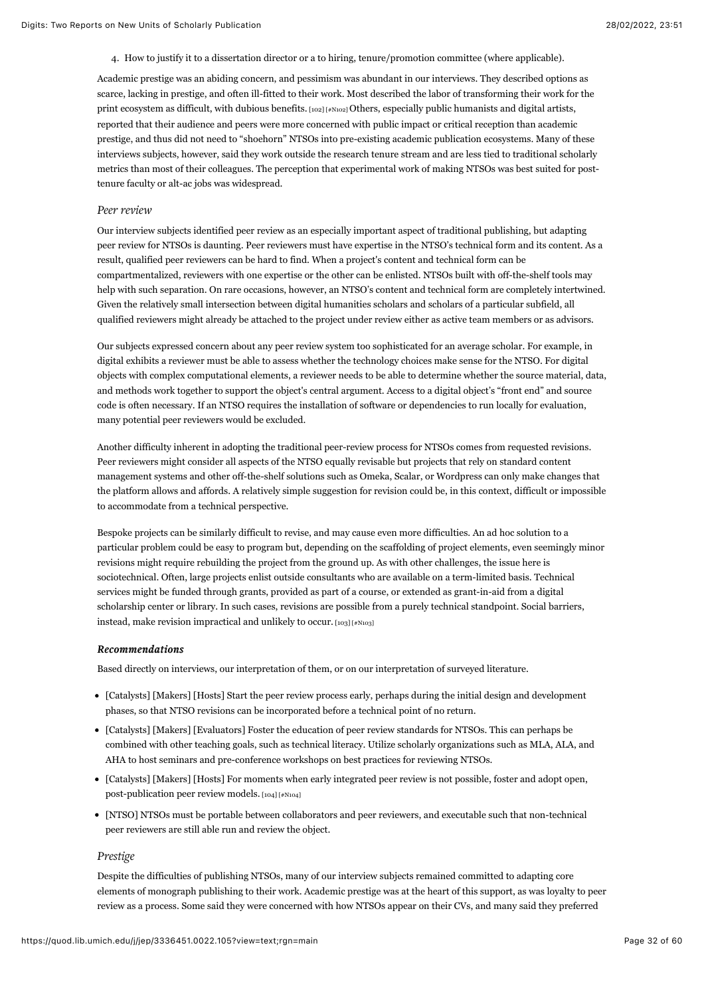<span id="page-32-0"></span>4. How to justify it to a dissertation director or a to hiring, tenure/promotion committee (where applicable).

Academic prestige was an abiding concern, and pessimism was abundant in our interviews. They described options as scarce, lacking in prestige, and often ill-fitted to their work. Most described the labor of transforming their work for the print ecosystem as difficult, with dubious benefits. [\[102\] \[#N102\]](#page-57-9) Others, especially public humanists and digital artists, reported that their audience and peers were more concerned with public impact or critical reception than academic prestige, and thus did not need to "shoehorn" NTSOs into pre-existing academic publication ecosystems. Many of these interviews subjects, however, said they work outside the research tenure stream and are less tied to traditional scholarly metrics than most of their colleagues. The perception that experimental work of making NTSOs was best suited for posttenure faculty or alt-ac jobs was widespread.

#### *Peer review*

Our interview subjects identified peer review as an especially important aspect of traditional publishing, but adapting peer review for NTSOs is daunting. Peer reviewers must have expertise in the NTSO's technical form and its content. As a result, qualified peer reviewers can be hard to find. When a project's content and technical form can be compartmentalized, reviewers with one expertise or the other can be enlisted. NTSOs built with off-the-shelf tools may help with such separation. On rare occasions, however, an NTSO's content and technical form are completely intertwined. Given the relatively small intersection between digital humanities scholars and scholars of a particular subfield, all qualified reviewers might already be attached to the project under review either as active team members or as advisors.

Our subjects expressed concern about any peer review system too sophisticated for an average scholar. For example, in digital exhibits a reviewer must be able to assess whether the technology choices make sense for the NTSO. For digital objects with complex computational elements, a reviewer needs to be able to determine whether the source material, data, and methods work together to support the object's central argument. Access to a digital object's "front end" and source code is often necessary. If an NTSO requires the installation of software or dependencies to run locally for evaluation, many potential peer reviewers would be excluded.

Another difficulty inherent in adopting the traditional peer-review process for NTSOs comes from requested revisions. Peer reviewers might consider all aspects of the NTSO equally revisable but projects that rely on standard content management systems and other off-the-shelf solutions such as Omeka, Scalar, or Wordpress can only make changes that the platform allows and affords. A relatively simple suggestion for revision could be, in this context, difficult or impossible to accommodate from a technical perspective.

Bespoke projects can be similarly difficult to revise, and may cause even more difficulties. An ad hoc solution to a particular problem could be easy to program but, depending on the scaffolding of project elements, even seemingly minor revisions might require rebuilding the project from the ground up. As with other challenges, the issue here is sociotechnical. Often, large projects enlist outside consultants who are available on a term-limited basis. Technical services might be funded through grants, provided as part of a course, or extended as grant-in-aid from a digital scholarship center or library. In such cases, revisions are possible from a purely technical standpoint. Social barriers, instead, make revision impractical and unlikely to occur. [\[103\] \[#N103\]](#page-57-10)

#### <span id="page-32-1"></span>*Recommendations Recommendations*

Based directly on interviews, our interpretation of them, or on our interpretation of surveyed literature.

- [Catalysts] [Makers] [Hosts] Start the peer review process early, perhaps during the initial design and development phases, so that NTSO revisions can be incorporated before a technical point of no return.
- [Catalysts] [Makers] [Evaluators] Foster the education of peer review standards for NTSOs. This can perhaps be combined with other teaching goals, such as technical literacy. Utilize scholarly organizations such as MLA, ALA, and AHA to host seminars and pre-conference workshops on best practices for reviewing NTSOs.
- <span id="page-32-2"></span>[Catalysts] [Makers] [Hosts] For moments when early integrated peer review is not possible, foster and adopt open, post-publication peer review models. [\[104\] \[#N104\]](#page-58-0)
- [NTSO] NTSOs must be portable between collaborators and peer reviewers, and executable such that non-technical peer reviewers are still able run and review the object.

#### *Prestige*

Despite the difficulties of publishing NTSOs, many of our interview subjects remained committed to adapting core elements of monograph publishing to their work. Academic prestige was at the heart of this support, as was loyalty to peer review as a process. Some said they were concerned with how NTSOs appear on their CVs, and many said they preferred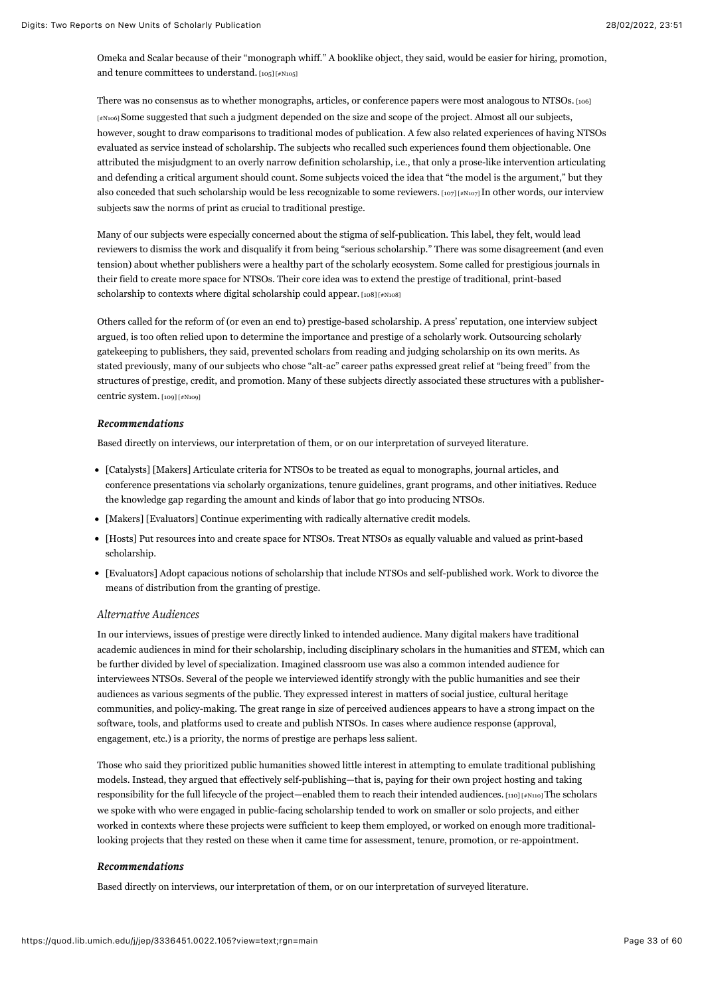<span id="page-33-0"></span>Omeka and Scalar because of their "monograph whiff." A booklike object, they said, would be easier for hiring, promotion, and tenure committees to understand. [\[105\] \[#N105\]](#page-58-1)

<span id="page-33-1"></span>There was no consensus as to whether monographs, articles, or conference papers were most analogous to NTSOs. [106] [\[#N106\] Some suggested that such a judgment depended on the size and scope of the project. Almost all our subjects,](#page-58-2) however, sought to draw comparisons to traditional modes of publication. A few also related experiences of having NTSOs evaluated as service instead of scholarship. The subjects who recalled such experiences found them objectionable. One attributed the misjudgment to an overly narrow definition scholarship, i.e., that only a prose-like intervention articulating and defending a critical argument should count. Some subjects voiced the idea that "the model is the argument," but they also conceded that such scholarship would be less recognizable to some reviewers. [\[107\] \[#N107\] I](#page-58-3)n other words, our interview subjects saw the norms of print as crucial to traditional prestige.

<span id="page-33-2"></span>Many of our subjects were especially concerned about the stigma of self-publication. This label, they felt, would lead reviewers to dismiss the work and disqualify it from being "serious scholarship." There was some disagreement (and even tension) about whether publishers were a healthy part of the scholarly ecosystem. Some called for prestigious journals in their field to create more space for NTSOs. Their core idea was to extend the prestige of traditional, print-based scholarship to contexts where digital scholarship could appear. [\[108\] \[#N108\]](#page-58-4)

<span id="page-33-3"></span>Others called for the reform of (or even an end to) prestige-based scholarship. A press' reputation, one interview subject argued, is too often relied upon to determine the importance and prestige of a scholarly work. Outsourcing scholarly gatekeeping to publishers, they said, prevented scholars from reading and judging scholarship on its own merits. As stated previously, many of our subjects who chose "alt-ac" career paths expressed great relief at "being freed" from the structures of prestige, credit, and promotion. Many of these subjects directly associated these structures with a publishercentric system. [\[109\] \[#N109\]](#page-58-5)

#### <span id="page-33-4"></span>*Recommendations Recommendations*

Based directly on interviews, our interpretation of them, or on our interpretation of surveyed literature.

- [Catalysts] [Makers] Articulate criteria for NTSOs to be treated as equal to monographs, journal articles, and conference presentations via scholarly organizations, tenure guidelines, grant programs, and other initiatives. Reduce the knowledge gap regarding the amount and kinds of labor that go into producing NTSOs.
- [Makers] [Evaluators] Continue experimenting with radically alternative credit models.
- [Hosts] Put resources into and create space for NTSOs. Treat NTSOs as equally valuable and valued as print-based scholarship.
- [Evaluators] Adopt capacious notions of scholarship that include NTSOs and self-published work. Work to divorce the means of distribution from the granting of prestige.

### *Alternative Audiences*

In our interviews, issues of prestige were directly linked to intended audience. Many digital makers have traditional academic audiences in mind for their scholarship, including disciplinary scholars in the humanities and STEM, which can be further divided by level of specialization. Imagined classroom use was also a common intended audience for interviewees NTSOs. Several of the people we interviewed identify strongly with the public humanities and see their audiences as various segments of the public. They expressed interest in matters of social justice, cultural heritage communities, and policy-making. The great range in size of perceived audiences appears to have a strong impact on the software, tools, and platforms used to create and publish NTSOs. In cases where audience response (approval, engagement, etc.) is a priority, the norms of prestige are perhaps less salient.

<span id="page-33-5"></span>Those who said they prioritized public humanities showed little interest in attempting to emulate traditional publishing models. Instead, they argued that effectively self-publishing—that is, paying for their own project hosting and taking responsibility for the full lifecycle of the project—enabled them to reach their intended audiences. [\[110\] \[#N110\]](#page-58-6) The scholars we spoke with who were engaged in public-facing scholarship tended to work on smaller or solo projects, and either worked in contexts where these projects were sufficient to keep them employed, or worked on enough more traditionallooking projects that they rested on these when it came time for assessment, tenure, promotion, or re-appointment.

#### *Recommendations Recommendations*

Based directly on interviews, our interpretation of them, or on our interpretation of surveyed literature.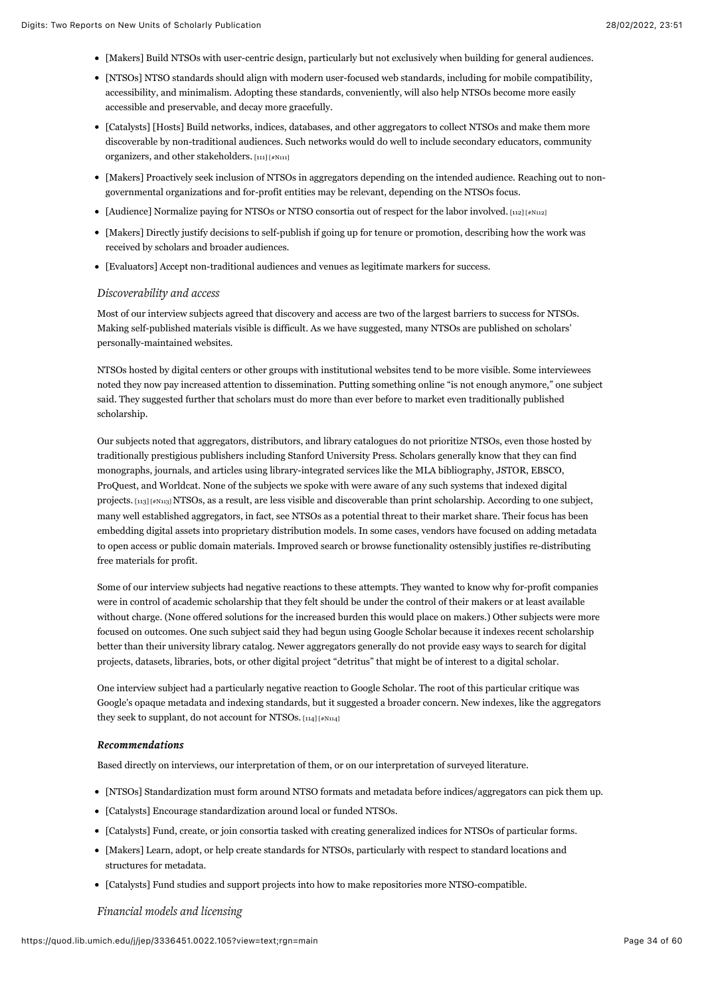- [Makers] Build NTSOs with user-centric design, particularly but not exclusively when building for general audiences.
- [NTSOs] NTSO standards should align with modern user-focused web standards, including for mobile compatibility, accessibility, and minimalism. Adopting these standards, conveniently, will also help NTSOs become more easily accessible and preservable, and decay more gracefully.
- [Catalysts] [Hosts] Build networks, indices, databases, and other aggregators to collect NTSOs and make them more discoverable by non-traditional audiences. Such networks would do well to include secondary educators, community organizers, and other stakeholders. [\[111\] \[#N111\]](#page-58-7)
- <span id="page-34-0"></span>[Makers] Proactively seek inclusion of NTSOs in aggregators depending on the intended audience. Reaching out to nongovernmental organizations and for-profit entities may be relevant, depending on the NTSOs focus.
- <span id="page-34-1"></span>• [Audience] Normalize paying for NTSOs or NTSO consortia out of respect for the labor involved. [\[112\] \[#N112\]](#page-58-8)
- [Makers] Directly justify decisions to self-publish if going up for tenure or promotion, describing how the work was received by scholars and broader audiences.
- [Evaluators] Accept non-traditional audiences and venues as legitimate markers for success.

## *Discoverability and access*

Most of our interview subjects agreed that discovery and access are two of the largest barriers to success for NTSOs. Making self-published materials visible is difficult. As we have suggested, many NTSOs are published on scholars' personally-maintained websites.

NTSOs hosted by digital centers or other groups with institutional websites tend to be more visible. Some interviewees noted they now pay increased attention to dissemination. Putting something online "is not enough anymore," one subject said. They suggested further that scholars must do more than ever before to market even traditionally published scholarship.

<span id="page-34-2"></span>Our subjects noted that aggregators, distributors, and library catalogues do not prioritize NTSOs, even those hosted by traditionally prestigious publishers including Stanford University Press. Scholars generally know that they can find monographs, journals, and articles using library-integrated services like the MLA bibliography, JSTOR, EBSCO, ProQuest, and Worldcat. None of the subjects we spoke with were aware of any such systems that indexed digital projects. [\[113\] \[#N113\]](#page-58-9) NTSOs, as a result, are less visible and discoverable than print scholarship. According to one subject, many well established aggregators, in fact, see NTSOs as a potential threat to their market share. Their focus has been embedding digital assets into proprietary distribution models. In some cases, vendors have focused on adding metadata to open access or public domain materials. Improved search or browse functionality ostensibly justifies re-distributing free materials for profit.

Some of our interview subjects had negative reactions to these attempts. They wanted to know why for-profit companies were in control of academic scholarship that they felt should be under the control of their makers or at least available without charge. (None offered solutions for the increased burden this would place on makers.) Other subjects were more focused on outcomes. One such subject said they had begun using Google Scholar because it indexes recent scholarship better than their university library catalog. Newer aggregators generally do not provide easy ways to search for digital projects, datasets, libraries, bots, or other digital project "detritus" that might be of interest to a digital scholar.

One interview subject had a particularly negative reaction to Google Scholar. The root of this particular critique was Google's opaque metadata and indexing standards, but it suggested a broader concern. New indexes, like the aggregators they seek to supplant, do not account for NTSOs. [\[114\] \[#N114\]](#page-58-10)

### <span id="page-34-3"></span>*Recommendations Recommendations*

Based directly on interviews, our interpretation of them, or on our interpretation of surveyed literature.

- [NTSOs] Standardization must form around NTSO formats and metadata before indices/aggregators can pick them up.
- [Catalysts] Encourage standardization around local or funded NTSOs.
- [Catalysts] Fund, create, or join consortia tasked with creating generalized indices for NTSOs of particular forms.
- [Makers] Learn, adopt, or help create standards for NTSOs, particularly with respect to standard locations and structures for metadata.
- [Catalysts] Fund studies and support projects into how to make repositories more NTSO-compatible.

## *Financial models and licensing*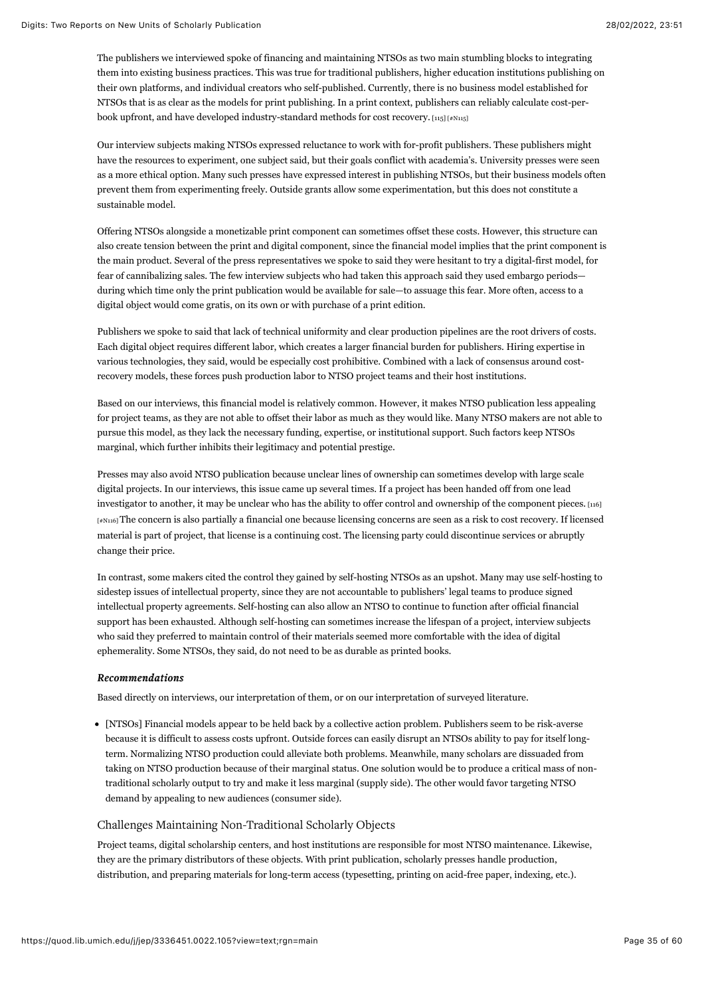The publishers we interviewed spoke of financing and maintaining NTSOs as two main stumbling blocks to integrating them into existing business practices. This was true for traditional publishers, higher education institutions publishing on their own platforms, and individual creators who self-published. Currently, there is no business model established for NTSOs that is as clear as the models for print publishing. In a print context, publishers can reliably calculate cost-per-book upfront, and have developed industry-standard methods for cost recovery. [\[115\] \[#N115\]](#page-58-11)

<span id="page-35-0"></span>Our interview subjects making NTSOs expressed reluctance to work with for-profit publishers. These publishers might have the resources to experiment, one subject said, but their goals conflict with academia's. University presses were seen as a more ethical option. Many such presses have expressed interest in publishing NTSOs, but their business models often prevent them from experimenting freely. Outside grants allow some experimentation, but this does not constitute a sustainable model.

Offering NTSOs alongside a monetizable print component can sometimes offset these costs. However, this structure can also create tension between the print and digital component, since the financial model implies that the print component is the main product. Several of the press representatives we spoke to said they were hesitant to try a digital-first model, for fear of cannibalizing sales. The few interview subjects who had taken this approach said they used embargo periods during which time only the print publication would be available for sale—to assuage this fear. More often, access to a digital object would come gratis, on its own or with purchase of a print edition.

Publishers we spoke to said that lack of technical uniformity and clear production pipelines are the root drivers of costs. Each digital object requires different labor, which creates a larger financial burden for publishers. Hiring expertise in various technologies, they said, would be especially cost prohibitive. Combined with a lack of consensus around costrecovery models, these forces push production labor to NTSO project teams and their host institutions.

Based on our interviews, this financial model is relatively common. However, it makes NTSO publication less appealing for project teams, as they are not able to offset their labor as much as they would like. Many NTSO makers are not able to pursue this model, as they lack the necessary funding, expertise, or institutional support. Such factors keep NTSOs marginal, which further inhibits their legitimacy and potential prestige.

<span id="page-35-1"></span>Presses may also avoid NTSO publication because unclear lines of ownership can sometimes develop with large scale digital projects. In our interviews, this issue came up several times. If a project has been handed off from one lead investigator to another, it may be unclear who has the ability to offer control and ownership of the component pieces. [116] [\[#N116\] The concern is also partially a financial one because licensing concerns are seen as a risk to cost recovery. If licensed](#page-58-12) material is part of project, that license is a continuing cost. The licensing party could discontinue services or abruptly change their price.

In contrast, some makers cited the control they gained by self-hosting NTSOs as an upshot. Many may use self-hosting to sidestep issues of intellectual property, since they are not accountable to publishers' legal teams to produce signed intellectual property agreements. Self-hosting can also allow an NTSO to continue to function after official financial support has been exhausted. Although self-hosting can sometimes increase the lifespan of a project, interview subjects who said they preferred to maintain control of their materials seemed more comfortable with the idea of digital ephemerality. Some NTSOs, they said, do not need to be as durable as printed books.

#### *Recommendations Recommendations*

Based directly on interviews, our interpretation of them, or on our interpretation of surveyed literature.

[NTSOs] Financial models appear to be held back by a collective action problem. Publishers seem to be risk-averse because it is difficult to assess costs upfront. Outside forces can easily disrupt an NTSOs ability to pay for itself longterm. Normalizing NTSO production could alleviate both problems. Meanwhile, many scholars are dissuaded from taking on NTSO production because of their marginal status. One solution would be to produce a critical mass of nontraditional scholarly output to try and make it less marginal (supply side). The other would favor targeting NTSO demand by appealing to new audiences (consumer side).

## Challenges Maintaining Non-Traditional Scholarly Objects

Project teams, digital scholarship centers, and host institutions are responsible for most NTSO maintenance. Likewise, they are the primary distributors of these objects. With print publication, scholarly presses handle production, distribution, and preparing materials for long-term access (typesetting, printing on acid-free paper, indexing, etc.).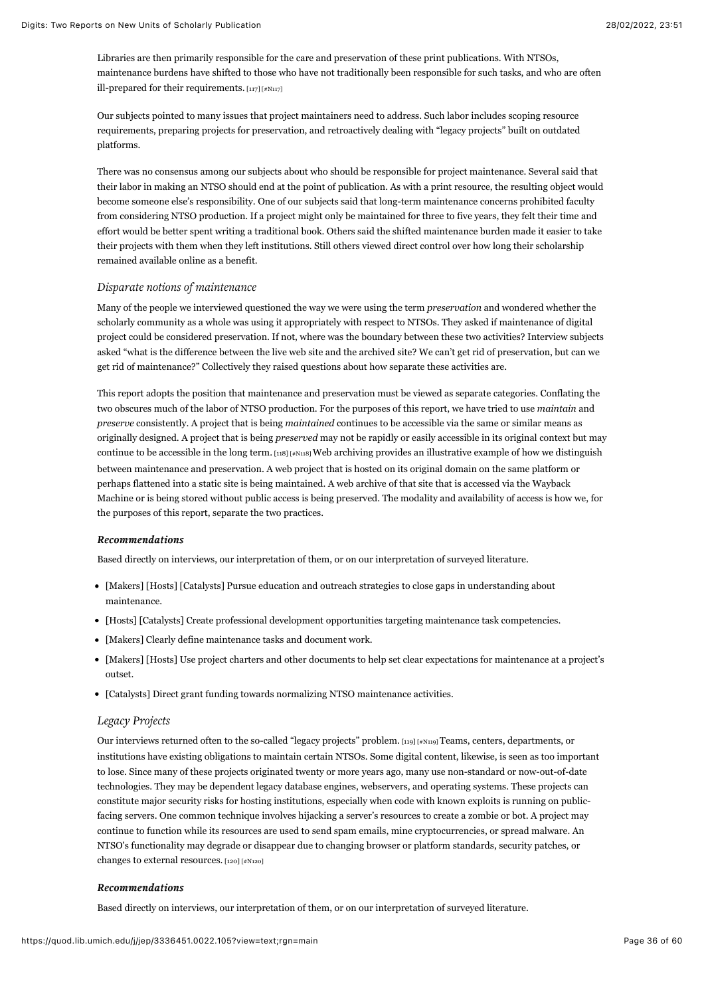Libraries are then primarily responsible for the care and preservation of these print publications. With NTSOs, maintenance burdens have shifted to those who have not traditionally been responsible for such tasks, and who are often ill-prepared for their requirements. [\[117\] \[#N117\]](#page-59-0)

<span id="page-36-0"></span>Our subjects pointed to many issues that project maintainers need to address. Such labor includes scoping resource requirements, preparing projects for preservation, and retroactively dealing with "legacy projects" built on outdated platforms.

There was no consensus among our subjects about who should be responsible for project maintenance. Several said that their labor in making an NTSO should end at the point of publication. As with a print resource, the resulting object would become someone else's responsibility. One of our subjects said that long-term maintenance concerns prohibited faculty from considering NTSO production. If a project might only be maintained for three to five years, they felt their time and effort would be better spent writing a traditional book. Others said the shifted maintenance burden made it easier to take their projects with them when they left institutions. Still others viewed direct control over how long their scholarship remained available online as a benefit.

#### *Disparate notions of maintenance*

Many of the people we interviewed questioned the way we were using the term *preservation* and wondered whether the scholarly community as a whole was using it appropriately with respect to NTSOs. They asked if maintenance of digital project could be considered preservation. If not, where was the boundary between these two activities? Interview subjects asked "what is the difference between the live web site and the archived site? We can't get rid of preservation, but can we get rid of maintenance?" Collectively they raised questions about how separate these activities are.

<span id="page-36-1"></span>This report adopts the position that maintenance and preservation must be viewed as separate categories. Conflating the two obscures much of the labor of NTSO production. For the purposes of this report, we have tried to use *maintain* and *preserve* consistently. A project that is being *maintained* continues to be accessible via the same or similar means as originally designed. A project that is being *preserved* may not be rapidly or easily accessible in its original context but may continue to be accessible in the long term.  $\mu_{118}$  [#N $\mu_{118}$ ] Web archiving provides an illustrative example of how we distinguish between maintenance and preservation. A web project that is hosted on its original domain on the same platform or perhaps flattened into a static site is being maintained. A web archive of that site that is accessed via the Wayback Machine or is being stored without public access is being preserved. The modality and availability of access is how we, for the purposes of this report, separate the two practices.

#### *Recommendations Recommendations*

Based directly on interviews, our interpretation of them, or on our interpretation of surveyed literature.

- [Makers] [Hosts] [Catalysts] Pursue education and outreach strategies to close gaps in understanding about maintenance.
- [Hosts] [Catalysts] Create professional development opportunities targeting maintenance task competencies.
- [Makers] Clearly define maintenance tasks and document work.
- [Makers] [Hosts] Use project charters and other documents to help set clear expectations for maintenance at a project's outset.
- [Catalysts] Direct grant funding towards normalizing NTSO maintenance activities.

#### *Legacy Projects*

<span id="page-36-2"></span>Our interviews returned often to the so-called "legacy projects" problem. [\[119\] \[#N119\] T](#page-59-2)eams, centers, departments, or institutions have existing obligations to maintain certain NTSOs. Some digital content, likewise, is seen as too important to lose. Since many of these projects originated twenty or more years ago, many use non-standard or now-out-of-date technologies. They may be dependent legacy database engines, webservers, and operating systems. These projects can constitute major security risks for hosting institutions, especially when code with known exploits is running on publicfacing servers. One common technique involves hijacking a server's resources to create a zombie or bot. A project may continue to function while its resources are used to send spam emails, mine cryptocurrencies, or spread malware. An NTSO's functionality may degrade or disappear due to changing browser or platform standards, security patches, or changes to external resources. [\[120\] \[#N120\]](#page-59-3)

#### <span id="page-36-3"></span>*Recommendations Recommendations*

Based directly on interviews, our interpretation of them, or on our interpretation of surveyed literature.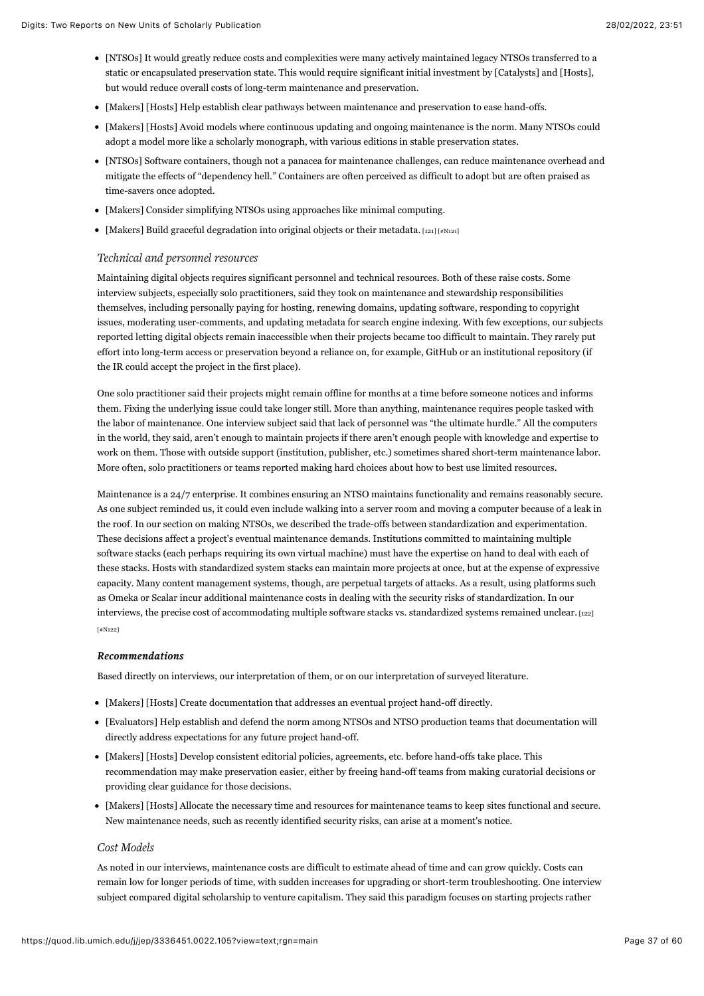- [NTSOs] It would greatly reduce costs and complexities were many actively maintained legacy NTSOs transferred to a static or encapsulated preservation state. This would require significant initial investment by [Catalysts] and [Hosts], but would reduce overall costs of long-term maintenance and preservation.
- [Makers] [Hosts] Help establish clear pathways between maintenance and preservation to ease hand-offs.
- [Makers] [Hosts] Avoid models where continuous updating and ongoing maintenance is the norm. Many NTSOs could adopt a model more like a scholarly monograph, with various editions in stable preservation states.
- [NTSOs] Software containers, though not a panacea for maintenance challenges, can reduce maintenance overhead and mitigate the effects of "dependency hell." Containers are often perceived as difficult to adopt but are often praised as time-savers once adopted.
- [Makers] Consider simplifying NTSOs using approaches like minimal computing.
- [Makers] Build graceful degradation into original objects or their metadata. [\[121\] \[#N121\]](#page-59-4)

## <span id="page-37-0"></span>*Technical and personnel resources*

Maintaining digital objects requires significant personnel and technical resources. Both of these raise costs. Some interview subjects, especially solo practitioners, said they took on maintenance and stewardship responsibilities themselves, including personally paying for hosting, renewing domains, updating software, responding to copyright issues, moderating user-comments, and updating metadata for search engine indexing. With few exceptions, our subjects reported letting digital objects remain inaccessible when their projects became too difficult to maintain. They rarely put effort into long-term access or preservation beyond a reliance on, for example, GitHub or an institutional repository (if the IR could accept the project in the first place).

One solo practitioner said their projects might remain offline for months at a time before someone notices and informs them. Fixing the underlying issue could take longer still. More than anything, maintenance requires people tasked with the labor of maintenance. One interview subject said that lack of personnel was "the ultimate hurdle." All the computers in the world, they said, aren't enough to maintain projects if there aren't enough people with knowledge and expertise to work on them. Those with outside support (institution, publisher, etc.) sometimes shared short-term maintenance labor. More often, solo practitioners or teams reported making hard choices about how to best use limited resources.

Maintenance is a 24/7 enterprise. It combines ensuring an NTSO maintains functionality and remains reasonably secure. As one subject reminded us, it could even include walking into a server room and moving a computer because of a leak in the roof. In our section on making NTSOs, we described the trade-offs between standardization and experimentation. These decisions affect a project's eventual maintenance demands. Institutions committed to maintaining multiple software stacks (each perhaps requiring its own virtual machine) must have the expertise on hand to deal with each of these stacks. Hosts with standardized system stacks can maintain more projects at once, but at the expense of expressive capacity. Many content management systems, though, are perpetual targets of attacks. As a result, using platforms such as Omeka or Scalar incur additional maintenance costs in dealing with the security risks of standardization. In our [interviews, the precise cost of accommodating multiple software stacks vs. standardized systems remained unclear.](#page-59-5) [122] [#N122]

#### <span id="page-37-1"></span>*Recommendations Recommendations*

Based directly on interviews, our interpretation of them, or on our interpretation of surveyed literature.

- [Makers] [Hosts] Create documentation that addresses an eventual project hand-off directly.
- [Evaluators] Help establish and defend the norm among NTSOs and NTSO production teams that documentation will directly address expectations for any future project hand-off.
- [Makers] [Hosts] Develop consistent editorial policies, agreements, etc. before hand-offs take place. This recommendation may make preservation easier, either by freeing hand-off teams from making curatorial decisions or providing clear guidance for those decisions.
- [Makers] [Hosts] Allocate the necessary time and resources for maintenance teams to keep sites functional and secure. New maintenance needs, such as recently identified security risks, can arise at a moment's notice.

## *Cost Models*

As noted in our interviews, maintenance costs are difficult to estimate ahead of time and can grow quickly. Costs can remain low for longer periods of time, with sudden increases for upgrading or short-term troubleshooting. One interview subject compared digital scholarship to venture capitalism. They said this paradigm focuses on starting projects rather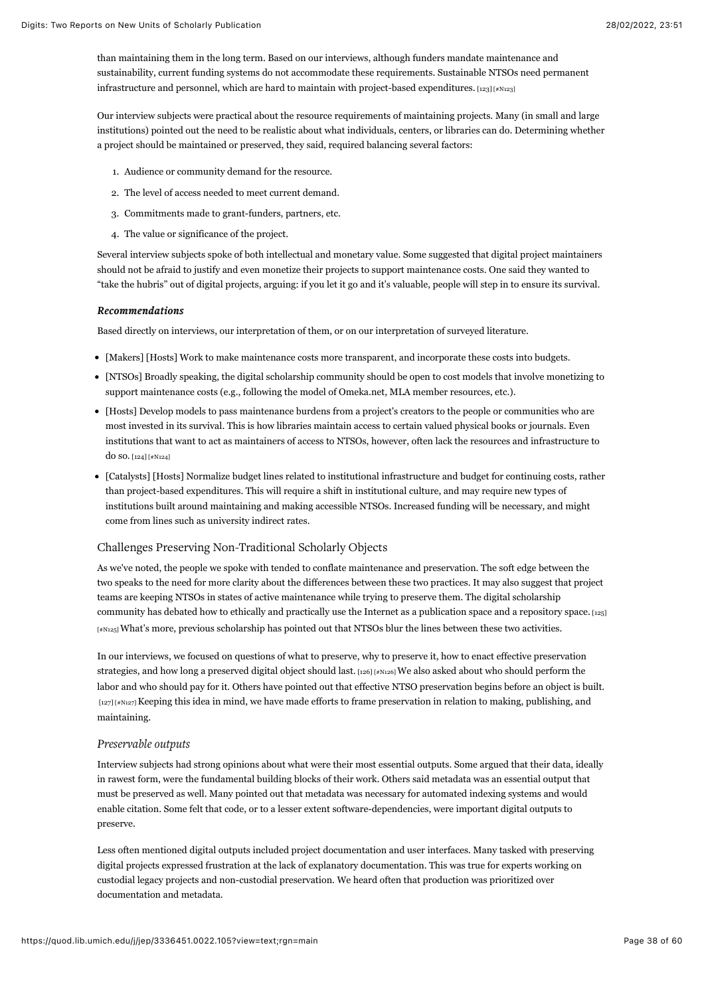than maintaining them in the long term. Based on our interviews, although funders mandate maintenance and sustainability, current funding systems do not accommodate these requirements. Sustainable NTSOs need permanent infrastructure and personnel, which are hard to maintain with project-based expenditures.  $[123]$  [ $*$ N123]

Our interview subjects were practical about the resource requirements of maintaining projects. Many (in small and large institutions) pointed out the need to be realistic about what individuals, centers, or libraries can do. Determining whether a project should be maintained or preserved, they said, required balancing several factors:

- <span id="page-38-0"></span>1. Audience or community demand for the resource.
- 2. The level of access needed to meet current demand.
- 3. Commitments made to grant-funders, partners, etc.
- 4. The value or significance of the project.

Several interview subjects spoke of both intellectual and monetary value. Some suggested that digital project maintainers should not be afraid to justify and even monetize their projects to support maintenance costs. One said they wanted to "take the hubris" out of digital projects, arguing: if you let it go and it's valuable, people will step in to ensure its survival.

#### *Recommendations Recommendations*

Based directly on interviews, our interpretation of them, or on our interpretation of surveyed literature.

- [Makers] [Hosts] Work to make maintenance costs more transparent, and incorporate these costs into budgets.
- [NTSOs] Broadly speaking, the digital scholarship community should be open to cost models that involve monetizing to support maintenance costs (e.g., following the model of Omeka.net, MLA member resources, etc.).
- [Hosts] Develop models to pass maintenance burdens from a project's creators to the people or communities who are most invested in its survival. This is how libraries maintain access to certain valued physical books or journals. Even institutions that want to act as maintainers of access to NTSOs, however, often lack the resources and infrastructure to do so. [\[124\] \[#N124\]](#page-59-7)
- <span id="page-38-1"></span>[Catalysts] [Hosts] Normalize budget lines related to institutional infrastructure and budget for continuing costs, rather than project-based expenditures. This will require a shift in institutional culture, and may require new types of institutions built around maintaining and making accessible NTSOs. Increased funding will be necessary, and might come from lines such as university indirect rates.

### Challenges Preserving Non-Traditional Scholarly Objects

<span id="page-38-2"></span>As we've noted, the people we spoke with tended to conflate maintenance and preservation. The soft edge between the two speaks to the need for more clarity about the differences between these two practices. It may also suggest that project teams are keeping NTSOs in states of active maintenance while trying to preserve them. The digital scholarship community has debated how to ethically and practically use the Internet as a publication space and a repository space. [125] [\[#N125\] What's more, previous scholarship has pointed out that NTSOs blur the lines between these two activities.](#page-59-8)

<span id="page-38-3"></span>In our interviews, we focused on questions of what to preserve, why to preserve it, how to enact effective preservation strategies, and how long a preserved digital object should last.  $[126]$   $[48]$  asked about who should perform the labor and who should pay for it. Others have pointed out that effective NTSO preservation begins before an object is built. [\[127\] \[#N127\] K](#page-59-10)eeping this idea in mind, we have made efforts to frame preservation in relation to making, publishing, and maintaining.

#### <span id="page-38-4"></span>*Preservable outputs*

Interview subjects had strong opinions about what were their most essential outputs. Some argued that their data, ideally in rawest form, were the fundamental building blocks of their work. Others said metadata was an essential output that must be preserved as well. Many pointed out that metadata was necessary for automated indexing systems and would enable citation. Some felt that code, or to a lesser extent software-dependencies, were important digital outputs to preserve.

Less often mentioned digital outputs included project documentation and user interfaces. Many tasked with preserving digital projects expressed frustration at the lack of explanatory documentation. This was true for experts working on custodial legacy projects and non-custodial preservation. We heard often that production was prioritized over documentation and metadata.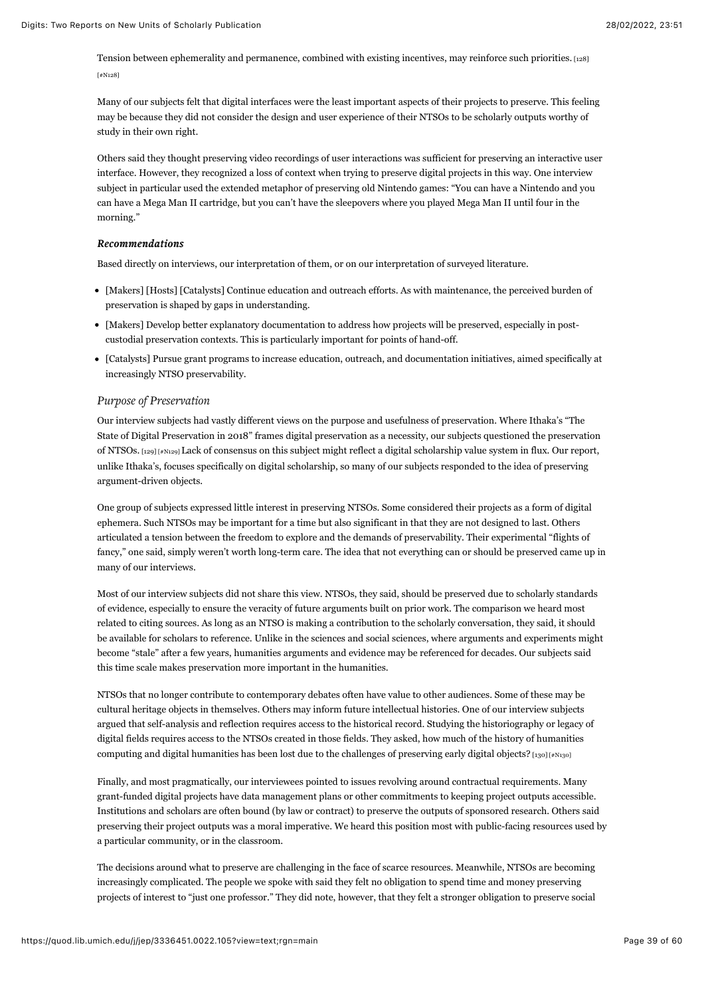<span id="page-39-0"></span>[Tension between ephemerality and permanence, combined with existing incentives, may reinforce such priorities.](#page-59-11) [128] [#N128]

Many of our subjects felt that digital interfaces were the least important aspects of their projects to preserve. This feeling may be because they did not consider the design and user experience of their NTSOs to be scholarly outputs worthy of study in their own right.

Others said they thought preserving video recordings of user interactions was sufficient for preserving an interactive user interface. However, they recognized a loss of context when trying to preserve digital projects in this way. One interview subject in particular used the extended metaphor of preserving old Nintendo games: "You can have a Nintendo and you can have a Mega Man II cartridge, but you can't have the sleepovers where you played Mega Man II until four in the morning."

### *Recommendations Recommendations*

Based directly on interviews, our interpretation of them, or on our interpretation of surveyed literature.

- [Makers] [Hosts] [Catalysts] Continue education and outreach efforts. As with maintenance, the perceived burden of preservation is shaped by gaps in understanding.
- [Makers] Develop better explanatory documentation to address how projects will be preserved, especially in postcustodial preservation contexts. This is particularly important for points of hand-off.
- [Catalysts] Pursue grant programs to increase education, outreach, and documentation initiatives, aimed specifically at increasingly NTSO preservability.

#### *Purpose of Preservation*

<span id="page-39-1"></span>Our interview subjects had vastly different views on the purpose and usefulness of preservation. Where Ithaka's "The State of Digital Preservation in 2018" frames digital preservation as a necessity, our subjects questioned the preservation of NTSOs. [\[129\] \[#N129\]](#page-60-0) Lack of consensus on this subject might reflect a digital scholarship value system in flux. Our report, unlike Ithaka's, focuses specifically on digital scholarship, so many of our subjects responded to the idea of preserving argument-driven objects.

One group of subjects expressed little interest in preserving NTSOs. Some considered their projects as a form of digital ephemera. Such NTSOs may be important for a time but also significant in that they are not designed to last. Others articulated a tension between the freedom to explore and the demands of preservability. Their experimental "flights of fancy," one said, simply weren't worth long-term care. The idea that not everything can or should be preserved came up in many of our interviews.

Most of our interview subjects did not share this view. NTSOs, they said, should be preserved due to scholarly standards of evidence, especially to ensure the veracity of future arguments built on prior work. The comparison we heard most related to citing sources. As long as an NTSO is making a contribution to the scholarly conversation, they said, it should be available for scholars to reference. Unlike in the sciences and social sciences, where arguments and experiments might become "stale" after a few years, humanities arguments and evidence may be referenced for decades. Our subjects said this time scale makes preservation more important in the humanities.

NTSOs that no longer contribute to contemporary debates often have value to other audiences. Some of these may be cultural heritage objects in themselves. Others may inform future intellectual histories. One of our interview subjects argued that self-analysis and reflection requires access to the historical record. Studying the historiography or legacy of digital fields requires access to the NTSOs created in those fields. They asked, how much of the history of humanities computing and digital humanities has been lost due to the challenges of preserving early digital objects? [\[130\] \[#N130\]](#page-60-1)

<span id="page-39-2"></span>Finally, and most pragmatically, our interviewees pointed to issues revolving around contractual requirements. Many grant-funded digital projects have data management plans or other commitments to keeping project outputs accessible. Institutions and scholars are often bound (by law or contract) to preserve the outputs of sponsored research. Others said preserving their project outputs was a moral imperative. We heard this position most with public-facing resources used by a particular community, or in the classroom.

The decisions around what to preserve are challenging in the face of scarce resources. Meanwhile, NTSOs are becoming increasingly complicated. The people we spoke with said they felt no obligation to spend time and money preserving projects of interest to "just one professor." They did note, however, that they felt a stronger obligation to preserve social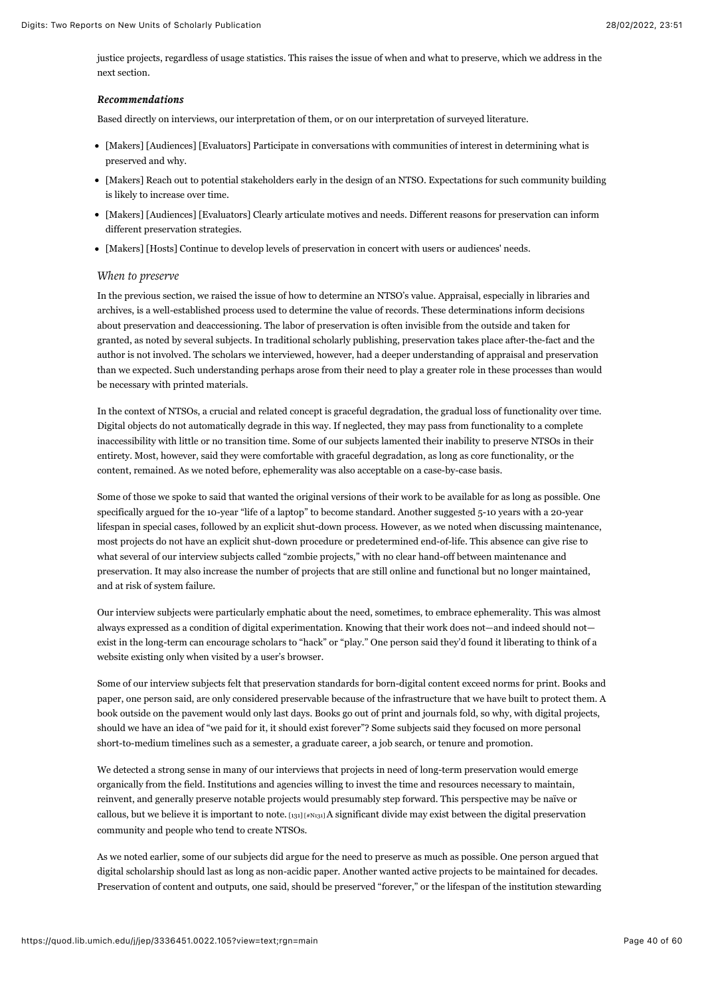justice projects, regardless of usage statistics. This raises the issue of when and what to preserve, which we address in the next section.

## *Recommendations Recommendations*

Based directly on interviews, our interpretation of them, or on our interpretation of surveyed literature.

- [Makers] [Audiences] [Evaluators] Participate in conversations with communities of interest in determining what is preserved and why.
- [Makers] Reach out to potential stakeholders early in the design of an NTSO. Expectations for such community building is likely to increase over time.
- [Makers] [Audiences] [Evaluators] Clearly articulate motives and needs. Different reasons for preservation can inform different preservation strategies.
- [Makers] [Hosts] Continue to develop levels of preservation in concert with users or audiences' needs.

#### *When to preserve*

In the previous section, we raised the issue of how to determine an NTSO's value. Appraisal, especially in libraries and archives, is a well-established process used to determine the value of records. These determinations inform decisions about preservation and deaccessioning. The labor of preservation is often invisible from the outside and taken for granted, as noted by several subjects. In traditional scholarly publishing, preservation takes place after-the-fact and the author is not involved. The scholars we interviewed, however, had a deeper understanding of appraisal and preservation than we expected. Such understanding perhaps arose from their need to play a greater role in these processes than would be necessary with printed materials.

In the context of NTSOs, a crucial and related concept is graceful degradation, the gradual loss of functionality over time. Digital objects do not automatically degrade in this way. If neglected, they may pass from functionality to a complete inaccessibility with little or no transition time. Some of our subjects lamented their inability to preserve NTSOs in their entirety. Most, however, said they were comfortable with graceful degradation, as long as core functionality, or the content, remained. As we noted before, ephemerality was also acceptable on a case-by-case basis.

Some of those we spoke to said that wanted the original versions of their work to be available for as long as possible. One specifically argued for the 10-year "life of a laptop" to become standard. Another suggested 5-10 years with a 20-year lifespan in special cases, followed by an explicit shut-down process. However, as we noted when discussing maintenance, most projects do not have an explicit shut-down procedure or predetermined end-of-life. This absence can give rise to what several of our interview subjects called "zombie projects," with no clear hand-off between maintenance and preservation. It may also increase the number of projects that are still online and functional but no longer maintained, and at risk of system failure.

Our interview subjects were particularly emphatic about the need, sometimes, to embrace ephemerality. This was almost always expressed as a condition of digital experimentation. Knowing that their work does not—and indeed should not exist in the long-term can encourage scholars to "hack" or "play." One person said they'd found it liberating to think of a website existing only when visited by a user's browser.

Some of our interview subjects felt that preservation standards for born-digital content exceed norms for print. Books and paper, one person said, are only considered preservable because of the infrastructure that we have built to protect them. A book outside on the pavement would only last days. Books go out of print and journals fold, so why, with digital projects, should we have an idea of "we paid for it, it should exist forever"? Some subjects said they focused on more personal short-to-medium timelines such as a semester, a graduate career, a job search, or tenure and promotion.

We detected a strong sense in many of our interviews that projects in need of long-term preservation would emerge organically from the field. Institutions and agencies willing to invest the time and resources necessary to maintain, reinvent, and generally preserve notable projects would presumably step forward. This perspective may be naïve or callous, but we believe it is important to note.  $\left[131\right]$   $\left[4N131\right]$  A significant divide may exist between the digital preservation community and people who tend to create NTSOs.

<span id="page-40-0"></span>As we noted earlier, some of our subjects did argue for the need to preserve as much as possible. One person argued that digital scholarship should last as long as non-acidic paper. Another wanted active projects to be maintained for decades. Preservation of content and outputs, one said, should be preserved "forever," or the lifespan of the institution stewarding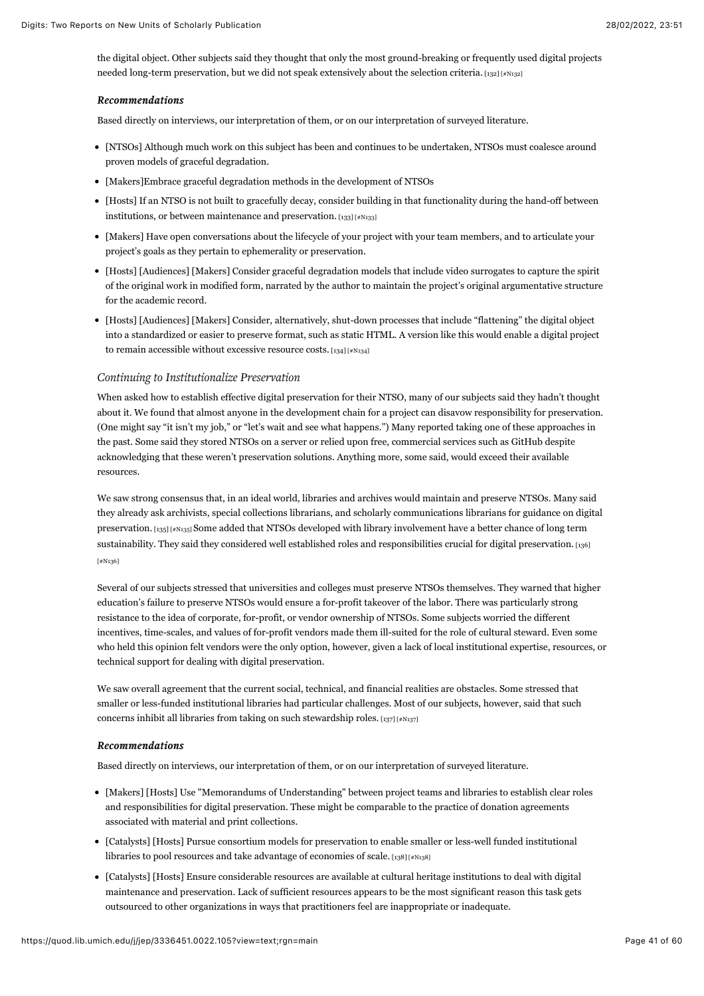<span id="page-41-0"></span>the digital object. Other subjects said they thought that only the most ground-breaking or frequently used digital projects needed long-term preservation, but we did not speak extensively about the selection criteria.  $\left[132\right]\left[\neq N132\right]$ 

#### *Recommendations Recommendations*

Based directly on interviews, our interpretation of them, or on our interpretation of surveyed literature.

- [NTSOs] Although much work on this subject has been and continues to be undertaken, NTSOs must coalesce around proven models of graceful degradation.
- [Makers]Embrace graceful degradation methods in the development of NTSOs
- <span id="page-41-1"></span>[Hosts] If an NTSO is not built to gracefully decay, consider building in that functionality during the hand-off between institutions, or between maintenance and preservation.  $[133]$  [#N133]
- [Makers] Have open conversations about the lifecycle of your project with your team members, and to articulate your project's goals as they pertain to ephemerality or preservation.
- [Hosts] [Audiences] [Makers] Consider graceful degradation models that include video surrogates to capture the spirit of the original work in modified form, narrated by the author to maintain the project's original argumentative structure for the academic record.
- [Hosts] [Audiences] [Makers] Consider, alternatively, shut-down processes that include "flattening" the digital object into a standardized or easier to preserve format, such as static HTML. A version like this would enable a digital project to remain accessible without excessive resource costs.  $[134]$  [#N134]

#### <span id="page-41-2"></span>*Continuing to Institutionalize Preservation*

When asked how to establish effective digital preservation for their NTSO, many of our subjects said they hadn't thought about it. We found that almost anyone in the development chain for a project can disavow responsibility for preservation. (One might say "it isn't my job," or "let's wait and see what happens.") Many reported taking one of these approaches in the past. Some said they stored NTSOs on a server or relied upon free, commercial services such as GitHub despite acknowledging that these weren't preservation solutions. Anything more, some said, would exceed their available resources.

<span id="page-41-3"></span>We saw strong consensus that, in an ideal world, libraries and archives would maintain and preserve NTSOs. Many said they already ask archivists, special collections librarians, and scholarly communications librarians for guidance on digital preservation. [\[135\] \[#N135\]](#page-60-6) Some added that NTSOs developed with library involvement have a better chance of long term [sustainability. They said they considered well established roles and responsibilities crucial for digital preservation.](#page-60-7) [136] [#N136]

<span id="page-41-4"></span>Several of our subjects stressed that universities and colleges must preserve NTSOs themselves. They warned that higher education's failure to preserve NTSOs would ensure a for-profit takeover of the labor. There was particularly strong resistance to the idea of corporate, for-profit, or vendor ownership of NTSOs. Some subjects worried the different incentives, time-scales, and values of for-profit vendors made them ill-suited for the role of cultural steward. Even some who held this opinion felt vendors were the only option, however, given a lack of local institutional expertise, resources, or technical support for dealing with digital preservation.

We saw overall agreement that the current social, technical, and financial realities are obstacles. Some stressed that smaller or less-funded institutional libraries had particular challenges. Most of our subjects, however, said that such concerns inhibit all libraries from taking on such stewardship roles. [\[137\] \[#N137\]](#page-60-8)

#### <span id="page-41-5"></span>*Recommendations Recommendations*

Based directly on interviews, our interpretation of them, or on our interpretation of surveyed literature.

- [Makers] [Hosts] Use "Memorandums of Understanding" between project teams and libraries to establish clear roles and responsibilities for digital preservation. These might be comparable to the practice of donation agreements associated with material and print collections.
- <span id="page-41-6"></span>[Catalysts] [Hosts] Pursue consortium models for preservation to enable smaller or less-well funded institutional libraries to pool resources and take advantage of economies of scale.  $[138]$  [#N138]
- [Catalysts] [Hosts] Ensure considerable resources are available at cultural heritage institutions to deal with digital maintenance and preservation. Lack of sufficient resources appears to be the most significant reason this task gets outsourced to other organizations in ways that practitioners feel are inappropriate or inadequate.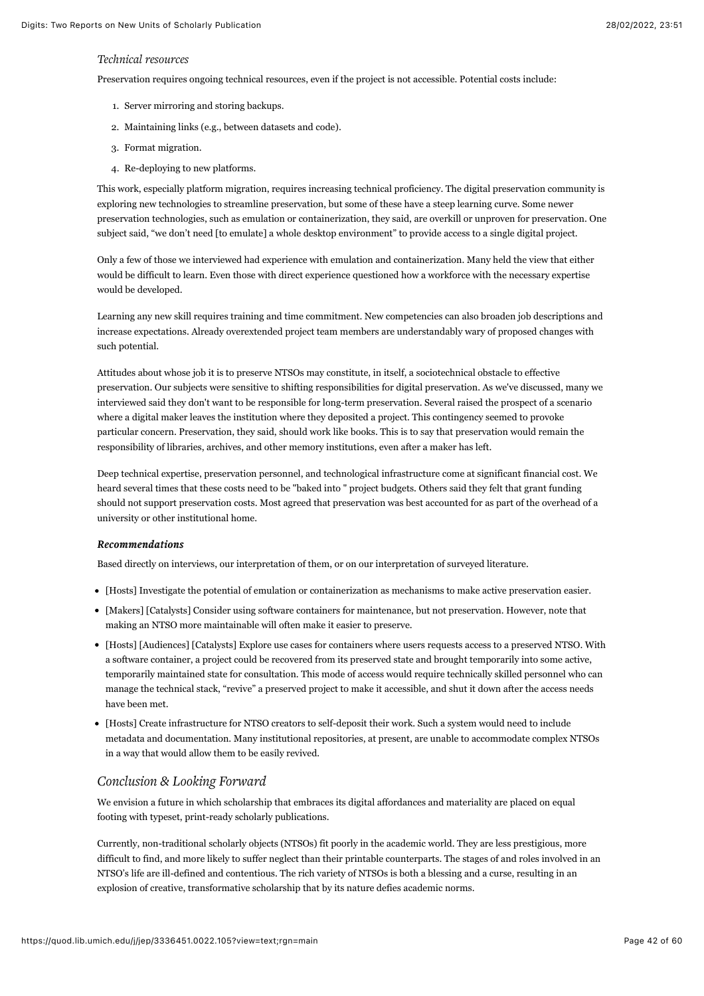#### *Technical resources*

Preservation requires ongoing technical resources, even if the project is not accessible. Potential costs include:

- 1. Server mirroring and storing backups.
- 2. Maintaining links (e.g., between datasets and code).
- 3. Format migration.
- 4. Re-deploying to new platforms.

This work, especially platform migration, requires increasing technical proficiency. The digital preservation community is exploring new technologies to streamline preservation, but some of these have a steep learning curve. Some newer preservation technologies, such as emulation or containerization, they said, are overkill or unproven for preservation. One subject said, "we don't need [to emulate] a whole desktop environment" to provide access to a single digital project.

Only a few of those we interviewed had experience with emulation and containerization. Many held the view that either would be difficult to learn. Even those with direct experience questioned how a workforce with the necessary expertise would be developed.

Learning any new skill requires training and time commitment. New competencies can also broaden job descriptions and increase expectations. Already overextended project team members are understandably wary of proposed changes with such potential.

Attitudes about whose job it is to preserve NTSOs may constitute, in itself, a sociotechnical obstacle to effective preservation. Our subjects were sensitive to shifting responsibilities for digital preservation. As we've discussed, many we interviewed said they don't want to be responsible for long-term preservation. Several raised the prospect of a scenario where a digital maker leaves the institution where they deposited a project. This contingency seemed to provoke particular concern. Preservation, they said, should work like books. This is to say that preservation would remain the responsibility of libraries, archives, and other memory institutions, even after a maker has left.

Deep technical expertise, preservation personnel, and technological infrastructure come at significant financial cost. We heard several times that these costs need to be "baked into " project budgets. Others said they felt that grant funding should not support preservation costs. Most agreed that preservation was best accounted for as part of the overhead of a university or other institutional home.

#### *Recommendations Recommendations*

Based directly on interviews, our interpretation of them, or on our interpretation of surveyed literature.

- [Hosts] Investigate the potential of emulation or containerization as mechanisms to make active preservation easier.
- [Makers] [Catalysts] Consider using software containers for maintenance, but not preservation. However, note that making an NTSO more maintainable will often make it easier to preserve.
- [Hosts] [Audiences] [Catalysts] Explore use cases for containers where users requests access to a preserved NTSO. With a software container, a project could be recovered from its preserved state and brought temporarily into some active, temporarily maintained state for consultation. This mode of access would require technically skilled personnel who can manage the technical stack, "revive" a preserved project to make it accessible, and shut it down after the access needs have been met.
- [Hosts] Create infrastructure for NTSO creators to self-deposit their work. Such a system would need to include metadata and documentation. Many institutional repositories, at present, are unable to accommodate complex NTSOs in a way that would allow them to be easily revived.

## *Conclusion & Looking Forward*

We envision a future in which scholarship that embraces its digital affordances and materiality are placed on equal footing with typeset, print-ready scholarly publications.

Currently, non-traditional scholarly objects (NTSOs) fit poorly in the academic world. They are less prestigious, more difficult to find, and more likely to suffer neglect than their printable counterparts. The stages of and roles involved in an NTSO's life are ill-defined and contentious. The rich variety of NTSOs is both a blessing and a curse, resulting in an explosion of creative, transformative scholarship that by its nature defies academic norms.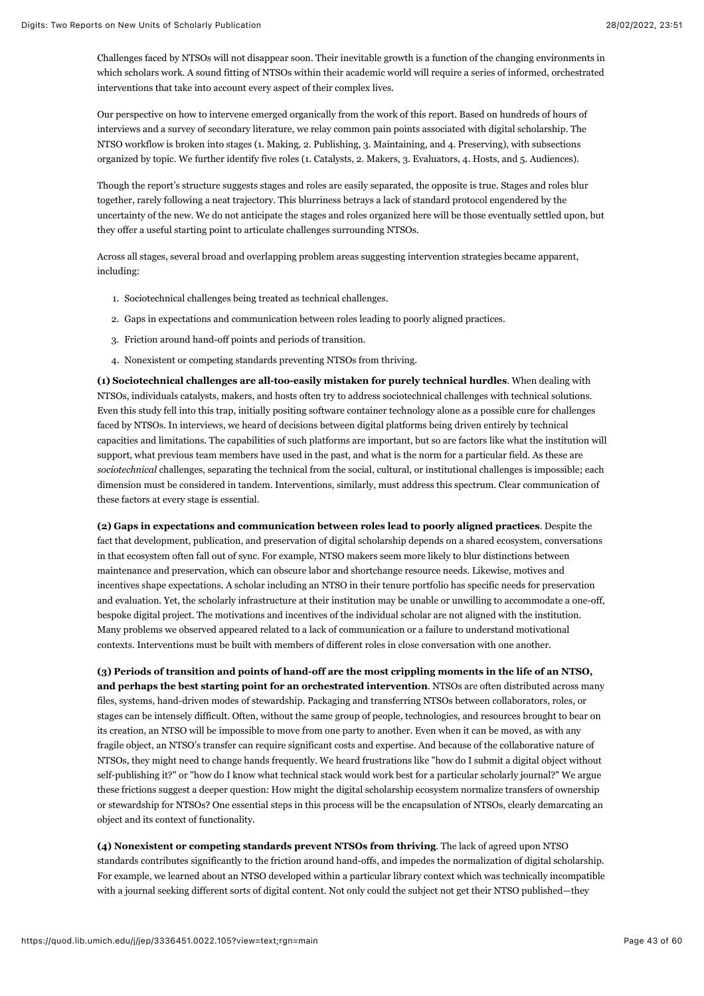Challenges faced by NTSOs will not disappear soon. Their inevitable growth is a function of the changing environments in which scholars work. A sound fitting of NTSOs within their academic world will require a series of informed, orchestrated interventions that take into account every aspect of their complex lives.

Our perspective on how to intervene emerged organically from the work of this report. Based on hundreds of hours of interviews and a survey of secondary literature, we relay common pain points associated with digital scholarship. The NTSO workflow is broken into stages (1. Making, 2. Publishing, 3. Maintaining, and 4. Preserving), with subsections organized by topic. We further identify five roles (1. Catalysts, 2. Makers, 3. Evaluators, 4. Hosts, and 5. Audiences).

Though the report's structure suggests stages and roles are easily separated, the opposite is true. Stages and roles blur together, rarely following a neat trajectory. This blurriness betrays a lack of standard protocol engendered by the uncertainty of the new. We do not anticipate the stages and roles organized here will be those eventually settled upon, but they offer a useful starting point to articulate challenges surrounding NTSOs.

Across all stages, several broad and overlapping problem areas suggesting intervention strategies became apparent, including:

- 1. Sociotechnical challenges being treated as technical challenges.
- 2. Gaps in expectations and communication between roles leading to poorly aligned practices.
- 3. Friction around hand-off points and periods of transition.
- 4. Nonexistent or competing standards preventing NTSOs from thriving.

**(1) Sociotechnical challenges are all-too-easily mistaken for purely technical hurdles**. When dealing with NTSOs, individuals catalysts, makers, and hosts often try to address sociotechnical challenges with technical solutions. Even this study fell into this trap, initially positing software container technology alone as a possible cure for challenges faced by NTSOs. In interviews, we heard of decisions between digital platforms being driven entirely by technical capacities and limitations. The capabilities of such platforms are important, but so are factors like what the institution will support, what previous team members have used in the past, and what is the norm for a particular field. As these are *sociotechnical* challenges, separating the technical from the social, cultural, or institutional challenges is impossible; each dimension must be considered in tandem. Interventions, similarly, must address this spectrum. Clear communication of these factors at every stage is essential.

**(2) Gaps in expectations and communication between roles lead to poorly aligned practices**. Despite the fact that development, publication, and preservation of digital scholarship depends on a shared ecosystem, conversations in that ecosystem often fall out of sync. For example, NTSO makers seem more likely to blur distinctions between maintenance and preservation, which can obscure labor and shortchange resource needs. Likewise, motives and incentives shape expectations. A scholar including an NTSO in their tenure portfolio has specific needs for preservation and evaluation. Yet, the scholarly infrastructure at their institution may be unable or unwilling to accommodate a one-off, bespoke digital project. The motivations and incentives of the individual scholar are not aligned with the institution. Many problems we observed appeared related to a lack of communication or a failure to understand motivational contexts. Interventions must be built with members of different roles in close conversation with one another.

**(3) Periods of transition and points of hand-off are the most crippling moments in the life of an NTSO, and perhaps the best starting point for an orchestrated intervention**. NTSOs are often distributed across many files, systems, hand-driven modes of stewardship. Packaging and transferring NTSOs between collaborators, roles, or stages can be intensely difficult. Often, without the same group of people, technologies, and resources brought to bear on its creation, an NTSO will be impossible to move from one party to another. Even when it can be moved, as with any fragile object, an NTSO's transfer can require significant costs and expertise. And because of the collaborative nature of NTSOs, they might need to change hands frequently. We heard frustrations like "how do I submit a digital object without self-publishing it?" or "how do I know what technical stack would work best for a particular scholarly journal?" We argue these frictions suggest a deeper question: How might the digital scholarship ecosystem normalize transfers of ownership or stewardship for NTSOs? One essential steps in this process will be the encapsulation of NTSOs, clearly demarcating an object and its context of functionality.

**(4) Nonexistent or competing standards prevent NTSOs from thriving**. The lack of agreed upon NTSO standards contributes significantly to the friction around hand-offs, and impedes the normalization of digital scholarship. For example, we learned about an NTSO developed within a particular library context which was technically incompatible with a journal seeking different sorts of digital content. Not only could the subject not get their NTSO published—they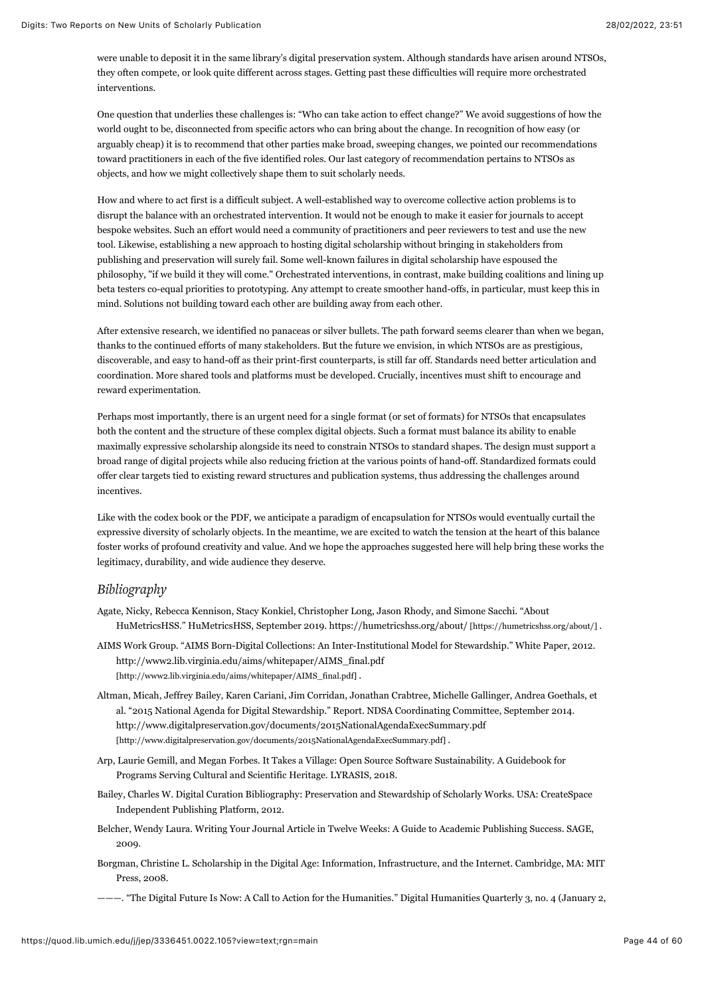were unable to deposit it in the same library's digital preservation system. Although standards have arisen around NTSOs, they often compete, or look quite different across stages. Getting past these difficulties will require more orchestrated interventions.

One question that underlies these challenges is: "Who can take action to effect change?" We avoid suggestions of how the world ought to be, disconnected from specific actors who can bring about the change. In recognition of how easy (or arguably cheap) it is to recommend that other parties make broad, sweeping changes, we pointed our recommendations toward practitioners in each of the five identified roles. Our last category of recommendation pertains to NTSOs as objects, and how we might collectively shape them to suit scholarly needs.

How and where to act first is a difficult subject. A well-established way to overcome collective action problems is to disrupt the balance with an orchestrated intervention. It would not be enough to make it easier for journals to accept bespoke websites. Such an effort would need a community of practitioners and peer reviewers to test and use the new tool. Likewise, establishing a new approach to hosting digital scholarship without bringing in stakeholders from publishing and preservation will surely fail. Some well-known failures in digital scholarship have espoused the philosophy, "if we build it they will come." Orchestrated interventions, in contrast, make building coalitions and lining up beta testers co-equal priorities to prototyping. Any attempt to create smoother hand-offs, in particular, must keep this in mind. Solutions not building toward each other are building away from each other.

After extensive research, we identified no panaceas or silver bullets. The path forward seems clearer than when we began, thanks to the continued efforts of many stakeholders. But the future we envision, in which NTSOs are as prestigious, discoverable, and easy to hand-off as their print-first counterparts, is still far off. Standards need better articulation and coordination. More shared tools and platforms must be developed. Crucially, incentives must shift to encourage and reward experimentation.

Perhaps most importantly, there is an urgent need for a single format (or set of formats) for NTSOs that encapsulates both the content and the structure of these complex digital objects. Such a format must balance its ability to enable maximally expressive scholarship alongside its need to constrain NTSOs to standard shapes. The design must support a broad range of digital projects while also reducing friction at the various points of hand-off. Standardized formats could offer clear targets tied to existing reward structures and publication systems, thus addressing the challenges around incentives.

Like with the codex book or the PDF, we anticipate a paradigm of encapsulation for NTSOs would eventually curtail the expressive diversity of scholarly objects. In the meantime, we are excited to watch the tension at the heart of this balance foster works of profound creativity and value. And we hope the approaches suggested here will help bring these works the legitimacy, durability, and wide audience they deserve.

# *Bibliography*

- Agate, Nicky, Rebecca Kennison, Stacy Konkiel, Christopher Long, Jason Rhody, and Simone Sacchi. "About HuMetricsHSS." HuMetricsHSS, September 2019. [https://humetricshss.org/about/ \[https://humetricshss.org/about/\] .](https://humetricshss.org/about/)
- AIMS Work Group. "AIMS Born-Digital Collections: An Inter-Institutional Model for Stewardship." White Paper, 2012. [http://www2.lib.virginia.edu/aims/whitepaper/AIMS\\_final.pdf](http://www2.lib.virginia.edu/aims/whitepaper/AIMS_final.pdf) [http://www2.lib.virginia.edu/aims/whitepaper/AIMS\_final.pdf] .
- Altman, Micah, Jeffrey Bailey, Karen Cariani, Jim Corridan, Jonathan Crabtree, Michelle Gallinger, Andrea Goethals, et al. "2015 National Agenda for Digital Stewardship." Report. NDSA Coordinating Committee, September 2014. <http://www.digitalpreservation.gov/documents/2015NationalAgendaExecSummary.pdf> [http://www.digitalpreservation.gov/documents/2015NationalAgendaExecSummary.pdf] .
- Arp, Laurie Gemill, and Megan Forbes. It Takes a Village: Open Source Software Sustainability. A Guidebook for Programs Serving Cultural and Scientific Heritage. LYRASIS, 2018.
- Bailey, Charles W. Digital Curation Bibliography: Preservation and Stewardship of Scholarly Works. USA: CreateSpace Independent Publishing Platform, 2012.
- Belcher, Wendy Laura. Writing Your Journal Article in Twelve Weeks: A Guide to Academic Publishing Success. SAGE, 2009.
- Borgman, Christine L. Scholarship in the Digital Age: Information, Infrastructure, and the Internet. Cambridge, MA: MIT Press, 2008.
- ———. "The Digital Future Is Now: A Call to Action for the Humanities." Digital Humanities Quarterly 3, no. 4 (January 2,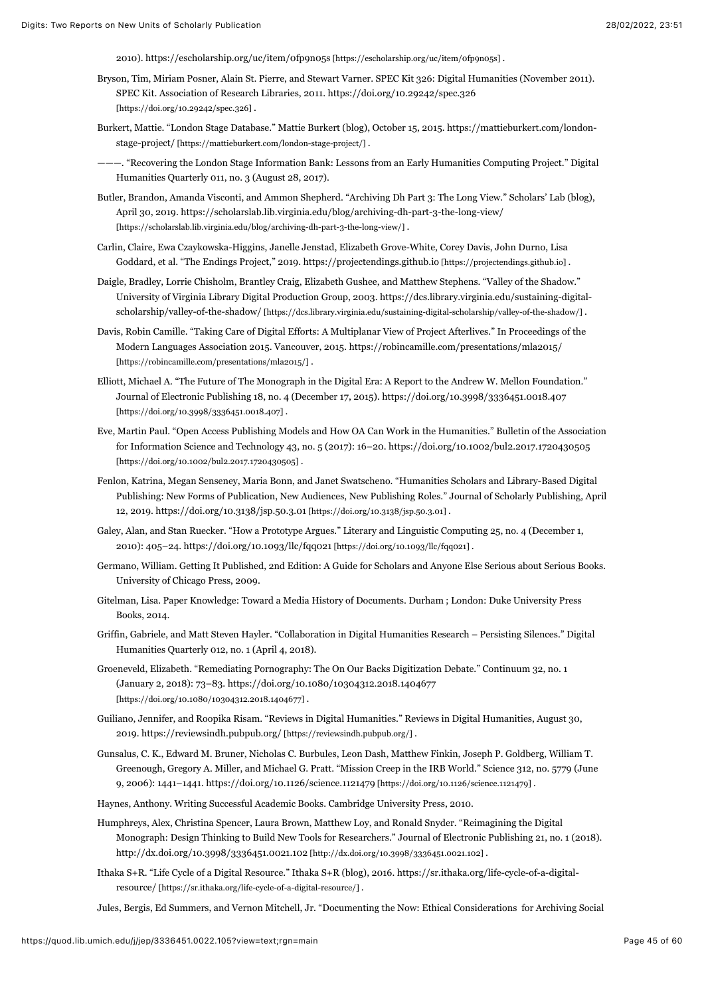2010). [https://escholarship.org/uc/item/0fp9n05s \[https://escholarship.org/uc/item/0fp9n05s\] .](https://escholarship.org/uc/item/0fp9n05s)

- Bryson, Tim, Miriam Posner, Alain St. Pierre, and Stewart Varner. SPEC Kit 326: Digital Humanities (November 2011). [SPEC Kit. Association of Research Libraries, 2011. https://doi.org/10.29242/spec.326](https://doi.org/10.29242/spec.326) [https://doi.org/10.29242/spec.326] .
- Bur[kert, Mattie. "London Stage Database." Mattie Burkert \(blog\), October 15, 2015. https://mattieburkert.com/london](https://mattieburkert.com/london-stage-project/)stage-project/ [https://mattieburkert.com/london-stage-project/] .
- ———. "Recovering the London Stage Information Bank: Lessons from an Early Humanities Computing Project." Digital Humanities Quarterly 011, no. 3 (August 28, 2017).
- Butler, Brandon, Amanda Visconti, and Ammon Shepherd. "Archiving Dh Part 3: The Long View." Scholars' Lab (blog), [April 30, 2019. https://scholarslab.lib.virginia.edu/blog/archiving-dh-part-3-the-long-view/](https://scholarslab.lib.virginia.edu/blog/archiving-dh-part-3-the-long-view/) [https://scholarslab.lib.virginia.edu/blog/archiving-dh-part-3-the-long-view/] .
- Carlin, Claire, Ewa Czaykowska-Higgins, Janelle Jenstad, Elizabeth Grove-White, Corey Davis, John Durno, Lisa Goddard, et al. "The Endings Project," 2019. [https://projectendings.github.io \[https://projectendings.github.io\]](https://projectendings.github.io/) .
- Daigle, Bradley, Lorrie Chisholm, Brantley Craig, Elizabeth Gushee, and Matthew Stephens. "Valley of the Shadow." [University of Virginia Library Digital Production Group, 2003. https://dcs.library.virginia.edu/sustaining-digital](https://dcs.library.virginia.edu/sustaining-digital-scholarship/valley-of-the-shadow/)scholarship/valley-of-the-shadow/ [https://dcs.library.virginia.edu/sustaining-digital-scholarship/valley-of-the-shadow/] .
- Davis, Robin Camille. "Taking Care of Digital Efforts: A Multiplanar View of Project Afterlives." In Proceedings of the [Modern Languages Association 2015. Vancouver, 2015. https://robincamille.com/presentations/mla2015/](https://robincamille.com/presentations/mla2015/) [https://robincamille.com/presentations/mla2015/].
- Elliott, Michael A. "The Future of The Monograph in the Digital Era: A Report to the Andrew W. Mellon Foundation." [Journal of Electronic Publishing 18, no. 4 \(December 17, 2015\). https://doi.org/10.3998/3336451.0018.407](https://doi.org/10.3998/3336451.0018.407) [https://doi.org/10.3998/3336451.0018.407].
- Eve, Martin Paul. "Open Access Publishing Models and How OA Can Work in the Humanities." Bulletin of the Association [for Information Science and Technology 43, no. 5 \(2017\): 16–20. https://doi.org/10.1002/bul2.2017.1720430505](https://doi.org/10.1002/bul2.2017.1720430505) [https://doi.org/10.1002/bul2.2017.1720430505].
- Fenlon, Katrina, Megan Senseney, Maria Bonn, and Janet Swatscheno. "Humanities Scholars and Library-Based Digital Publishing: New Forms of Publication, New Audiences, New Publishing Roles." Journal of Scholarly Publishing, April 12, 2019. [https://doi.org/10.3138/jsp.50.3.01 \[https://doi.org/10.3138/jsp.50.3.01\] .](https://doi.org/10.3138/jsp.50.3.01)
- Galey, Alan, and Stan Ruecker. "How a Prototype Argues." Literary and Linguistic Computing 25, no. 4 (December 1, 2010): 405–24. [https://doi.org/10.1093/llc/fqq021 \[https://doi.org/10.1093/llc/fqq021\] .](https://doi.org/10.1093/llc/fqq021)
- Germano, William. Getting It Published, 2nd Edition: A Guide for Scholars and Anyone Else Serious about Serious Books. University of Chicago Press, 2009.
- Gitelman, Lisa. Paper Knowledge: Toward a Media History of Documents. Durham ; London: Duke University Press Books, 2014.
- Griffin, Gabriele, and Matt Steven Hayler. "Collaboration in Digital Humanities Research Persisting Silences." Digital Humanities Quarterly 012, no. 1 (April 4, 2018).
- Groeneveld, Elizabeth. "Remediating Pornography: The On Our Backs Digitization Debate." Continuum 32, no. 1 [\(January 2, 2018\): 73–83. https://doi.org/10.1080/10304312.2018.1404677](https://doi.org/10.1080/10304312.2018.1404677) [https://doi.org/10.1080/10304312.2018.1404677] .
- Guiliano, Jennifer, and Roopika Risam. "Reviews in Digital Humanities." Reviews in Digital Humanities, August 30, 2019. [https://reviewsindh.pubpub.org/ \[https://reviewsindh.pubpub.org/\]](https://reviewsindh.pubpub.org/) .
- Gunsalus, C. K., Edward M. Bruner, Nicholas C. Burbules, Leon Dash, Matthew Finkin, Joseph P. Goldberg, William T. Greenough, Gregory A. Miller, and Michael G. Pratt. "Mission Creep in the IRB World." Science 312, no. 5779 (June 9, 2006): 1441–1441. [https://doi.org/10.1126/science.1121479 \[https://doi.org/10.1126/science.1121479\] .](https://doi.org/10.1126/science.1121479)
- Haynes, Anthony. Writing Successful Academic Books. Cambridge University Press, 2010.
- Humphreys, Alex, Christina Spencer, Laura Brown, Matthew Loy, and Ronald Snyder. "Reimagining the Digital Monograph: Design Thinking to Build New Tools for Researchers." Journal of Electronic Publishing 21, no. 1 (2018). [http://dx.doi.org/10.3998/3336451.0021.102 \[http://dx.doi.org/10.3998/3336451.0021.102\]](http://dx.doi.org/10.3998/3336451.0021.102) .
- Itha[ka S+R. "Life Cycle of a Digital Resource." Ithaka S+R \(blog\), 2016. https://sr.ithaka.org/life-cycle-of-a-digital](https://sr.ithaka.org/life-cycle-of-a-digital-resource/)resource/ [https://sr.ithaka.org/life-cycle-of-a-digital-resource/] .

Jules, Bergis, Ed Summers, and Vernon Mitchell, Jr. "Documenting the Now: Ethical Considerations for Archiving Social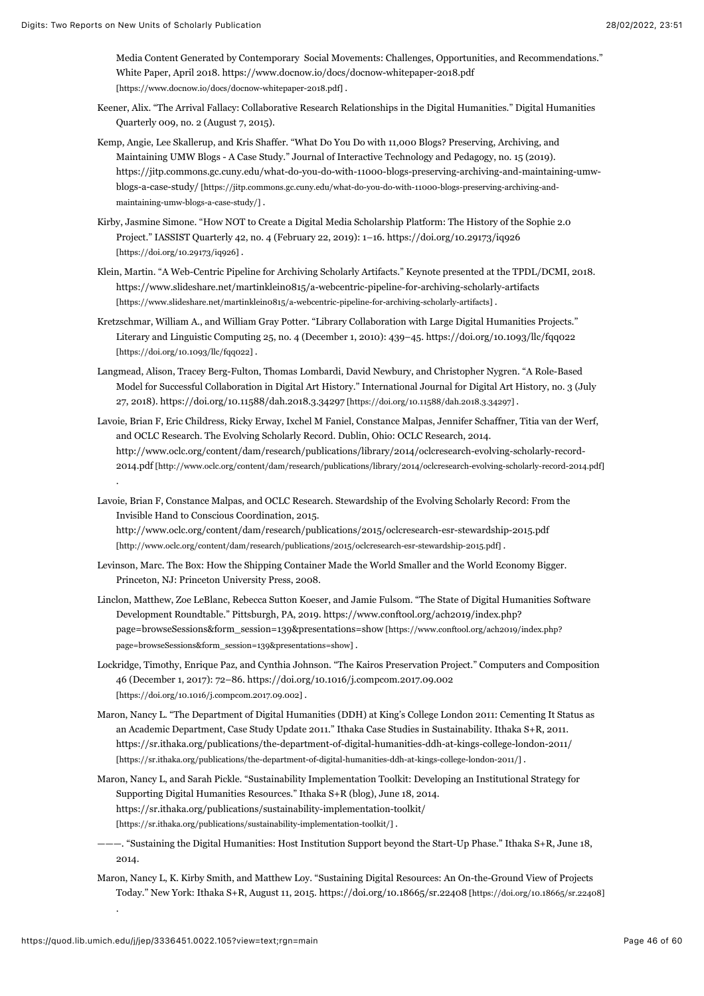Media Content Generated by Contemporary Social Movements: Challenges, Opportunities, and Recommendations." [White Paper, April 2018. https://www.docnow.io/docs/docnow-whitepaper-2018.pdf](https://www.docnow.io/docs/docnow-whitepaper-2018.pdf) [https://www.docnow.io/docs/docnow-whitepaper-2018.pdf] .

- Keener, Alix. "The Arrival Fallacy: Collaborative Research Relationships in the Digital Humanities." Digital Humanities Quarterly 009, no. 2 (August 7, 2015).
- Kemp, Angie, Lee Skallerup, and Kris Shaffer. "What Do You Do with 11,000 Blogs? Preserving, Archiving, and Maintaining UMW Blogs - A Case Study." Journal of Interactive Technology and Pedagogy, no. 15 (2019). [https://jitp.commons.gc.cuny.edu/what-do-you-do-with-11000-blogs-preserving-archiving-and-maintaining-umw](https://jitp.commons.gc.cuny.edu/what-do-you-do-with-11000-blogs-preserving-archiving-and-maintaining-umw-blogs-a-case-study/)blogs-a-case-study/ [https://jitp.commons.gc.cuny.edu/what-do-you-do-with-11000-blogs-preserving-archiving-andmaintaining-umw-blogs-a-case-study/] .
- Kirby, Jasmine Simone. "How NOT to Create a Digital Media Scholarship Platform: The History of the Sophie 2.0 [Project." IASSIST Quarterly 42, no. 4 \(February 22, 2019\): 1–16. https://doi.org/10.29173/iq926](https://doi.org/10.29173/iq926) [https://doi.org/10.29173/iq926] .
- Klein, Martin. "A Web-Centric Pipeline for Archiving Scholarly Artifacts." Keynote presented at the TPDL/DCMI, 2018. <https://www.slideshare.net/martinklein0815/a-webcentric-pipeline-for-archiving-scholarly-artifacts> [https://www.slideshare.net/martinklein0815/a-webcentric-pipeline-for-archiving-scholarly-artifacts] .
- Kretzschmar, William A., and William Gray Potter. "Library Collaboration with Large Digital Humanities Projects." [Literary and Linguistic Computing 25, no. 4 \(December 1, 2010\): 439–45. https://doi.org/10.1093/llc/fqq022](https://doi.org/10.1093/llc/fqq022) [https://doi.org/10.1093/llc/fqq022].
- Langmead, Alison, Tracey Berg-Fulton, Thomas Lombardi, David Newbury, and Christopher Nygren. "A Role-Based Model for Successful Collaboration in Digital Art History." International Journal for Digital Art History, no. 3 (July 27, 2018). [https://doi.org/10.11588/dah.2018.3.34297 \[https://doi.org/10.11588/dah.2018.3.34297\]](https://doi.org/10.11588/dah.2018.3.34297) .
- Lavoie, Brian F, Eric Childress, Ricky Erway, Ixchel M Faniel, Constance Malpas, Jennifer Schaffner, Titia van der Werf, and OCLC Research. The Evolving Scholarly Record. Dublin, Ohio: OCLC Research, 2014. http://www.oclc.org/content/dam/research/publications/library/2014/oclcresearch-evolving-scholarly-record-[2014.pdf \[http://www.oclc.org/content/dam/research/publications/library/2014/oclcresearch-evolving-scholarly-record-2014.pdf\]](http://www.oclc.org/content/dam/research/publications/library/2014/oclcresearch-evolving-scholarly-record-2014.pdf) .
- Lavoie, Brian F, Constance Malpas, and OCLC Research. Stewardship of the Evolving Scholarly Record: From the Invisible Hand to Conscious Coordination, 2015.

<http://www.oclc.org/content/dam/research/publications/2015/oclcresearch-esr-stewardship-2015.pdf> [http://www.oclc.org/content/dam/research/publications/2015/oclcresearch-esr-stewardship-2015.pdf] .

- Levinson, Marc. The Box: How the Shipping Container Made the World Smaller and the World Economy Bigger. Princeton, NJ: Princeton University Press, 2008.
- Linclon, Matthew, Zoe LeBlanc, Rebecca Sutton Koeser, and Jamie Fulsom. "The State of Digital Humanities Software Development Roundtable." Pittsburgh, PA, 2019. https://www.conftool.org/ach2019/index.php? [page=browseSessions&form\\_session=139&presentations=show \[https://www.conftool.org/ach2019/index.php?](https://www.conftool.org/ach2019/index.php?page=browseSessions&form_session=139&presentations=show) page=browseSessions&form\_session=139&presentations=show] .
- Lockridge, Timothy, Enrique Paz, and Cynthia Johnson. "The Kairos Preservation Project." Computers and Composition [46 \(December 1, 2017\): 72–86. https://doi.org/10.1016/j.compcom.2017.09.002](https://doi.org/10.1016/j.compcom.2017.09.002) [https://doi.org/10.1016/j.compcom.2017.09.002].
- Maron, Nancy L. "The Department of Digital Humanities (DDH) at King's College London 2011: Cementing It Status as an Academic Department, Case Study Update 2011." Ithaka Case Studies in Sustainability. Ithaka S+R, 2011. <https://sr.ithaka.org/publications/the-department-of-digital-humanities-ddh-at-kings-college-london-2011/> [https://sr.ithaka.org/publications/the-department-of-digital-humanities-ddh-at-kings-college-london-2011/] .
- Maron, Nancy L, and Sarah Pickle. "Sustainability Implementation Toolkit: Developing an Institutional Strategy for Supporting Digital Humanities Resources." Ithaka S+R (blog), June 18, 2014. <https://sr.ithaka.org/publications/sustainability-implementation-toolkit/> [https://sr.ithaka.org/publications/sustainability-implementation-toolkit/].
- ———. "Sustaining the Digital Humanities: Host Institution Support beyond the Start-Up Phase." Ithaka S+R, June 18, 2014.
- Maron, Nancy L, K. Kirby Smith, and Matthew Loy. "Sustaining Digital Resources: An On-the-Ground View of Projects Today." New York: Ithaka S+R, August 11, 2015. [https://doi.org/10.18665/sr.22408 \[https://doi.org/10.18665/sr.22408\]](https://doi.org/10.18665/sr.22408)

.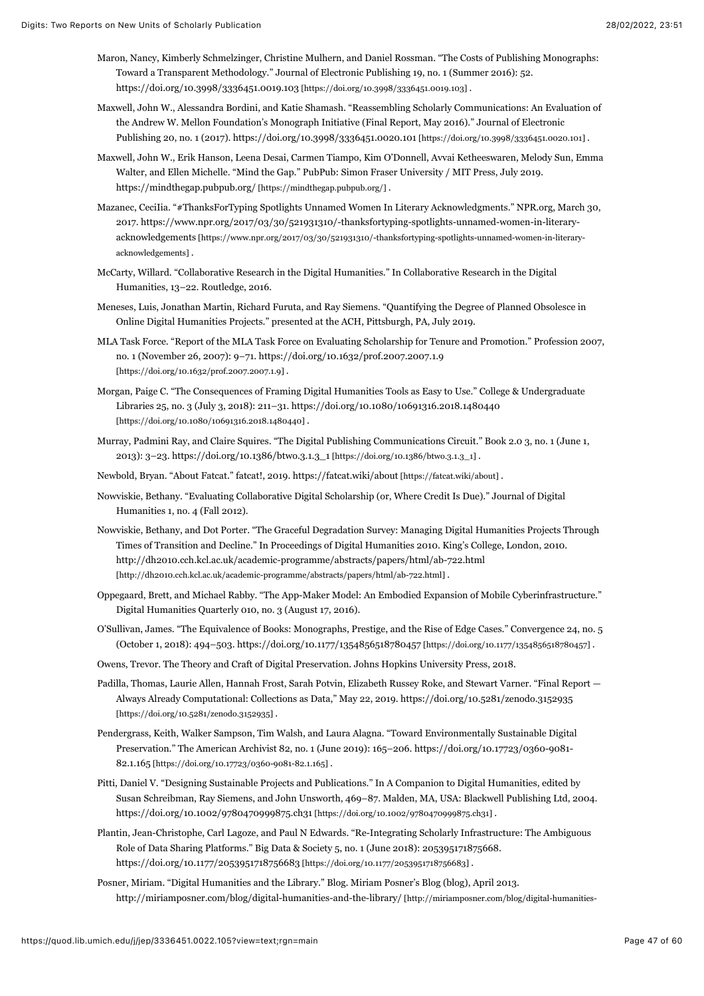- Maron, Nancy, Kimberly Schmelzinger, Christine Mulhern, and Daniel Rossman. "The Costs of Publishing Monographs: Toward a Transparent Methodology." Journal of Electronic Publishing 19, no. 1 (Summer 2016): 52. [https://doi.org/10.3998/3336451.0019.103 \[https://doi.org/10.3998/3336451.0019.103\] .](https://doi.org/10.3998/3336451.0019.103)
- Maxwell, John W., Alessandra Bordini, and Katie Shamash. "Reassembling Scholarly Communications: An Evaluation of the Andrew W. Mellon Foundation's Monograph Initiative (Final Report, May 2016)." Journal of Electronic Publishing 20, no. 1 (2017). [https://doi.org/10.3998/3336451.0020.101 \[https://doi.org/10.3998/3336451.0020.101\]](https://doi.org/10.3998/3336451.0020.101) .
- Maxwell, John W., Erik Hanson, Leena Desai, Carmen Tiampo, Kim O'Donnell, Avvai Ketheeswaren, Melody Sun, Emma Walter, and Ellen Michelle. "Mind the Gap." PubPub: Simon Fraser University / MIT Press, July 2019. [https://mindthegap.pubpub.org/ \[https://mindthegap.pubpub.org/\]](https://mindthegap.pubpub.org/) .
- Mazanec, CeciIia. "#ThanksForTyping Spotlights Unnamed Women In Literary Acknowledgments." NPR.org, March 30, 2017. https://www.npr.org/2017/03/30/521931310/-thanksfortyping-spotlights-unnamed-women-in-literary[acknowledgements \[https://www.npr.org/2017/03/30/521931310/-thanksfortyping-spotlights-unnamed-women-in-literary](https://www.npr.org/2017/03/30/521931310/-thanksfortyping-spotlights-unnamed-women-in-literary-acknowledgements)acknowledgements] .
- McCarty, Willard. "Collaborative Research in the Digital Humanities." In Collaborative Research in the Digital Humanities, 13–22. Routledge, 2016.
- Meneses, Luis, Jonathan Martin, Richard Furuta, and Ray Siemens. "Quantifying the Degree of Planned Obsolesce in Online Digital Humanities Projects." presented at the ACH, Pittsburgh, PA, July 2019.
- MLA Task Force. "Report of the MLA Task Force on Evaluating Scholarship for Tenure and Promotion." Profession 2007, [no. 1 \(November 26, 2007\): 9–71. https://doi.org/10.1632/prof.2007.2007.1.9](https://doi.org/10.1632/prof.2007.2007.1.9) [https://doi.org/10.1632/prof.2007.2007.1.9] .
- Morgan, Paige C. "The Consequences of Framing Digital Humanities Tools as Easy to Use." College & Undergraduate [Libraries 25, no. 3 \(July 3, 2018\): 211–31. https://doi.org/10.1080/10691316.2018.1480440](https://doi.org/10.1080/10691316.2018.1480440) [https://doi.org/10.1080/10691316.2018.1480440] .
- Murray, Padmini Ray, and Claire Squires. "The Digital Publishing Communications Circuit." Book 2.0 3, no. 1 (June 1, 2013): 3–23. [https://doi.org/10.1386/btwo.3.1.3\\_1 \[https://doi.org/10.1386/btwo.3.1.3\\_1\]](https://doi.org/10.1386/btwo.3.1.3_1) .
- Newbold, Bryan. "About Fatcat." fatcat!, 2019. [https://fatcat.wiki/about \[https://fatcat.wiki/about\]](https://fatcat.wiki/about) .
- Nowviskie, Bethany. "Evaluating Collaborative Digital Scholarship (or, Where Credit Is Due)." Journal of Digital Humanities 1, no. 4 (Fall 2012).
- Nowviskie, Bethany, and Dot Porter. "The Graceful Degradation Survey: Managing Digital Humanities Projects Through Times of Transition and Decline." In Proceedings of Digital Humanities 2010. King's College, London, 2010. <http://dh2010.cch.kcl.ac.uk/academic-programme/abstracts/papers/html/ab-722.html> [http://dh2010.cch.kcl.ac.uk/academic-programme/abstracts/papers/html/ab-722.html] .
- Oppegaard, Brett, and Michael Rabby. "The App-Maker Model: An Embodied Expansion of Mobile Cyberinfrastructure." Digital Humanities Quarterly 010, no. 3 (August 17, 2016).
- O'Sullivan, James. "The Equivalence of Books: Monographs, Prestige, and the Rise of Edge Cases." Convergence 24, no. 5 (October 1, 2018): 494–503. [https://doi.org/10.1177/1354856518780457 \[https://doi.org/10.1177/1354856518780457\] .](https://doi.org/10.1177/1354856518780457)
- Owens, Trevor. The Theory and Craft of Digital Preservation. Johns Hopkins University Press, 2018.
- Padilla, Thomas, Laurie Allen, Hannah Frost, Sarah Potvin, Elizabeth Russey Roke, and Stewart Varner. "Final Report [Always Already Computational: Collections as Data," May 22, 2019. https://doi.org/10.5281/zenodo.3152935](https://doi.org/10.5281/zenodo.3152935) [https://doi.org/10.5281/zenodo.3152935] .
- Pendergrass, Keith, Walker Sampson, Tim Walsh, and Laura Alagna. "Toward Environmentally Sustainable Digital [Preservation." The American Archivist 82, no. 1 \(June 2019\): 165–206. https://doi.org/10.17723/0360-9081-](https://doi.org/10.17723/0360-9081-82.1.165) 82.1.165 [https://doi.org/10.17723/0360-9081-82.1.165] .
- Pitti, Daniel V. "Designing Sustainable Projects and Publications." In A Companion to Digital Humanities, edited by Susan Schreibman, Ray Siemens, and John Unsworth, 469–87. Malden, MA, USA: Blackwell Publishing Ltd, 2004. [https://doi.org/10.1002/9780470999875.ch31 \[https://doi.org/10.1002/9780470999875.ch31\] .](https://doi.org/10.1002/9780470999875.ch31)
- Plantin, Jean-Christophe, Carl Lagoze, and Paul N Edwards. "Re-Integrating Scholarly Infrastructure: The Ambiguous Role of Data Sharing Platforms." Big Data & Society 5, no. 1 (June 2018): 205395171875668. [https://doi.org/10.1177/2053951718756683 \[https://doi.org/10.1177/2053951718756683\]](https://doi.org/10.1177/2053951718756683) .
- Posner, Miriam. "Digital Humanities and the Library." Blog. Miriam Posner's Blog (blog), April 2013. [http://miriamposner.com/blog/digital-humanities-and-the-library/ \[http://miriamposner.com/blog/digital-humanities-](http://miriamposner.com/blog/digital-humanities-and-the-library/)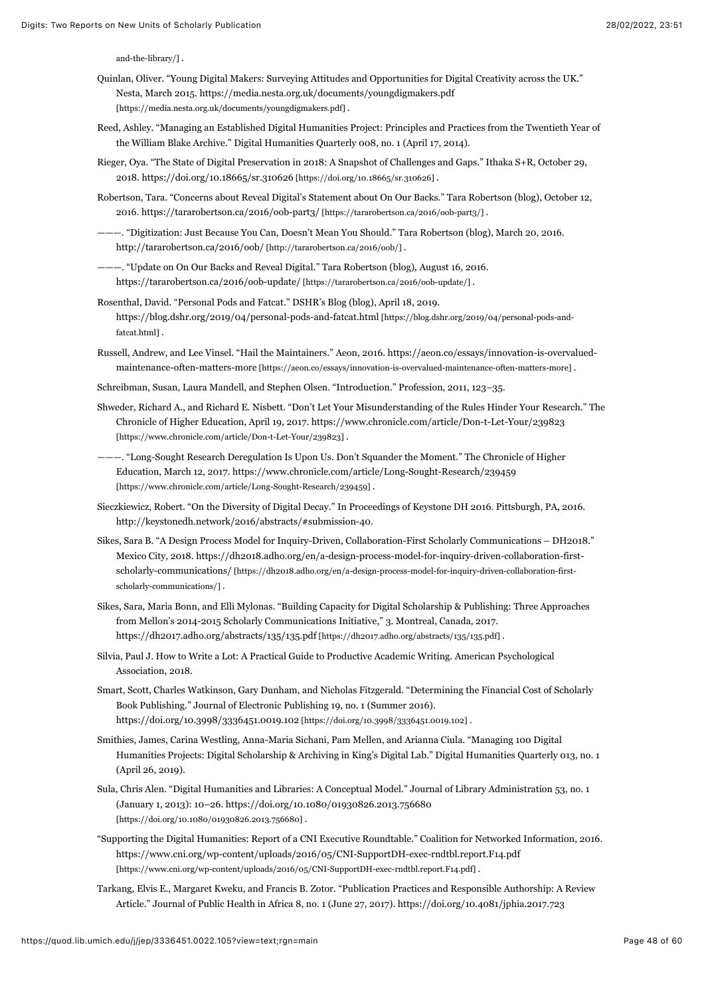[and-the-library/\] .](http://miriamposner.com/blog/digital-humanities-and-the-library/)

- Quinlan, Oliver. "Young Digital Makers: Surveying Attitudes and Opportunities for Digital Creativity across the UK." [Nesta, March 2015. https://media.nesta.org.uk/documents/youngdigmakers.pdf](https://media.nesta.org.uk/documents/youngdigmakers.pdf) [https://media.nesta.org.uk/documents/youngdigmakers.pdf] .
- Reed, Ashley. "Managing an Established Digital Humanities Project: Principles and Practices from the Twentieth Year of the William Blake Archive." Digital Humanities Quarterly 008, no. 1 (April 17, 2014).
- Rieger, Oya. "The State of Digital Preservation in 2018: A Snapshot of Challenges and Gaps." Ithaka S+R, October 29, 2018. [https://doi.org/10.18665/sr.310626 \[https://doi.org/10.18665/sr.310626\] .](https://doi.org/10.18665/sr.310626)
- Robertson, Tara. "Concerns about Reveal Digital's Statement about On Our Backs." Tara Robertson (blog), October 12, 2016. [https://tararobertson.ca/2016/oob-part3/ \[https://tararobertson.ca/2016/oob-part3/\] .](https://tararobertson.ca/2016/oob-part3/)
- ———. "Digitization: Just Because You Can, Doesn't Mean You Should." Tara Robertson (blog), March 20, 2016. [http://tararobertson.ca/2016/oob/ \[http://tararobertson.ca/2016/oob/\]](http://tararobertson.ca/2016/oob/) .
- ———. "Update on On Our Backs and Reveal Digital." Tara Robertson (blog), August 16, 2016. [https://tararobertson.ca/2016/oob-update/ \[https://tararobertson.ca/2016/oob-update/\]](https://tararobertson.ca/2016/oob-update/) .
- Rosenthal, David. "Personal Pods and Fatcat." DSHR's Blog (blog), April 18, 2019. [https://blog.dshr.org/2019/04/personal-pods-and-fatcat.html \[https://blog.dshr.org/2019/04/personal-pods-and](https://blog.dshr.org/2019/04/personal-pods-and-fatcat.html)fatcat.html] .
- Rus[sell, Andrew, and Lee Vinsel. "Hail the Maintainers." Aeon, 2016. https://aeon.co/essays/innovation-is-overvalued](https://aeon.co/essays/innovation-is-overvalued-maintenance-often-matters-more)maintenance-often-matters-more [https://aeon.co/essays/innovation-is-overvalued-maintenance-often-matters-more] .
- Schreibman, Susan, Laura Mandell, and Stephen Olsen. "Introduction." Profession, 2011, 123–35.
- Shweder, Richard A., and Richard E. Nisbett. "Don't Let Your Misunderstanding of the Rules Hinder Your Research." The [Chronicle of Higher Education, April 19, 2017. https://www.chronicle.com/article/Don-t-Let-Your/239823](https://www.chronicle.com/article/Don-t-Let-Your/239823) [https://www.chronicle.com/article/Don-t-Let-Your/239823] .
- ———. "Long-Sought Research Deregulation Is Upon Us. Don't Squander the Moment." The Chronicle of Higher [Education, March 12, 2017. https://www.chronicle.com/article/Long-Sought-Research/239459](https://www.chronicle.com/article/Long-Sought-Research/239459) [https://www.chronicle.com/article/Long-Sought-Research/239459].
- Sieczkiewicz, Robert. "On the Diversity of Digital Decay." In Proceedings of Keystone DH 2016. Pittsburgh, PA, 2016. http://keystonedh.network/2016/abstracts/#submission-40.
- Sikes, Sara B. "A Design Process Model for Inquiry-Driven, Collaboration-First Scholarly Communications DH2018." [Mexico City, 2018. https://dh2018.adho.org/en/a-design-process-model-for-inquiry-driven-collaboration-first](https://dh2018.adho.org/en/a-design-process-model-for-inquiry-driven-collaboration-first-scholarly-communications/)scholarly-communications/ [https://dh2018.adho.org/en/a-design-process-model-for-inquiry-driven-collaboration-firstscholarly-communications/] .
- Sikes, Sara, Maria Bonn, and Elli Mylonas. "Building Capacity for Digital Scholarship & Publishing: Three Approaches from Mellon's 2014-2015 Scholarly Communications Initiative," 3. Montreal, Canada, 2017. [https://dh2017.adho.org/abstracts/135/135.pdf \[https://dh2017.adho.org/abstracts/135/135.pdf\]](https://dh2017.adho.org/abstracts/135/135.pdf) .
- Silvia, Paul J. How to Write a Lot: A Practical Guide to Productive Academic Writing. American Psychological Association, 2018.
- Smart, Scott, Charles Watkinson, Gary Dunham, and Nicholas Fitzgerald. "Determining the Financial Cost of Scholarly Book Publishing." Journal of Electronic Publishing 19, no. 1 (Summer 2016). [https://doi.org/10.3998/3336451.0019.102 \[https://doi.org/10.3998/3336451.0019.102\] .](https://doi.org/10.3998/3336451.0019.102)
- Smithies, James, Carina Westling, Anna-Maria Sichani, Pam Mellen, and Arianna Ciula. "Managing 100 Digital Humanities Projects: Digital Scholarship & Archiving in King's Digital Lab." Digital Humanities Quarterly 013, no. 1 (April 26, 2019).
- Sula, Chris Alen. "Digital Humanities and Libraries: A Conceptual Model." Journal of Library Administration 53, no. 1 [\(January 1, 2013\): 10–26. https://doi.org/10.1080/01930826.2013.756680](https://doi.org/10.1080/01930826.2013.756680) [https://doi.org/10.1080/01930826.2013.756680] .
- "Supporting the Digital Humanities: Report of a CNI Executive Roundtable." Coalition for Networked Information, 2016. <https://www.cni.org/wp-content/uploads/2016/05/CNI-SupportDH-exec-rndtbl.report.F14.pdf> [https://www.cni.org/wp-content/uploads/2016/05/CNI-SupportDH-exec-rndtbl.report.F14.pdf] .
- Tarkang, Elvis E., Margaret Kweku, and Francis B. Zotor. "Publication Practices and Responsible Authorship: A Review [Article." Journal of Public Health in Africa 8, no. 1 \(June 27, 2017\). https://doi.org/10.4081/jphia.2017.723](https://doi.org/10.4081/jphia.2017.723)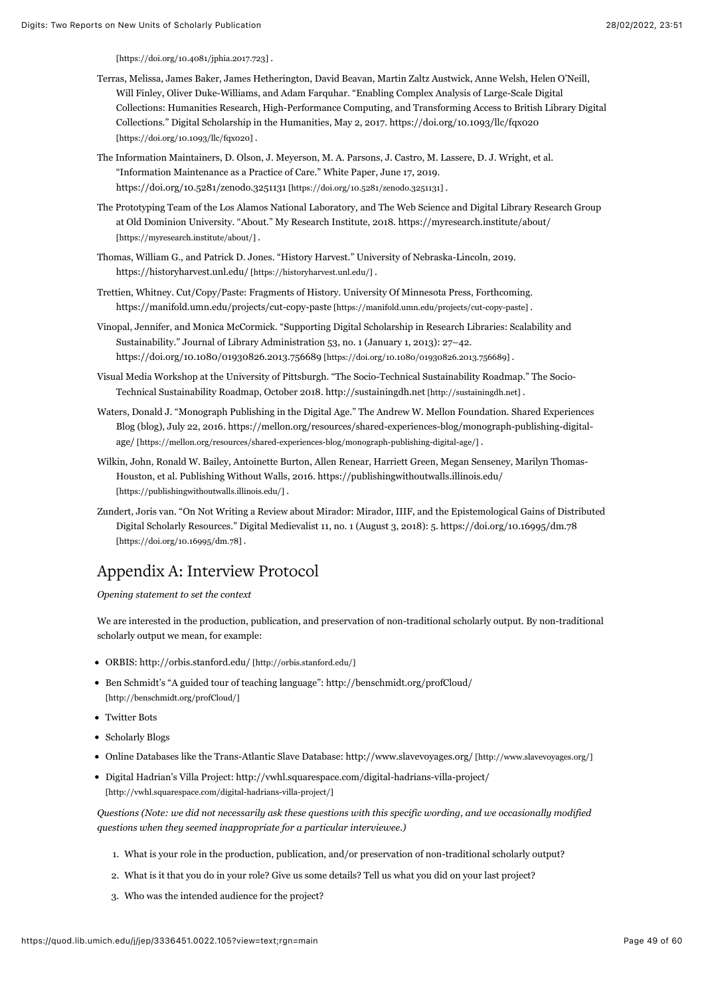[\[https://doi.org/10.4081/jphia.2017.723\] .](https://doi.org/10.4081/jphia.2017.723)

- Terras, Melissa, James Baker, James Hetherington, David Beavan, Martin Zaltz Austwick, Anne Welsh, Helen O'Neill, Will Finley, Oliver Duke-Williams, and Adam Farquhar. "Enabling Complex Analysis of Large-Scale Digital Collections: Humanities Research, High-Performance Computing, and Transforming Access to British Library Digital [Collections." Digital Scholarship in the Humanities, May 2, 2017. https://doi.org/10.1093/llc/fqx020](https://doi.org/10.1093/llc/fqx020) [https://doi.org/10.1093/llc/fqx020] .
- The Information Maintainers, D. Olson, J. Meyerson, M. A. Parsons, J. Castro, M. Lassere, D. J. Wright, et al. "Information Maintenance as a Practice of Care." White Paper, June 17, 2019. [https://doi.org/10.5281/zenodo.3251131 \[https://doi.org/10.5281/zenodo.3251131\]](https://doi.org/10.5281/zenodo.3251131) .
- The Prototyping Team of the Los Alamos National Laboratory, and The Web Science and Digital Library Research Group [at Old Dominion University. "About." My Research Institute, 2018. https://myresearch.institute/about/](https://myresearch.institute/about/) [https://myresearch.institute/about/] .
- Thomas, William G., and Patrick D. Jones. "History Harvest." University of Nebraska-Lincoln, 2019. [https://historyharvest.unl.edu/ \[https://historyharvest.unl.edu/\] .](https://historyharvest.unl.edu/)
- Trettien, Whitney. Cut/Copy/Paste: Fragments of History. University Of Minnesota Press, Forthcoming. [https://manifold.umn.edu/projects/cut-copy-paste \[https://manifold.umn.edu/projects/cut-copy-paste\]](https://manifold.umn.edu/projects/cut-copy-paste) .
- Vinopal, Jennifer, and Monica McCormick. "Supporting Digital Scholarship in Research Libraries: Scalability and Sustainability." Journal of Library Administration 53, no. 1 (January 1, 2013): 27–42. [https://doi.org/10.1080/01930826.2013.756689 \[https://doi.org/10.1080/01930826.2013.756689\] .](https://doi.org/10.1080/01930826.2013.756689)
- Visual Media Workshop at the University of Pittsburgh. "The Socio-Technical Sustainability Roadmap." The Socio-Technical Sustainability Roadmap, October 2018. [http://sustainingdh.net \[http://sustainingdh.net\] .](http://sustainingdh.net/)
- Waters, Donald J. "Monograph Publishing in the Digital Age." The Andrew W. Mellon Foundation. Shared Experiences [Blog \(blog\), July 22, 2016. https://mellon.org/resources/shared-experiences-blog/monograph-publishing-digital](https://mellon.org/resources/shared-experiences-blog/monograph-publishing-digital-age/)age/ [https://mellon.org/resources/shared-experiences-blog/monograph-publishing-digital-age/] .
- Wilkin, John, Ronald W. Bailey, Antoinette Burton, Allen Renear, Harriett Green, Megan Senseney, Marilyn Thomas-[Houston, et al. Publishing Without Walls, 2016. https://publishingwithoutwalls.illinois.edu/](https://publishingwithoutwalls.illinois.edu/) [https://publishingwithoutwalls.illinois.edu/].
- Zundert, Joris van. "On Not Writing a Review about Mirador: Mirador, IIIF, and the Epistemological Gains of Distributed [Digital Scholarly Resources." Digital Medievalist 11, no. 1 \(August 3, 2018\): 5. https://doi.org/10.16995/dm.78](https://doi.org/10.16995/dm.78) [https://doi.org/10.16995/dm.78] .

# Appendix A: Interview Protocol

#### *Opening statement to set the context*

We are interested in the production, publication, and preservation of non-traditional scholarly output. By non-traditional scholarly output we mean, for example:

- ORBIS: [http://orbis.stanford.edu/ \[http://orbis.stanford.edu/\]](http://orbis.stanford.edu/)
- [Ben Schmidt's "A guided tour of teaching language": http://benschmidt.org/profCloud/](http://benschmidt.org/profCloud/) [http://benschmidt.org/profCloud/]
- Twitter Bots
- Scholarly Blogs
- Online Databases like the Trans-Atlantic Slave Database: [http://www.slavevoyages.org/ \[http://www.slavevoyages.org/\]](http://www.slavevoyages.org/)
- [Digital Hadrian's Villa Project: http://vwhl.squarespace.com/digital-hadrians-villa-project/](http://vwhl.squarespace.com/digital-hadrians-villa-project/) [http://vwhl.squarespace.com/digital-hadrians-villa-project/]

*Questions (Note: we did not necessarily ask these questions with this specific wording, and we occasionally modified questions when they seemed inappropriate for a particular interviewee.)*

- 1. What is your role in the production, publication, and/or preservation of non-traditional scholarly output?
- 2. What is it that you do in your role? Give us some details? Tell us what you did on your last project?
- 3. Who was the intended audience for the project?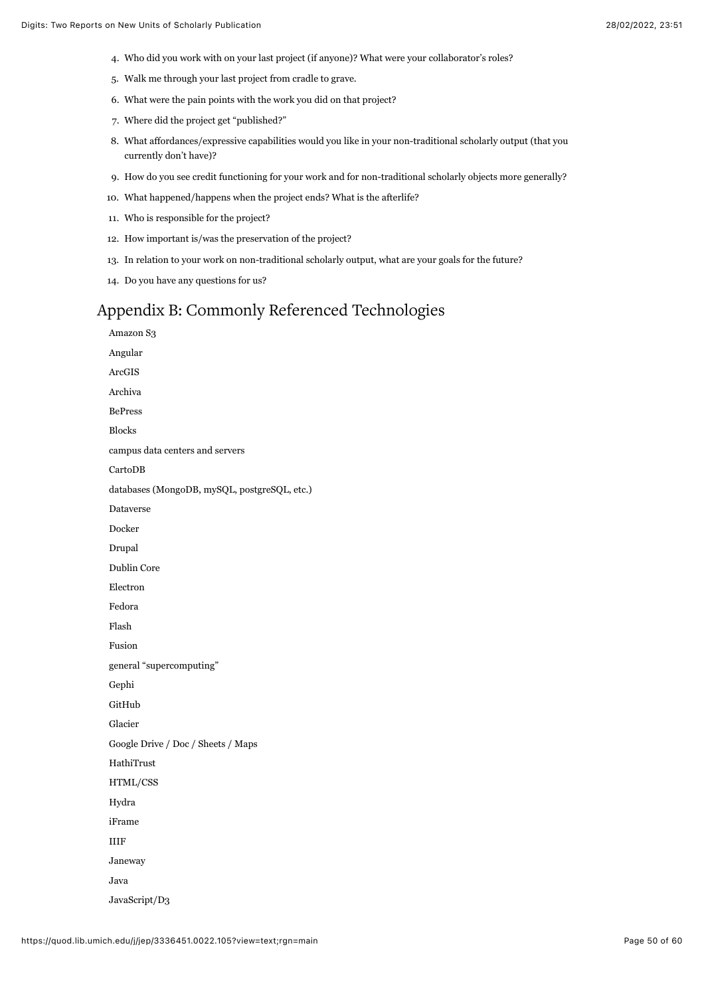- 4. Who did you work with on your last project (if anyone)? What were your collaborator's roles?
- 5. Walk me through your last project from cradle to grave.
- 6. What were the pain points with the work you did on that project?
- 7. Where did the project get "published?"
- 8. What affordances/expressive capabilities would you like in your non-traditional scholarly output (that you currently don't have)?
- 9. How do you see credit functioning for your work and for non-traditional scholarly objects more generally?
- 10. What happened/happens when the project ends? What is the afterlife?
- 11. Who is responsible for the project?
- 12. How important is/was the preservation of the project?
- 13. In relation to your work on non-traditional scholarly output, what are your goals for the future?
- 14. Do you have any questions for us?

# Appendix B: Commonly Referenced Technologies

Amazon S3 Angular ArcGIS Archiva BePress Blocks campus data centers and servers CartoDB databases (MongoDB, mySQL, postgreSQL, etc.) Dataverse Docker Drupal Dublin Core Electron Fedora Flash Fusion general "supercomputing" Gephi GitHub Glacier Google Drive / Doc / Sheets / Maps HathiTrust HTML/CSS Hydra iFrame IIIF Janeway Java JavaScript/D3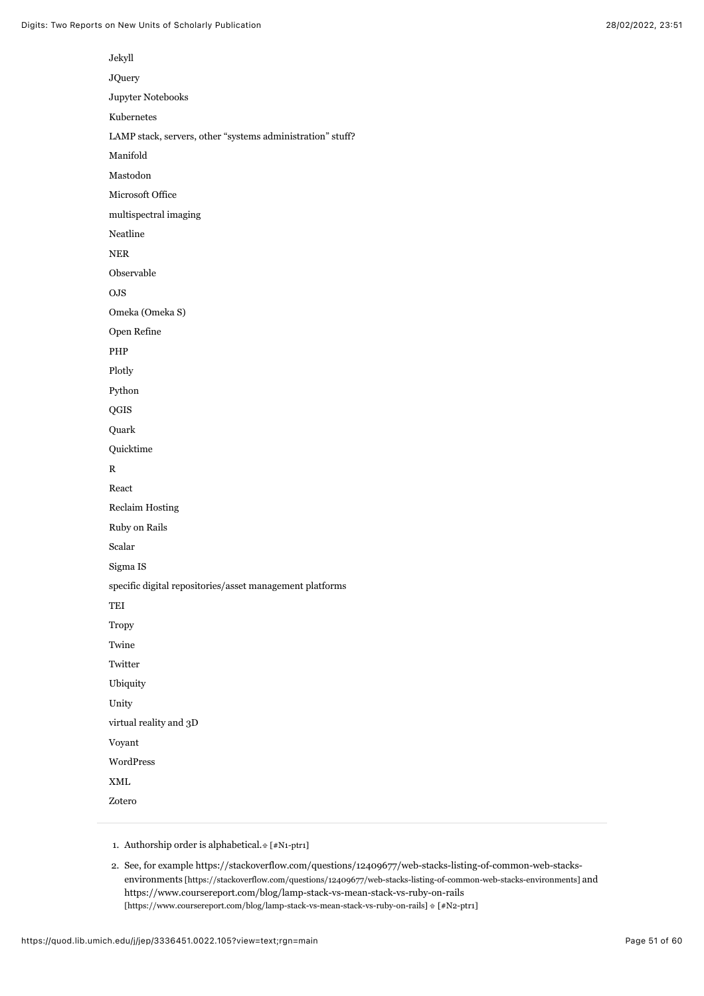| Jekyll                                                     |
|------------------------------------------------------------|
| <b>JQuery</b>                                              |
| Jupyter Notebooks                                          |
| Kubernetes                                                 |
| LAMP stack, servers, other "systems administration" stuff? |
| Manifold                                                   |
| Mastodon                                                   |
| Microsoft Office                                           |
| multispectral imaging                                      |
| Neatline                                                   |
| <b>NER</b>                                                 |
| Observable                                                 |
| OJS                                                        |
| Omeka (Omeka S)                                            |
| Open Refine                                                |
| PHP                                                        |
| Plotly                                                     |
| Python                                                     |
| QGIS                                                       |
| Quark                                                      |
| Quicktime                                                  |
| R                                                          |
| React                                                      |
| <b>Reclaim Hosting</b>                                     |
| Ruby on Rails                                              |
| Scalar                                                     |
| Sigma IS                                                   |
| specific digital repositories/asset management platforms   |
| TEI                                                        |
| <b>Tropy</b>                                               |
| Twine                                                      |
| Twitter                                                    |
| Ubiquity                                                   |
| Unity                                                      |
| virtual reality and 3D                                     |
| Voyant                                                     |
| WordPress                                                  |
| XML                                                        |
| Zotero                                                     |

<span id="page-51-0"></span>1. Authorship order is alphabetical.  $[*/N1-ptr1]$ 

<span id="page-51-1"></span><sup>2.</sup> [See, for example https://stackoverflow.com/questions/12409677/web-stacks-listing-of-common-web-stacks](https://stackoverflow.com/questions/12409677/web-stacks-listing-of-common-web-stacks-environments)environments [https://stackoverflow.com/questions/12409677/web-stacks-listing-of-common-web-stacks-environments] and <https://www.coursereport.com/blog/lamp-stack-vs-mean-stack-vs-ruby-on-rails>  $[https://www.coursereport.com/blog/lamp-stack-vs-mean-stack-vs-ruby-on-rails] \Uparrow [#N2-ptr1]$  $[https://www.coursereport.com/blog/lamp-stack-vs-mean-stack-vs-ruby-on-rails] \Uparrow [#N2-ptr1]$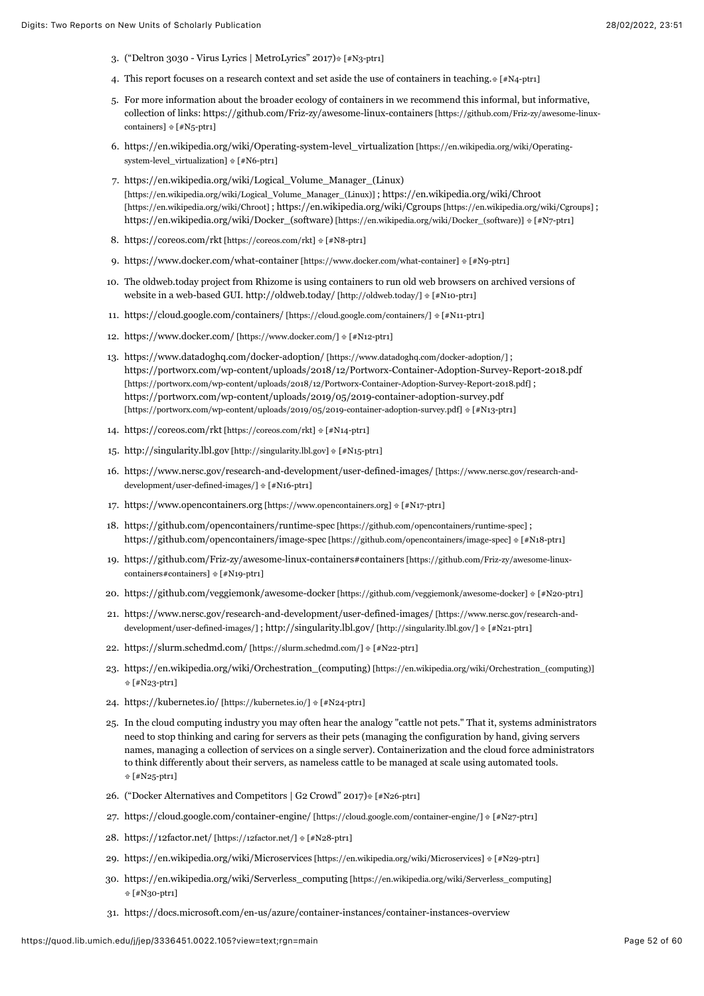- <span id="page-52-0"></span>3. ("Deltron 3030 - Virus Lyrics | MetroLyrics" 2017[\) \[#N3-ptr1\]](#page-5-1)
- <span id="page-52-1"></span>4. This report focuses on a research context and set aside the use of containers in teaching.  $[#N4-ptr1]$
- <span id="page-52-2"></span>5. For more information about the broader ecology of containers in we recommend this informal, but informative, [collection of links: https://github.com/Friz-zy/awesome-linux-containers \[https://github.com/Friz-zy/awesome-linux](https://github.com/Friz-zy/awesome-linux-containers)containers]  $f#N_5$ -ptr1]
- <span id="page-52-3"></span>6. [https://en.wikipedia.org/wiki/Operating-system-level\\_virtualization \[https://en.wikipedia.org/wiki/Operating](https://en.wikipedia.org/wiki/Operating-system-level_virtualization)system-level\_virtualization]  $#$  [\[#N6-ptr1\]](#page-6-2)
- <span id="page-52-4"></span>7. [https://en.wikipedia.org/wiki/Logical\\_Volume\\_Manager\\_\(Linux\)](https://en.wikipedia.org/wiki/Logical_Volume_Manager_(Linux)) [\[https://en.wikipedia.org/wiki/Logical\\_Volume\\_Manager\\_\(Linux\)\] ; https://en.wikipedia.org/wiki/Chroot](https://en.wikipedia.org/wiki/Chroot) [https://en.wikipedia.org/wiki/Chroot] ; [https://en.wikipedia.org/wiki/Cgroups \[https://en.wikipedia.org/wiki/Cgroups\]](https://en.wikipedia.org/wiki/Cgroups) ; [https://en.wikipedia.org/wiki/Docker\\_\(software\) \[https://en.wikipedia.org/wiki/Docker\\_\(software\)\]](https://en.wikipedia.org/wiki/Docker_(software))  $\#$  [\[#N7-ptr1\]](#page-6-3)
- <span id="page-52-5"></span>8. [https://coreos.com/rkt \[https://coreos.com/rkt\]](https://coreos.com/rkt)  $\#$  [\[#N8-ptr1\]](#page-6-4)
- <span id="page-52-6"></span>9. [https://www.docker.com/what-container \[https://www.docker.com/what-container\]](https://www.docker.com/what-container)  $\#$  [\[#N9-ptr1\]](#page-6-5)
- <span id="page-52-7"></span>10. The oldweb.today project from Rhizome is using containers to run old web browsers on archived versions of website in a web-based GUI. [http://oldweb.today/ \[http://oldweb.today/\]](http://oldweb.today/)  $\#$  [\[#N10-ptr1\]](#page-7-0)
- <span id="page-52-8"></span>11. [https://cloud.google.com/containers/ \[https://cloud.google.com/containers/\]](https://cloud.google.com/containers/)  $E[$ #N11-ptr1]
- <span id="page-52-9"></span>12. [https://www.docker.com/ \[https://www.docker.com/\]](https://www.docker.com/)  $\#$  [\[#N12-ptr1\]](#page-9-1)
- <span id="page-52-10"></span>13. [https://www.datadoghq.com/docker-adoption/ \[https://www.datadoghq.com/docker-adoption/\] ;](https://www.datadoghq.com/docker-adoption/) <https://portworx.com/wp-content/uploads/2018/12/Portworx-Container-Adoption-Survey-Report-2018.pdf> [https://portworx.com/wp-content/uploads/2018/12/Portworx-Container-Adoption-Survey-Report-2018.pdf] ; <https://portworx.com/wp-content/uploads/2019/05/2019-container-adoption-survey.pdf> [https://portworx.com/wp-content/uploads/2019/05/2019-container-adoption-survey.pdf]  $\mathbb{F}$ [#N13-ptr1]
- <span id="page-52-11"></span>14. [https://coreos.com/rkt \[https://coreos.com/rkt\]](https://coreos.com/rkt)  $\text{#N14-ptr1}$
- <span id="page-52-12"></span>15. [http://singularity.lbl.gov \[http://singularity.lbl.gov\]](http://singularity.lbl.gov/)  $*$  [\[#N15-ptr1\]](#page-9-4)
- <span id="page-52-13"></span>16. [https://www.nersc.gov/research-and-development/user-defined-images/ \[https://www.nersc.gov/research-and](https://www.nersc.gov/research-and-development/user-defined-images/)development/user-defined-images/]  $\frac{1}{2}$  [\[#N16-ptr1\]](#page-9-5)
- <span id="page-52-14"></span>17. [https://www.opencontainers.org \[https://www.opencontainers.org\]](https://www.opencontainers.org/)  $E[FN17-ptr1]$
- <span id="page-52-15"></span>18. [https://github.com/opencontainers/runtime-spec \[https://github.com/opencontainers/runtime-spec\]](https://github.com/opencontainers/runtime-spec) ; [https://github.com/opencontainers/image-spec \[https://github.com/opencontainers/image-spec\]](https://github.com/opencontainers/image-spec) [\[#N18-ptr1\]](#page-9-7)
- <span id="page-52-16"></span>19. [https://github.com/Friz-zy/awesome-linux-containers#containers \[https://github.com/Friz-zy/awesome-linux](https://github.com/Friz-zy/awesome-linux-containers#containers)containers#containers]  $[$  #N19-ptr1]
- <span id="page-52-17"></span>20. [https://github.com/veggiemonk/awesome-docker \[https://github.com/veggiemonk/awesome-docker\]](https://github.com/veggiemonk/awesome-docker) [\[#N20-ptr1\]](#page-9-9)
- <span id="page-52-18"></span>21. [https://www.nersc.gov/research-and-development/user-defined-images/ \[https://www.nersc.gov/research-and](https://www.nersc.gov/research-and-development/user-defined-images/)development/user-defined-images/] ; [http://singularity.lbl.gov/ \[http://singularity.lbl.gov/\]](http://singularity.lbl.gov/) [\[#N21-ptr1\]](#page-10-0)
- <span id="page-52-19"></span>22. [https://slurm.schedmd.com/ \[https://slurm.schedmd.com/\]](https://slurm.schedmd.com/)  $\frac{1}{2}$  [\[#N22-ptr1\]](#page-10-1)
- <span id="page-52-20"></span>23. [https://en.wikipedia.org/wiki/Orchestration\\_\(computing\) \[https://en.wikipedia.org/wiki/Orchestration\\_\(computing\)\]](https://en.wikipedia.org/wiki/Orchestration_(computing))   [\[#N23-ptr1\]](#page-11-0)
- <span id="page-52-21"></span>24. [https://kubernetes.io/ \[https://kubernetes.io/\]](https://kubernetes.io/)  $E[*/N24-ptr1]$
- <span id="page-52-22"></span>25. In the cloud computing industry you may often hear the analogy "cattle not pets." That it, systems administrators need to stop thinking and caring for servers as their pets (managing the configuration by hand, giving servers names, managing a collection of services on a single server). Containerization and the cloud force administrators to think differently about their servers, as nameless cattle to be managed at scale using automated tools.  [\[#N25-ptr1\]](#page-11-2)
- <span id="page-52-23"></span>26. ("Docker Alternatives and Competitors | G2 Crowd" 2017[\) \[#N26-ptr1\]](#page-11-3)
- <span id="page-52-24"></span>27. [https://cloud.google.com/container-engine/ \[https://cloud.google.com/container-engine/\]](https://cloud.google.com/container-engine/) [\[#N27-ptr1\]](#page-11-4)
- <span id="page-52-25"></span>28. [https://12factor.net/ \[https://12factor.net/\]](https://12factor.net/)  $\frac{1}{2}$  [\[#N28-ptr1\]](#page-11-5)
- <span id="page-52-26"></span>29. [https://en.wikipedia.org/wiki/Microservices \[https://en.wikipedia.org/wiki/Microservices\]](https://en.wikipedia.org/wiki/Microservices) [\[#N29-ptr1\]](#page-11-6)
- <span id="page-52-27"></span>30. [https://en.wikipedia.org/wiki/Serverless\\_computing \[https://en.wikipedia.org/wiki/Serverless\\_computing\]](https://en.wikipedia.org/wiki/Serverless_computing)   [\[#N30-ptr1\]](#page-11-7)
- <span id="page-52-28"></span>31. <https://docs.microsoft.com/en-us/azure/container-instances/container-instances-overview>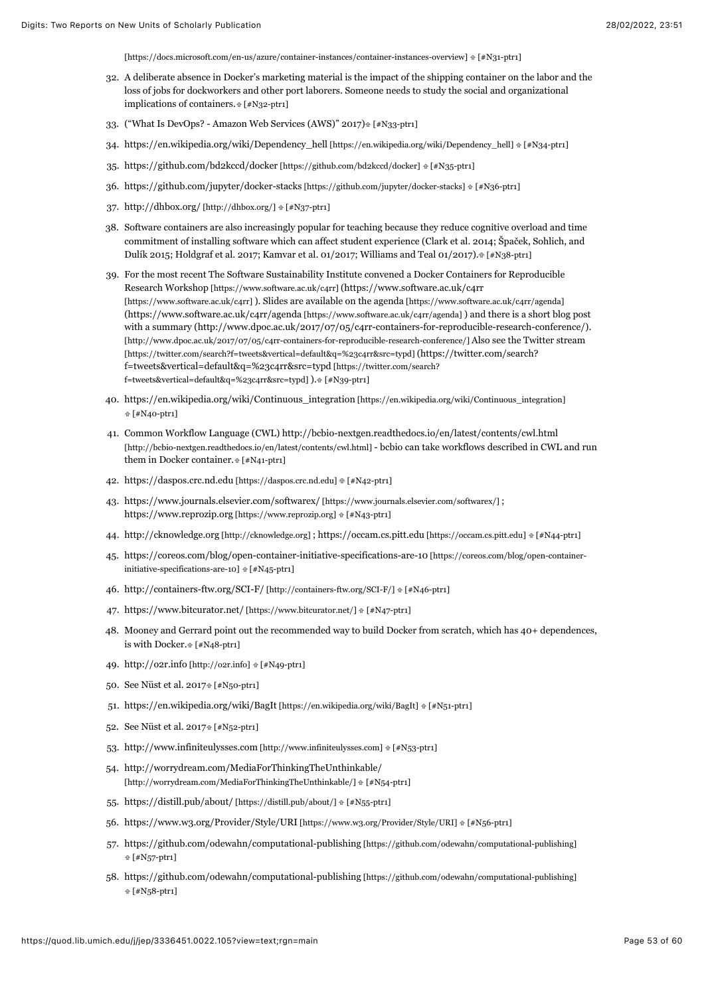<span id="page-53-0"></span>[\[https://docs.microsoft.com/en-us/azure/container-instances/container-instances-overview\] \[#N31-p](https://docs.microsoft.com/en-us/azure/container-instances/container-instances-overview)[tr1\]](#page-11-8)

- 32. A deliberate absence in Docker's marketing material is the impact of the shipping container on the labor and the loss of jobs for dockworkers and other port laborers. Someone needs to study the social and organizational implications of containers[. \[#N32-ptr1\]](#page-11-9)
- <span id="page-53-1"></span>33. ("What Is DevOps? - Amazon Web Services (AWS)" 2017) [\[#N33-ptr1\]](#page-11-10)
- <span id="page-53-2"></span>34. [https://en.wikipedia.org/wiki/Dependency\\_hell \[https://en.wikipedia.org/wiki/Dependency\\_hell\]](https://en.wikipedia.org/wiki/Dependency_hell) [\[#N34-ptr1\]](#page-12-0)
- <span id="page-53-3"></span>35. [https://github.com/bd2kccd/docker \[https://github.com/bd2kccd/docker\]](https://github.com/bd2kccd/docker)  $[*/]$ #N35-ptr1]
- <span id="page-53-4"></span>36. [https://github.com/jupyter/docker-stacks \[https://github.com/jupyter/docker-stacks\]](https://github.com/jupyter/docker-stacks) [\[#N36-ptr1\]](#page-13-1)
- <span id="page-53-5"></span>37. [http://dhbox.org/ \[http://dhbox.org/\]](http://dhbox.org/)  $E[#N37-ptr1]$  $E[#N37-ptr1]$
- <span id="page-53-6"></span>38. Software containers are also increasingly popular for teaching because they reduce cognitive overload and time commitment of installing software which can affect student experience (Clark et al. 2014; Špaček, Sohlich, and Dulík 2015; Holdgraf et al. 2017; Kamvar et al. 01/2017; Williams and Teal 01/2017)[. \[#N38-ptr1\]](#page-13-3)
- <span id="page-53-7"></span>39. [For the most recent The Software Sustainability Institute convened a Docker Containers for Reproducible](https://www.software.ac.uk/c4rr) Research Workshop [https://www.software.ac.uk/c4rr] (https://www.software.ac.uk/c4rr [\[https://www.software.ac.uk/c4rr\] \). Slides are available on the agenda \[https://www.softwa](https://www.software.ac.uk/c4rr)[re.ac.uk/c4rr/agenda\]](https://www.software.ac.uk/c4rr/agenda) [\(https://www.software.ac.uk/c4rr/agenda \[https://www.software.ac.uk/c4rr/agenda\]](https://www.software.ac.uk/c4rr/agenda) ) and there is a short blog post [with a summary \(http://www.dpoc.ac.uk/2017/07/05/c4rr-containers-for-reproducible-research-conference/\).](http://www.dpoc.ac.uk/2017/07/05/c4rr-containers-for-reproducible-research-conference/) [\[http://www.dpoc.ac.uk/2017/07/05/c4rr-containers-for-reproducible-research-conference/\] Also see the Twitter stream](https://twitter.com/search?f=tweets&vertical=default&q=%23c4rr&src=typd) [\[https://twitter.com/search?f=tweets&vertical=default&q=%23c4rr&src=typd\] \(https://twitter.com/search?](https://twitter.com/search?f=tweets&vertical=default&q=%23c4rr&src=typd) f=tweets&vertical=default&q=%23c4rr&src=typd [https://twitter.com/search? f=tweets&vertical=default&q=%23c4rr&src=typd] )[. \[#N39-ptr1\]](#page-13-4)
- <span id="page-53-8"></span>40. [https://en.wikipedia.org/wiki/Continuous\\_integration \[https://en.wikipedia.org/wiki/Continuous\\_integration\]](https://en.wikipedia.org/wiki/Continuous_integration)  **#N40-ptr1**
- <span id="page-53-9"></span>41. Common Workflow Language (CWL) http://bcbio-nextgen.readthedocs.io/en/latest/contents/cwl.html [\[http://bcbio-nextgen.readthedocs.io/en/latest/contents/cwl.html\] - bcbio can take workflows described in CWL](http://bcbio-nextgen.readthedocs.io/en/latest/contents/cwl.html) and run them in Docker container[. \[#N41-ptr1\]](#page-14-0)
- <span id="page-53-10"></span>42. [https://daspos.crc.nd.edu \[https://daspos.crc.nd.edu\]](https://daspos.crc.nd.edu/)  $\#$  [\[#N42-ptr1\]](#page-14-1)
- <span id="page-53-11"></span>43. [https://www.journals.elsevier.com/softwarex/ \[https://www.journals.elsevier.com/softwarex/\] ;](https://www.journals.elsevier.com/softwarex/) [https://www.reprozip.org \[https://www.reprozip.org\]](https://www.reprozip.org/)  $E[#N43-ptr1]$  $E[#N43-ptr1]$
- <span id="page-53-12"></span>44. [http://cknowledge.org \[http://cknowledge.org\]](http://cknowledge.org/) ; [https://occam.cs.pitt.edu \[https://occam.cs.pitt.edu\]](https://occam.cs.pitt.edu/) [\[#N44-ptr1\]](#page-14-3)
- <span id="page-53-13"></span>45. [https://coreos.com/blog/open-container-initiative-specifications-are-10 \[https://coreos.com/blog/open-container](https://coreos.com/blog/open-container-initiative-specifications-are-10)initiative-specifications-are-10]  $#$  [\[#N45-ptr1\]](#page-14-4)
- <span id="page-53-14"></span>46. [http://containers-ftw.org/SCI-F/ \[http://containers-ftw.org/SCI-F/\]](http://containers-ftw.org/SCI-F/)  $E[AN46-ptr1]$
- <span id="page-53-15"></span>47. [https://www.bitcurator.net/ \[https://www.bitcurator.net/\]](https://www.bitcurator.net/)  $\frac{1}{2}[H_1 + H_2 + H_3]$
- <span id="page-53-16"></span>48. Mooney and Gerrard point out the recommended way to build Docker from scratch, which has 40+ dependences, is with Docker. F#N48-ptr1]
- <span id="page-53-17"></span>49. [http://o2r.info \[http://o2r.info\]](http://o2r.info/)  $[*/]$
- <span id="page-53-18"></span>50. See Nüst et al. 201[7 \[#N50-ptr1\]](#page-15-3)
- <span id="page-53-19"></span>51. [https://en.wikipedia.org/wiki/BagIt \[https://en.wikipedia.org/wiki/BagIt\]](https://en.wikipedia.org/wiki/BagIt)  $E[|H|]$  [\[#N51-ptr1\]](#page-15-4)
- <span id="page-53-20"></span>52. See Nüst et al. 201[7 \[#N52-ptr1\]](#page-15-5)
- <span id="page-53-21"></span>53. [http://www.infiniteulysses.com \[http://www.infiniteulysses.com\]](http://www.infiniteulysses.com/)  $[#N53-ptr1]$
- <span id="page-53-22"></span>54. <http://worrydream.com/MediaForThinkingTheUnthinkable/> [http://worrydream.com/MediaForThinkingTheUnthinkable/]  $E[#N54-ptr1]$  $E[#N54-ptr1]$
- <span id="page-53-23"></span>55. [https://distill.pub/about/ \[https://distill.pub/about/\]](https://distill.pub/about/)  $\text{#}$  [\[#N55-ptr1\]](#page-16-2)
- <span id="page-53-24"></span>56. [https://www.w3.org/Provider/Style/URI \[https://www.w3.org/Provider/Style/URI\]](https://www.w3.org/Provider/Style/URI) [\[#N56-ptr1\]](#page-16-3)
- <span id="page-53-25"></span>57. [https://github.com/odewahn/computational-publishing \[https://github.com/odewahn/computational-publishing\]](https://github.com/odewahn/computational-publishing)   [\[#N57-ptr1\]](#page-16-4)
- <span id="page-53-26"></span>58. [https://github.com/odewahn/computational-publishing \[https://github.com/odewahn/computational-publishing\]](https://github.com/odewahn/computational-publishing)   [\[#N58-ptr1\]](#page-16-5)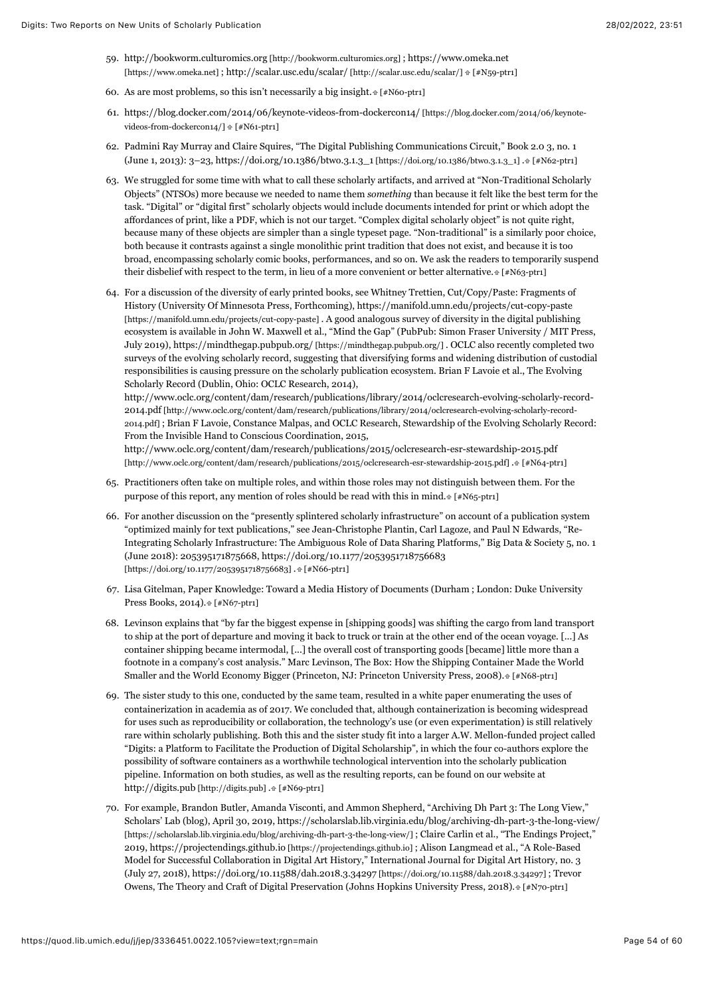- <span id="page-54-0"></span>59. [http://bookworm.culturomics.org \[http://bookworm.culturomics.org\]](http://bookworm.culturomics.org/) [; https://www.omeka.net](https://www.omeka.net/) [https://www.omeka.net]; [http://scalar.usc.edu/scalar/ \[http://scalar.usc.edu/scalar/\]](http://scalar.usc.edu/scalar/)  $\#$  [\[#N59-ptr1\]](#page-17-0)
- <span id="page-54-1"></span>60. As are most problems, so this isn't necessarily a big insight. $[*/860$ -ptr1]
- <span id="page-54-2"></span>61. [https://blog.docker.com/2014/06/keynote-videos-from-dockercon14/ \[https://blog.docker.com/2014/06/keynote](https://blog.docker.com/2014/06/keynote-videos-from-dockercon14/)videos-from-dockercon14/]  $\text{#}$  [\[#N61-ptr1\]](#page-18-1)
- <span id="page-54-3"></span>62. Padmini Ray Murray and Claire Squires, "The Digital Publishing Communications Circuit," Book 2.0 3, no. 1 (June 1, 2013): 3–23, [https://doi.org/10.1386/btwo.3.1.3\\_1 \[https://doi.org/10.1386/btwo.3.1.3\\_1\]](https://doi.org/10.1386/btwo.3.1.3_1) [. \[#N62-ptr1\]](#page-21-0)
- <span id="page-54-4"></span>63. We struggled for some time with what to call these scholarly artifacts, and arrived at "Non-Traditional Scholarly Objects" (NTSOs) more because we needed to name them *something* than because it felt like the best term for the task. "Digital" or "digital first" scholarly objects would include documents intended for print or which adopt the affordances of print, like a PDF, which is not our target. "Complex digital scholarly object" is not quite right, because many of these objects are simpler than a single typeset page. "Non-traditional" is a similarly poor choice, both because it contrasts against a single monolithic print tradition that does not exist, and because it is too broad, encompassing scholarly comic books, performances, and so on. We ask the readers to temporarily suspend their disbelief with respect to the term, in lieu of a more convenient or better alternative[. \[#N63-ptr1\]](#page-21-1)
- <span id="page-54-5"></span>64. For a discussion of the diversity of early printed books, see Whitney Trettien, Cut/Copy/Paste: Fragments of History (University Of Minnesota Press, Forthcoming), https://manifold.umn.edu/projects/cut-copy-paste [\[https://manifold.umn.edu/projects/cut-copy-paste\] . A good analogous survey of diversity in the digital publishin](https://manifold.umn.edu/projects/cut-copy-paste)g ecosystem is available in John W. Maxwell et al., "Mind the Gap" (PubPub: Simon Fraser University / MIT Press, July 2019), [https://mindthegap.pubpub.org/ \[https://mindthegap.pubpub.org/\] .](https://mindthegap.pubpub.org/) OCLC also recently completed two surveys of the evolving scholarly record, suggesting that diversifying forms and widening distribution of custodial responsibilities is causing pressure on the scholarly publication ecosystem. Brian F Lavoie et al., The Evolving Scholarly Record (Dublin, Ohio: OCLC Research, 2014),

http://www.oclc.org/content/dam/research/publications/library/2014/oclcresearch-evolving-scholarly-record-2014.pdf [http://www.oclc.org/content/dam/research/publications/library/2014/oclcresearch-evolving-scholarly-record-[2014.pdf\] ; Brian F Lavoie, Constance Malpas, and OCLC Research, Stewardship of the Evolving Scholarly Record:](http://www.oclc.org/content/dam/research/publications/library/2014/oclcresearch-evolving-scholarly-record-2014.pdf) From the Invisible Hand to Conscious Coordination, 2015,

<http://www.oclc.org/content/dam/research/publications/2015/oclcresearch-esr-stewardship-2015.pdf> [http://www.oclc.org/content/dam/research/publications/2015/oclcresearch-esr-stewardship-2015.pdf] [. \[#N64-ptr1\]](#page-21-2)

- <span id="page-54-6"></span>65. Practitioners often take on multiple roles, and within those roles may not distinguish between them. For the purpose of this report, any mention of roles should be read with this in mind.  $*[F\&65-ptr]$
- <span id="page-54-7"></span>66. For another discussion on the "presently splintered scholarly infrastructure" on account of a publication system "optimized mainly for text publications," see Jean-Christophe Plantin, Carl Lagoze, and Paul N Edwards, "Re-Integrating Scholarly Infrastructure: The Ambiguous Role of Data Sharing Platforms," Big Data & Society 5, no. 1 [\(June 2018\): 205395171875668, https://doi.org/10.1177/2053951718756683](https://doi.org/10.1177/2053951718756683) [https://doi.org/10.1177/2053951718756683] [. \[#N66-ptr1\]](#page-22-0)
- <span id="page-54-8"></span>67. Lisa Gitelman, Paper Knowledge: Toward a Media History of Documents (Durham ; London: Duke University Press Books, 2014)[. \[#N67-ptr1\]](#page-22-1)
- <span id="page-54-9"></span>68. Levinson explains that "by far the biggest expense in [shipping goods] was shifting the cargo from land transport to ship at the port of departure and moving it back to truck or train at the other end of the ocean voyage. [...] As container shipping became intermodal, [...] the overall cost of transporting goods [became] little more than a footnote in a company's cost analysis." Marc Levinson, The Box: How the Shipping Container Made the World Smaller and the World Economy Bigger (Princeton, NJ: Princeton University Press, 2008)[. \[#N68-ptr1\]](#page-22-2)
- <span id="page-54-10"></span>69. The sister study to this one, conducted by the same team, resulted in a white paper enumerating the uses of containerization in academia as of 2017. We concluded that, although containerization is becoming widespread for uses such as reproducibility or collaboration, the technology's use (or even experimentation) is still relatively rare within scholarly publishing. Both this and the sister study fit into a larger A.W. Mellon-funded project called "Digits: a Platform to Facilitate the Production of Digital Scholarship", in which the four co-authors explore the possibility of software containers as a worthwhile technological intervention into the scholarly publication pipeline. Information on both studies, as well as the resulting reports, can be found on our website at [http://digits.pub \[http://digits.pub\] .](http://digits.pub/) [\[#N69-ptr1\]](#page-22-3)
- <span id="page-54-11"></span>70. For example, Brandon Butler, Amanda Visconti, and Ammon Shepherd, "Archiving Dh Part 3: The Long View," [Scholars' Lab \(blog\), April 30, 2019, https://scholarslab.lib.virginia.edu/blog/archiving-dh-part-3-the-long-view/](https://scholarslab.lib.virginia.edu/blog/archiving-dh-part-3-the-long-view/) [https://scholarslab.lib.virginia.edu/blog/archiving-dh-part-3-the-long-view/] ; Claire Carlin et al., "The Endings Project," 2019, [https://projectendings.github.io \[https://projectendings.github.io\] ;](https://projectendings.github.io/) Alison Langmead et al., "A Role-Based Model for Successful Collaboration in Digital Art History," International Journal for Digital Art History, no. 3 (July 27, 2018), [https://doi.org/10.11588/dah.2018.3.34297 \[https://doi.org/10.11588/dah.2018.3.34297\]](https://doi.org/10.11588/dah.2018.3.34297) ; Trevor Owens, The Theory and Craft of Digital Preservation (Johns Hopkins University Press, 2018)[. \[#N70-ptr1\]](#page-22-4)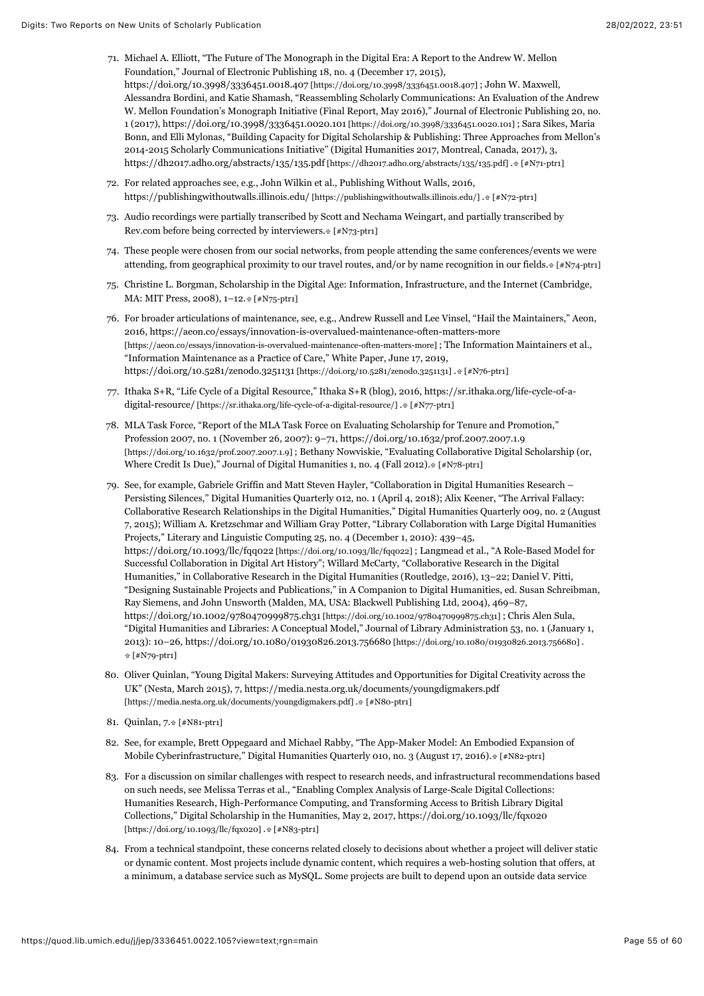- <span id="page-55-0"></span>71. Michael A. Elliott, "The Future of The Monograph in the Digital Era: A Report to the Andrew W. Mellon Foundation," Journal of Electronic Publishing 18, no. 4 (December 17, 2015), [https://doi.org/10.3998/3336451.0018.407 \[https://doi.org/10.3998/3336451.0018.407\]](https://doi.org/10.3998/3336451.0018.407) ; John W. Maxwell, Alessandra Bordini, and Katie Shamash, "Reassembling Scholarly Communications: An Evaluation of the Andrew W. Mellon Foundation's Monograph Initiative (Final Report, May 2016)," Journal of Electronic Publishing 20, no. 1 (2017), [https://doi.org/10.3998/3336451.0020.101 \[https://doi.org/10.3998/3336451.0020.101\] ;](https://doi.org/10.3998/3336451.0020.101) Sara Sikes, Maria Bonn, and Elli Mylonas, "Building Capacity for Digital Scholarship & Publishing: Three Approaches from Mellon's 2014-2015 Scholarly Communications Initiative" (Digital Humanities 2017, Montreal, Canada, 2017), 3, [https://dh2017.adho.org/abstracts/135/135.pdf \[https://dh2017.adho.org/abstracts/135/135.pdf\]](https://dh2017.adho.org/abstracts/135/135.pdf) [. \[#N71-ptr1\]](#page-22-5)
- <span id="page-55-1"></span>72. For related approaches see, e.g., John Wilkin et al., Publishing Without Walls, 2016, [https://publishingwithoutwalls.illinois.edu/ \[https://publishingwithoutwalls.illinois.edu/\]](https://publishingwithoutwalls.illinois.edu/) [. \[#N72-ptr1\]](#page-22-6)
- <span id="page-55-2"></span>73. Audio recordings were partially transcribed by Scott and Nechama Weingart, and partially transcribed by Rev.com before being corrected by interviewers.  $[*/N73$ -ptr1]
- <span id="page-55-3"></span>74. These people were chosen from our social networks, from people attending the same conferences/events we were attending, from geographical proximity to our travel routes, and/or by name recognition in our fields[. \[#N74-ptr1\]](#page-22-8)
- <span id="page-55-4"></span>75. Christine L. Borgman, Scholarship in the Digital Age: Information, Infrastructure, and the Internet (Cambridge, MA: MIT Press, 2008), 1-12[. \[#N75-ptr1\]](#page-23-0)
- <span id="page-55-5"></span>76. For broader articulations of maintenance, see, e.g., Andrew Russell and Lee Vinsel, "Hail the Maintainers," Aeon, 2016, https://aeon.co/essays/innovation-is-overvalued-maintenance-often-matters-more [\[https://aeon.co/essays/innovation-is-overvalued-maintenance-often-matters-more\] ; The Informati](https://aeon.co/essays/innovation-is-overvalued-maintenance-often-matters-more)on Maintainers et al., "Information Maintenance as a Practice of Care," White Paper, June 17, 2019, [https://doi.org/10.5281/zenodo.3251131 \[https://doi.org/10.5281/zenodo.3251131\]](https://doi.org/10.5281/zenodo.3251131) [. \[#N76-ptr1\]](#page-23-1)
- <span id="page-55-6"></span>77. [Ithaka S+R, "Life Cycle of a Digital Resource," Ithaka S+R \(blog\), 2016, https://sr.ithaka.org/life-cycle-of-a-](https://sr.ithaka.org/life-cycle-of-a-digital-resource/)digital-resource/ [https://sr.ithaka.org/life-cycle-of-a-digital-resource/] [. \[#N77-ptr1\]](#page-23-2)
- <span id="page-55-7"></span>78. MLA Task Force, "Report of the MLA Task Force on Evaluating Scholarship for Tenure and Promotion," Profession 2007, no. 1 (November 26, 2007): 9–71, https://doi.org/10.1632/prof.2007.2007.1.9 [\[https://doi.org/10.1632/prof.2007.2007.1.9\] ; Bethany Nowviskie, "Evaluating Collaborative Digital S](https://doi.org/10.1632/prof.2007.2007.1.9)cholarship (or, Where Credit Is Due)," Journal of Digital Humanities 1, no. 4 (Fall 2012). [\[#N78-ptr1\]](#page-24-0)
- <span id="page-55-8"></span>79. See, for example, Gabriele Griffin and Matt Steven Hayler, "Collaboration in Digital Humanities Research – Persisting Silences," Digital Humanities Quarterly 012, no. 1 (April 4, 2018); Alix Keener, "The Arrival Fallacy: Collaborative Research Relationships in the Digital Humanities," Digital Humanities Quarterly 009, no. 2 (August 7, 2015); William A. Kretzschmar and William Gray Potter, "Library Collaboration with Large Digital Humanities Projects," Literary and Linguistic Computing 25, no. 4 (December 1, 2010): 439–45, [https://doi.org/10.1093/llc/fqq022 \[https://doi.org/10.1093/llc/fqq022\]](https://doi.org/10.1093/llc/fqq022) ; Langmead et al., "A Role-Based Model for Successful Collaboration in Digital Art History"; Willard McCarty, "Collaborative Research in the Digital Humanities," in Collaborative Research in the Digital Humanities (Routledge, 2016), 13–22; Daniel V. Pitti, "Designing Sustainable Projects and Publications," in A Companion to Digital Humanities, ed. Susan Schreibman, Ray Siemens, and John Unsworth (Malden, MA, USA: Blackwell Publishing Ltd, 2004), 469–87, [https://doi.org/10.1002/9780470999875.ch31 \[https://doi.org/10.1002/9780470999875.ch31\] ;](https://doi.org/10.1002/9780470999875.ch31) Chris Alen Sula, "Digital Humanities and Libraries: A Conceptual Model," Journal of Library Administration 53, no. 1 (January 1, 2013): 10–26, [https://doi.org/10.1080/01930826.2013.756680 \[https://doi.org/10.1080/01930826.2013.756680\] .](https://doi.org/10.1080/01930826.2013.756680)  [\[#N79-ptr1\]](#page-24-1)
- <span id="page-55-9"></span>80. Oliver Quinlan, "Young Digital Makers: Surveying Attitudes and Opportunities for Digital Creativity across the [UK" \(Nesta, March 2015\), 7, https://media.nesta.org.uk/documents/youngdigmakers.pdf](https://media.nesta.org.uk/documents/youngdigmakers.pdf) [https://media.nesta.org.uk/documents/youngdigmakers.pdf] . [\[#N80-ptr1\]](#page-24-2)
- <span id="page-55-10"></span>81. Quinlan, 7[. \[#N81-ptr1\]](#page-24-3)
- <span id="page-55-11"></span>82. See, for example, Brett Oppegaard and Michael Rabby, "The App-Maker Model: An Embodied Expansion of Mobile Cyberinfrastructure," Digital Humanities Quarterly 010, no. 3 (August 17, 2016)[. \[#N82-ptr1\]](#page-24-4)
- <span id="page-55-12"></span>83. For a discussion on similar challenges with respect to research needs, and infrastructural recommendations based on such needs, see Melissa Terras et al., "Enabling Complex Analysis of Large-Scale Digital Collections: Humanities Research, High-Performance Computing, and Transforming Access to British Library Digital [Collections," Digital Scholarship in the Humanities, May 2, 2017, https://doi.org/10.1093/llc/fqx020](https://doi.org/10.1093/llc/fqx020) [https://doi.org/10.1093/llc/fqx020] [. \[#N83-ptr1\]](#page-26-0)
- <span id="page-55-13"></span>84. From a technical standpoint, these concerns related closely to decisions about whether a project will deliver static or dynamic content. Most projects include dynamic content, which requires a web-hosting solution that offers, at a minimum, a database service such as MySQL. Some projects are built to depend upon an outside data service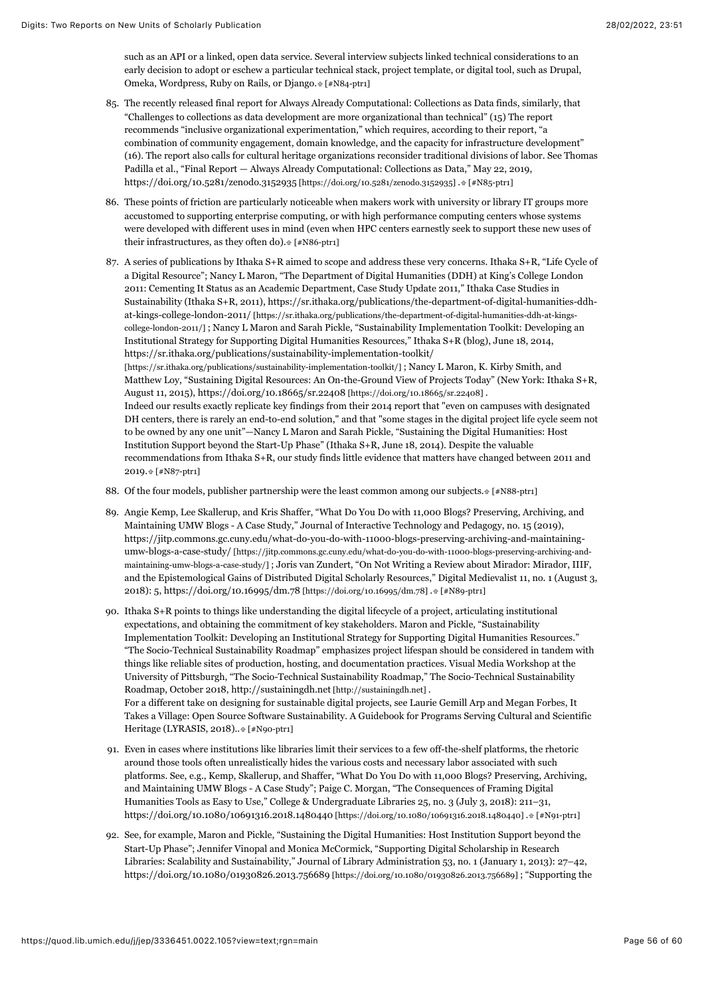such as an API or a linked, open data service. Several interview subjects linked technical considerations to an early decision to adopt or eschew a particular technical stack, project template, or digital tool, such as Drupal, Omeka, Wordpress, Ruby on Rails, or Django[. \[#N84-ptr1\]](#page-26-1)

- <span id="page-56-0"></span>85. The recently released final report for Always Already Computational: Collections as Data finds, similarly, that "Challenges to collections as data development are more organizational than technical" (15) The report recommends "inclusive organizational experimentation," which requires, according to their report, "a combination of community engagement, domain knowledge, and the capacity for infrastructure development" (16). The report also calls for cultural heritage organizations reconsider traditional divisions of labor. See Thomas Padilla et al., "Final Report — Always Already Computational: Collections as Data," May 22, 2019, [https://doi.org/10.5281/zenodo.3152935 \[https://doi.org/10.5281/zenodo.3152935\]](https://doi.org/10.5281/zenodo.3152935) [. \[#N85-ptr1\]](#page-26-2)
- <span id="page-56-1"></span>86. These points of friction are particularly noticeable when makers work with university or library IT groups more accustomed to supporting enterprise computing, or with high performance computing centers whose systems were developed with different uses in mind (even when HPC centers earnestly seek to support these new uses of their infrastructures, as they often do).  $[*/N86-ptr1]$
- <span id="page-56-2"></span>87. A series of publications by Ithaka S+R aimed to scope and address these very concerns. Ithaka S+R, "Life Cycle of a Digital Resource"; Nancy L Maron, "The Department of Digital Humanities (DDH) at King's College London 2011: Cementing It Status as an Academic Department, Case Study Update 2011," Ithaka Case Studies in [Sustainability \(Ithaka S+R, 2011\), https://sr.ithaka.org/publications/the-department-of-digital-humanities-ddh](https://sr.ithaka.org/publications/the-department-of-digital-humanities-ddh-at-kings-college-london-2011/)at-kings-college-london-2011/ [https://sr.ithaka.org/publications/the-department-of-digital-humanities-ddh-at-kingscollege-london-2011/] ; Nancy L Maron and Sarah Pickle, "Sustainability Implementation Toolkit: Developing an Institutional Strategy for Supporting Digital Humanities Resources," Ithaka S+R (blog), June 18, 2014, https://sr.ithaka.org/publications/sustainability-implementation-toolkit/ [https://sr.ithaka.org/publications/sustainability-implementation-toolkit/]; Nancy L Maron, K. Kirby Smith, and Matthew Loy, "Sustaining Digital Resources: An On-the-Ground View of Projects Today" (New York: Ithaka S+R, August 11, 2015), [https://doi.org/10.18665/sr.22408 \[https://doi.org/10.18665/sr.22408\]](https://doi.org/10.18665/sr.22408) . Indeed our results exactly replicate key findings from their 2014 report that "even on campuses with designated DH centers, there is rarely an end-to-end solution," and that "some stages in the digital project life cycle seem not to be owned by any one unit"—Nancy L Maron and Sarah Pickle, "Sustaining the Digital Humanities: Host Institution Support beyond the Start-Up Phase" (Ithaka S+R, June 18, 2014). Despite the valuable recommendations from Ithaka S+R, our study finds little evidence that matters have changed between 2011 and 2019. [\[#N87-ptr1\]](#page-26-4)
- <span id="page-56-3"></span>88. Of the four models, publisher partnership were the least common among our subjects.  $[#N88-ptr1]$
- <span id="page-56-4"></span>89. Angie Kemp, Lee Skallerup, and Kris Shaffer, "What Do You Do with 11,000 Blogs? Preserving, Archiving, and Maintaining UMW Blogs - A Case Study," Journal of Interactive Technology and Pedagogy, no. 15 (2019), https://jitp.commons.gc.cuny.edu/what-do-you-do-with-11000-blogs-preserving-archiving-and-maintaining[umw-blogs-a-case-study/ \[https://jitp.commons.gc.cuny.edu/what-do-you-do-with-11000-blogs-preserving-archiving-and](https://jitp.commons.gc.cuny.edu/what-do-you-do-with-11000-blogs-preserving-archiving-and-maintaining-umw-blogs-a-case-study/)maintaining-umw-blogs-a-case-study/] ; Joris van Zundert, "On Not Writing a Review about Mirador: Mirador, IIIF, and the Epistemological Gains of Distributed Digital Scholarly Resources," Digital Medievalist 11, no. 1 (August 3, 2018): 5, [https://doi.org/10.16995/dm.78 \[https://doi.org/10.16995/dm.78\]](https://doi.org/10.16995/dm.78) [. \[#N89-ptr1\]](#page-27-0)
- <span id="page-56-5"></span>90. Ithaka S+R points to things like understanding the digital lifecycle of a project, articulating institutional expectations, and obtaining the commitment of key stakeholders. Maron and Pickle, "Sustainability Implementation Toolkit: Developing an Institutional Strategy for Supporting Digital Humanities Resources." "The Socio-Technical Sustainability Roadmap" emphasizes project lifespan should be considered in tandem with things like reliable sites of production, hosting, and documentation practices. Visual Media Workshop at the University of Pittsburgh, "The Socio-Technical Sustainability Roadmap," The Socio-Technical Sustainability Roadmap, October 2018, [http://sustainingdh.net \[http://sustainingdh.net\] .](http://sustainingdh.net/) For a different take on designing for sustainable digital projects, see Laurie Gemill Arp and Megan Forbes, It Takes a Village: Open Source Software Sustainability. A Guidebook for Programs Serving Cultural and Scientific Heritage (LYRASIS, 2018).[. \[#N90-ptr1\]](#page-27-1)
- <span id="page-56-6"></span>91. Even in cases where institutions like libraries limit their services to a few off-the-shelf platforms, the rhetoric around those tools often unrealistically hides the various costs and necessary labor associated with such platforms. See, e.g., Kemp, Skallerup, and Shaffer, "What Do You Do with 11,000 Blogs? Preserving, Archiving, and Maintaining UMW Blogs - A Case Study"; Paige C. Morgan, "The Consequences of Framing Digital Humanities Tools as Easy to Use," College & Undergraduate Libraries 25, no. 3 (July 3, 2018): 211–31, [https://doi.org/10.1080/10691316.2018.1480440 \[https://doi.org/10.1080/10691316.2018.1480440\]](https://doi.org/10.1080/10691316.2018.1480440) [. \[#N91-ptr1\]](#page-28-0)
- <span id="page-56-7"></span>92. See, for example, Maron and Pickle, "Sustaining the Digital Humanities: Host Institution Support beyond the Start-Up Phase"; Jennifer Vinopal and Monica McCormick, "Supporting Digital Scholarship in Research Libraries: Scalability and Sustainability," Journal of Library Administration 53, no. 1 (January 1, 2013): 27–42, [https://doi.org/10.1080/01930826.2013.756689 \[https://doi.org/10.1080/01930826.2013.756689\] ;](https://doi.org/10.1080/01930826.2013.756689) "Supporting the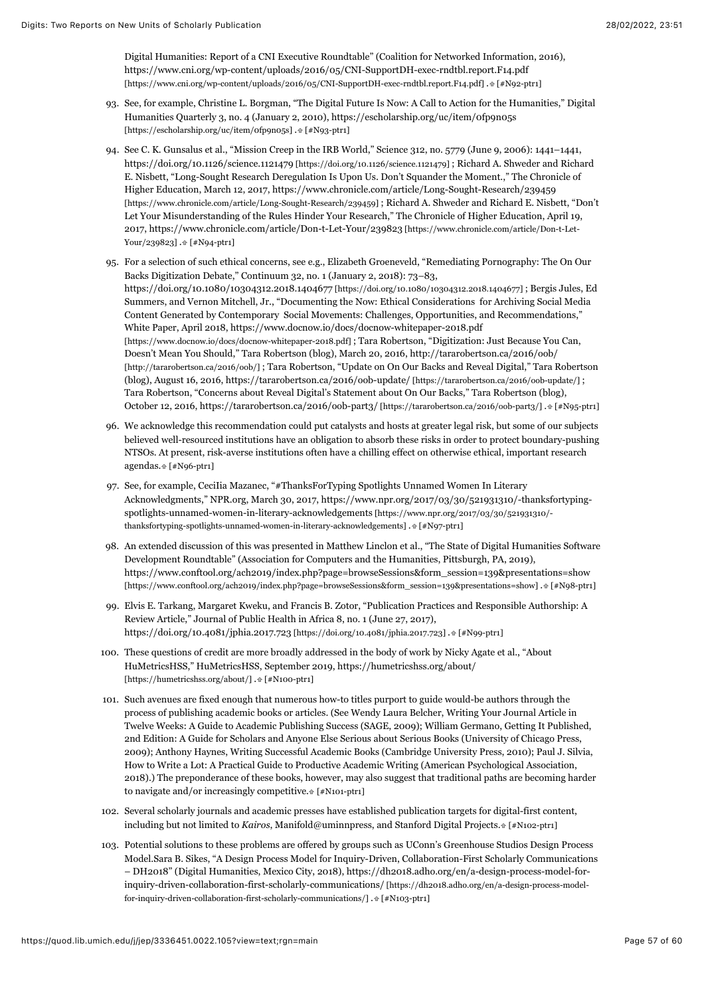Digital Humanities: Report of a CNI Executive Roundtable" (Coalition for Networked Information, 2016), https://www.cni.org/wp-content/uploads/2016/05/CNI-SupportDH-exec-rndtbl.report.F14.pdf [\[https://www.cni.org/wp-content/uploads/2016/05/CNI-SupportDH-exec-rndtbl.report.F14.pdf\] . \[#N92-p](https://www.cni.org/wp-content/uploads/2016/05/CNI-SupportDH-exec-rndtbl.report.F14.pdf)[tr1\]](#page-28-1)

- <span id="page-57-0"></span>93. See, for example, Christine L. Borgman, "The Digital Future Is Now: A Call to Action for the Humanities," Digital [Humanities Quarterly 3, no. 4 \(January 2, 2010\), https://escholarship.org/uc/item/0fp9n05s](https://escholarship.org/uc/item/0fp9n05s) [https://escholarship.org/uc/item/0fp9n05s] [. \[#N93-ptr1\]](#page-29-0)
- <span id="page-57-1"></span>94. See C. K. Gunsalus et al., "Mission Creep in the IRB World," Science 312, no. 5779 (June 9, 2006): 1441–1441, [https://doi.org/10.1126/science.1121479 \[https://doi.org/10.1126/science.1121479\] ;](https://doi.org/10.1126/science.1121479) Richard A. Shweder and Richard E. Nisbett, "Long-Sought Research Deregulation Is Upon Us. Don't Squander the Moment.," The Chronicle of Higher Education, March 12, 2017, https://www.chronicle.com/article/Long-Sought-Research/239459 [\[https://www.chronicle.com/article/Long-Sought-Research/239459\] ; Richard A. Shweder and Richard E. Nisbe](https://www.chronicle.com/article/Long-Sought-Research/239459)tt, "Don't Let Your Misunderstanding of the Rules Hinder Your Research," The Chronicle of Higher Education, April 19, [2017, https://www.chronicle.com/article/Don-t-Let-Your/239823 \[https://www.chronicle.com/article/Don-t-Let-](https://www.chronicle.com/article/Don-t-Let-Your/239823)Your/239823] [. \[#N94-ptr1\]](#page-29-1)
- <span id="page-57-2"></span>95. For a selection of such ethical concerns, see e.g., Elizabeth Groeneveld, "Remediating Pornography: The On Our Backs Digitization Debate," Continuum 32, no. 1 (January 2, 2018): 73–83, [https://doi.org/10.1080/10304312.2018.1404677 \[https://doi.org/10.1080/10304312.2018.1404677\] ;](https://doi.org/10.1080/10304312.2018.1404677) Bergis Jules, Ed Summers, and Vernon Mitchell, Jr., "Documenting the Now: Ethical Considerations for Archiving Social Media Content Generated by Contemporary Social Movements: Challenges, Opportunities, and Recommendations," White Paper, April 2018, https://www.docnow.io/docs/docnow-whitepaper-2018.pdf [\[https://www.docnow.io/docs/docnow-whitepaper-2018.pdf\] ; Tara Robertson, "Digitization:](https://www.docnow.io/docs/docnow-whitepaper-2018.pdf) Just Because You Can, Doesn't Mean You Should," Tara Robertson (blog), March 20, 2016, http://tararobertson.ca/2016/oob/ [\[http://tararobertson.ca/2016/oob/\] ; Tara Robertson, "Update on On Our Backs and Reveal Digital," Tara R](http://tararobertson.ca/2016/oob/)obertson (blog), August 16, 2016, [https://tararobertson.ca/2016/oob-update/ \[https://tararobertson.ca/2016/oob-update/\] ;](https://tararobertson.ca/2016/oob-update/) Tara Robertson, "Concerns about Reveal Digital's Statement about On Our Backs," Tara Robertson (blog), October 12, 2016, [https://tararobertson.ca/2016/oob-part3/ \[https://tararobertson.ca/2016/oob-part3/\]](https://tararobertson.ca/2016/oob-part3/) [. \[#N95-ptr1\]](#page-29-2)
- <span id="page-57-3"></span>96. We acknowledge this recommendation could put catalysts and hosts at greater legal risk, but some of our subjects believed well-resourced institutions have an obligation to absorb these risks in order to protect boundary-pushing NTSOs. At present, risk-averse institutions often have a chilling effect on otherwise ethical, important research agendas[. \[#N96-ptr1\]](#page-30-0)
- <span id="page-57-4"></span>97. See, for example, CeciIia Mazanec, "#ThanksForTyping Spotlights Unnamed Women In Literary [Acknowledgments," NPR.org, March 30, 2017, https://www.npr.org/2017/03/30/521931310/-thanksfortyping](https://www.npr.org/2017/03/30/521931310/-thanksfortyping-spotlights-unnamed-women-in-literary-acknowledgements)spotlights-unnamed-women-in-literary-acknowledgements [https://www.npr.org/2017/03/30/521931310/ thanksfortyping-spotlights-unnamed-women-in-literary-acknowledgements] .  $[$  #N97-ptr1]
- <span id="page-57-5"></span>98. An extended discussion of this was presented in Matthew Linclon et al., "The State of Digital Humanities Software Development Roundtable" (Association for Computers and the Humanities, Pittsburgh, PA, 2019), https://www.conftool.org/ach2019/index.php?page=browseSessions&form\_session=139&presentations=show [\[https://www.conftool.org/ach2019/index.php?page=browseSessions&form\\_session=139&presentations=show\] . \[#N98-ptr](https://www.conftool.org/ach2019/index.php?page=browseSessions&form_session=139&presentations=show)[1\]](#page-30-2)
- <span id="page-57-6"></span>99. Elvis E. Tarkang, Margaret Kweku, and Francis B. Zotor, "Publication Practices and Responsible Authorship: A Review Article," Journal of Public Health in Africa 8, no. 1 (June 27, 2017), [https://doi.org/10.4081/jphia.2017.723 \[https://doi.org/10.4081/jphia.2017.723\]](https://doi.org/10.4081/jphia.2017.723) [. \[#N99-ptr1\]](#page-30-3)
- <span id="page-57-7"></span>100. These questions of credit are more broadly addressed in the body of work by Nicky Agate et al., "About [HuMetricsHSS," HuMetricsHSS, September 2019, https://humetricshss.org/about/](https://humetricshss.org/about/) [https://humetricshss.org/about/] .<br/># [#N100-ptr1]
- <span id="page-57-8"></span>101. Such avenues are fixed enough that numerous how-to titles purport to guide would-be authors through the process of publishing academic books or articles. (See Wendy Laura Belcher, Writing Your Journal Article in Twelve Weeks: A Guide to Academic Publishing Success (SAGE, 2009); William Germano, Getting It Published, 2nd Edition: A Guide for Scholars and Anyone Else Serious about Serious Books (University of Chicago Press, 2009); Anthony Haynes, Writing Successful Academic Books (Cambridge University Press, 2010); Paul J. Silvia, How to Write a Lot: A Practical Guide to Productive Academic Writing (American Psychological Association, 2018).) The preponderance of these books, however, may also suggest that traditional paths are becoming harder to navigate and/or increasingly competitive[. \[#N101-ptr1\]](#page-31-0)
- <span id="page-57-9"></span>102. Several scholarly journals and academic presses have established publication targets for digital-first content, including but not limited to *Kairos*, Manifold@uminnpress, and Stanford Digital Projects[. \[#N102-ptr1\]](#page-32-0)
- <span id="page-57-10"></span>103. Potential solutions to these problems are offered by groups such as UConn's Greenhouse Studios Design Process Model.Sara B. Sikes, "A Design Process Model for Inquiry-Driven, Collaboration-First Scholarly Communications [– DH2018" \(Digital Humanities, Mexico City, 2018\), https://dh2018.adho.org/en/a-design-process-model-for](https://dh2018.adho.org/en/a-design-process-model-for-inquiry-driven-collaboration-first-scholarly-communications/)inquiry-driven-collaboration-first-scholarly-communications/ [https://dh2018.adho.org/en/a-design-process-model-for-inquiry-driven-collaboration-first-scholarly-communications/] [. \[#N103-ptr1\]](#page-32-1)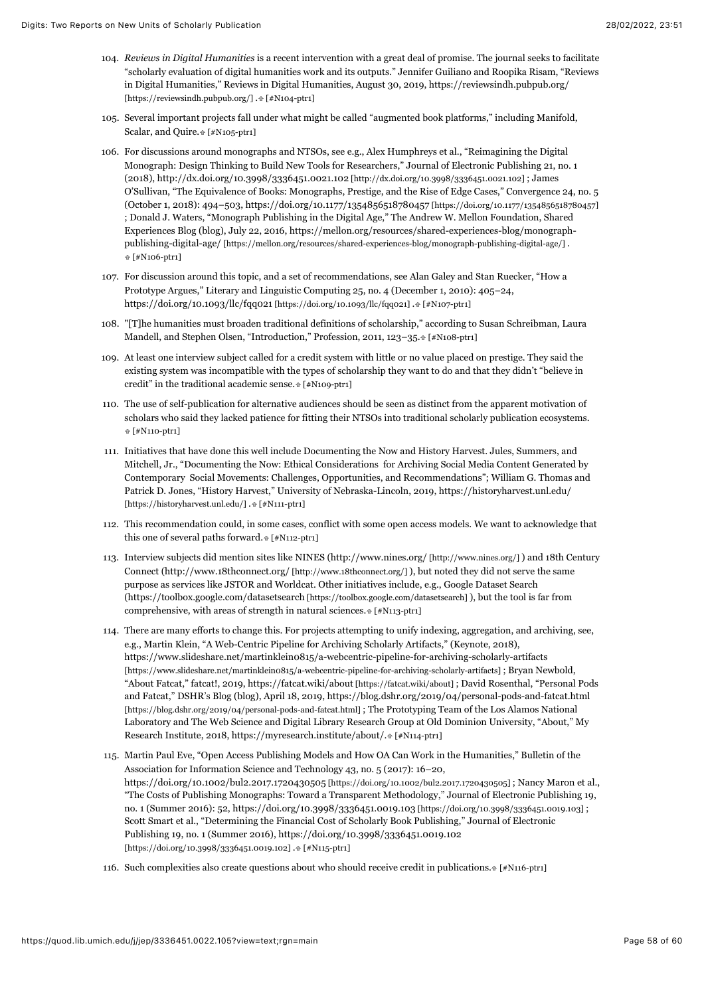- <span id="page-58-0"></span>104. *Reviews in Digital Humanities* is a recent intervention with a great deal of promise. The journal seeks to facilitate "scholarly evaluation of digital humanities work and its outputs." Jennifer Guiliano and Roopika Risam, "Reviews [in Digital Humanities," Reviews in Digital Humanities, August 30, 2019, https://reviewsindh.pubpub.org/](https://reviewsindh.pubpub.org/) [https://reviewsindh.pubpub.org/] . [\[#N104-ptr1\]](#page-32-2)
- <span id="page-58-1"></span>105. Several important projects fall under what might be called "augmented book platforms," including Manifold, Scalar, and Quire[. \[#N105-ptr1\]](#page-33-0)
- <span id="page-58-2"></span>106. For discussions around monographs and NTSOs, see e.g., Alex Humphreys et al., "Reimagining the Digital Monograph: Design Thinking to Build New Tools for Researchers," Journal of Electronic Publishing 21, no. 1 (2018), [http://dx.doi.org/10.3998/3336451.0021.102 \[http://dx.doi.org/10.3998/3336451.0021.102\]](http://dx.doi.org/10.3998/3336451.0021.102) ; James O'Sullivan, "The Equivalence of Books: Monographs, Prestige, and the Rise of Edge Cases," Convergence 24, no. 5 (October 1, 2018): 494–503, [https://doi.org/10.1177/1354856518780457 \[https://doi.org/10.1177/1354856518780457\]](https://doi.org/10.1177/1354856518780457) ; Donald J. Waters, "Monograph Publishing in the Digital Age," The Andrew W. Mellon Foundation, Shared [Experiences Blog \(blog\), July 22, 2016, https://mellon.org/resources/shared-experiences-blog/monograph](https://mellon.org/resources/shared-experiences-blog/monograph-publishing-digital-age/)publishing-digital-age/ [https://mellon.org/resources/shared-experiences-blog/monograph-publishing-digital-age/] .  [\[#N106-ptr1\]](#page-33-1)
- <span id="page-58-3"></span>107. For discussion around this topic, and a set of recommendations, see Alan Galey and Stan Ruecker, "How a Prototype Argues," Literary and Linguistic Computing 25, no. 4 (December 1, 2010): 405–24, [https://doi.org/10.1093/llc/fqq021 \[https://doi.org/10.1093/llc/fqq021\]](https://doi.org/10.1093/llc/fqq021) .# [#N107-ptr1]
- <span id="page-58-4"></span>108. "[T]he humanities must broaden traditional definitions of scholarship," according to Susan Schreibman, Laura Mandell, and Stephen Olsen, "Introduction," Profession, 2011, 123-35[. \[#N108-ptr1\]](#page-33-3)
- <span id="page-58-5"></span>109. At least one interview subject called for a credit system with little or no value placed on prestige. They said the existing system was incompatible with the types of scholarship they want to do and that they didn't "believe in credit" in the traditional academic sense[. \[#N109-ptr1\]](#page-33-4)
- <span id="page-58-6"></span>110. The use of self-publication for alternative audiences should be seen as distinct from the apparent motivation of scholars who said they lacked patience for fitting their NTSOs into traditional scholarly publication ecosystems.  [\[#N110-ptr1\]](#page-33-5)
- <span id="page-58-7"></span>111. Initiatives that have done this well include Documenting the Now and History Harvest. Jules, Summers, and Mitchell, Jr., "Documenting the Now: Ethical Considerations for Archiving Social Media Content Generated by Contemporary Social Movements: Challenges, Opportunities, and Recommendations"; William G. Thomas and [Patrick D. Jones, "History Harvest," University of Nebraska-Lincoln, 2019, https://historyharvest.unl.edu/](https://historyharvest.unl.edu/) [https://historyharvest.unl.edu/] [. \[#N111-ptr1\]](#page-34-0)
- <span id="page-58-8"></span>112. This recommendation could, in some cases, conflict with some open access models. We want to acknowledge that this one of several paths forward.  $[*/N112-ptr1]$
- <span id="page-58-9"></span>113. Interview subjects did mention sites like NINES [\(http://www.nines.org/ \[http://www.nines.org/\] \)](http://www.nines.org/) and 18th Century Connect [\(http://www.18thconnect.org/ \[http://www.18thconnect.org/\]](http://www.18thconnect.org/) ), but noted they did not serve the same purpose as services like JSTOR and Worldcat. Other initiatives include, e.g., Google Dataset Search [\(https://toolbox.google.com/datasetsearch \[https://toolbox.google.com/datasetsearch\] \)](https://toolbox.google.com/datasetsearch), but the tool is far from comprehensive, with areas of strength in natural sciences. [\[#N113-ptr1\]](#page-34-2)
- <span id="page-58-10"></span>114. There are many efforts to change this. For projects attempting to unify indexing, aggregation, and archiving, see, e.g., Martin Klein, "A Web-Centric Pipeline for Archiving Scholarly Artifacts," (Keynote, 2018), https://www.slideshare.net/martinklein0815/a-webcentric-pipeline-for-archiving-scholarly-artifacts [\[https://www.slideshare.net/martinklein0815/a-webcentric-pipeline-for-archiving-scholarly-artifacts\] ; Bryan New](https://www.slideshare.net/martinklein0815/a-webcentric-pipeline-for-archiving-scholarly-artifacts)bold, "About Fatcat," fatcat!, 2019, [https://fatcat.wiki/about \[https://fatcat.wiki/about\]](https://fatcat.wiki/about) ; David Rosenthal, "Personal Pods [and Fatcat," DSHR's Blog \(blog\), April 18, 2019, https://blog.dshr.org/2019/04/personal-pods-and-fatcat.html](https://blog.dshr.org/2019/04/personal-pods-and-fatcat.html) [https://blog.dshr.org/2019/04/personal-pods-and-fatcat.html] ; The Prototyping Team of the Los Alamos National Laboratory and The Web Science and Digital Library Research Group at Old Dominion University, "About," My Research Institute, 2018, https://myresearch.institute/about/. [\[#N114-ptr1\]](#page-34-3)
- <span id="page-58-11"></span>115. Martin Paul Eve, "Open Access Publishing Models and How OA Can Work in the Humanities," Bulletin of the Association for Information Science and Technology 43, no. 5 (2017): 16–20, [https://doi.org/10.1002/bul2.2017.1720430505 \[https://doi.org/10.1002/bul2.2017.1720430505\]](https://doi.org/10.1002/bul2.2017.1720430505) ; Nancy Maron et al., "The Costs of Publishing Monographs: Toward a Transparent Methodology," Journal of Electronic Publishing 19, no. 1 (Summer 2016): 52, [https://doi.org/10.3998/3336451.0019.103 \[https://doi.org/10.3998/3336451.0019.103\]](https://doi.org/10.3998/3336451.0019.103) ; Scott Smart et al., "Determining the Financial Cost of Scholarly Book Publishing," Journal of Electronic [Publishing 19, no. 1 \(Summer 2016\), https://doi.org/10.3998/3336451.0019.102](https://doi.org/10.3998/3336451.0019.102)  $[\mathrm{https://doi.org/10.3998/3336451.0019.102}]$  .<br>#  $[\# \mathrm{N115-p} \mathrm{tr1}]$
- <span id="page-58-12"></span>116. Such complexities also create questions about who should receive credit in publications.  $[#N116-ptr1]$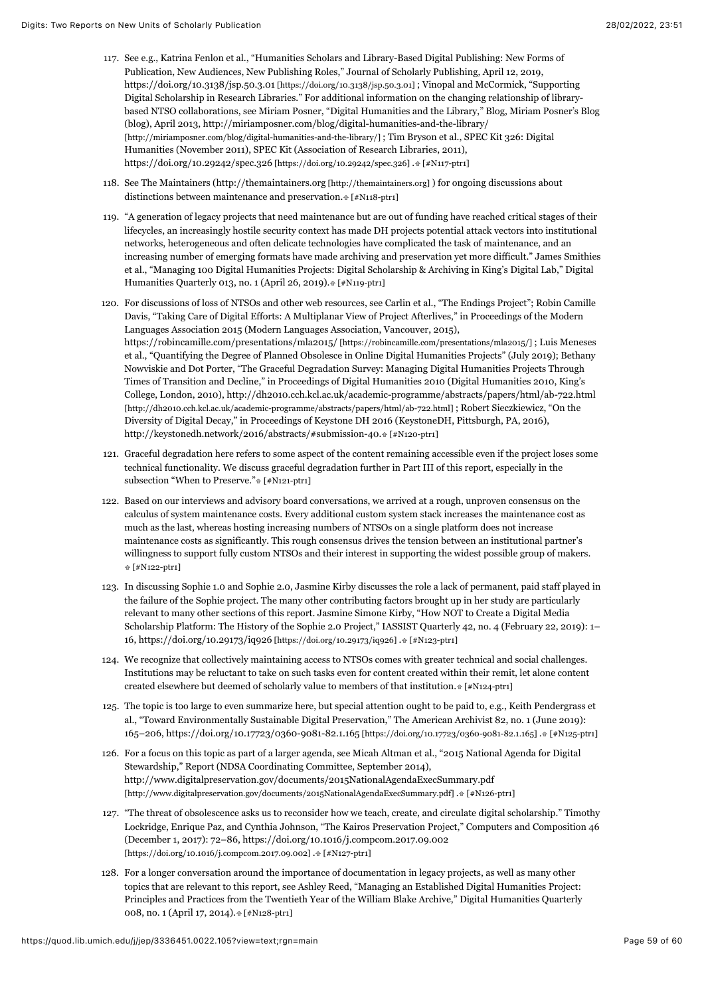- <span id="page-59-0"></span>117. See e.g., Katrina Fenlon et al., "Humanities Scholars and Library-Based Digital Publishing: New Forms of Publication, New Audiences, New Publishing Roles," Journal of Scholarly Publishing, April 12, 2019, [https://doi.org/10.3138/jsp.50.3.01 \[https://doi.org/10.3138/jsp.50.3.01\]](https://doi.org/10.3138/jsp.50.3.01) ; Vinopal and McCormick, "Supporting Digital Scholarship in Research Libraries." For additional information on the changing relationship of librarybased NTSO collaborations, see Miriam Posner, "Digital Humanities and the Library," Blog, Miriam Posner's Blog [\(blog\), April 2013, http://miriamposner.com/blog/digital-humanities-and-the-library/](http://miriamposner.com/blog/digital-humanities-and-the-library/) [http://miriamposner.com/blog/digital-humanities-and-the-library/] ; Tim Bryson et al., SPEC Kit 326: Digital Humanities (November 2011), SPEC Kit (Association of Research Libraries, 2011), [https://doi.org/10.29242/spec.326 \[https://doi.org/10.29242/spec.326\]](https://doi.org/10.29242/spec.326) [. \[#N117-ptr1\]](#page-36-0)
- <span id="page-59-1"></span>118. See The Maintainers ([http://themaintainers.org \[http://themaintainers.org\]](http://themaintainers.org/) ) for ongoing discussions about distinctions between maintenance and preservation.  $[*/N118-ptr1]$
- <span id="page-59-2"></span>119. "A generation of legacy projects that need maintenance but are out of funding have reached critical stages of their lifecycles, an increasingly hostile security context has made DH projects potential attack vectors into institutional networks, heterogeneous and often delicate technologies have complicated the task of maintenance, and an increasing number of emerging formats have made archiving and preservation yet more difficult." James Smithies et al., "Managing 100 Digital Humanities Projects: Digital Scholarship & Archiving in King's Digital Lab," Digital Humanities Quarterly 013, no. 1 (April 26, 2019)[. \[#N119-ptr1\]](#page-36-2)
- <span id="page-59-3"></span>120. For discussions of loss of NTSOs and other web resources, see Carlin et al., "The Endings Project"; Robin Camille Davis, "Taking Care of Digital Efforts: A Multiplanar View of Project Afterlives," in Proceedings of the Modern Languages Association 2015 (Modern Languages Association, Vancouver, 2015), [https://robincamille.com/presentations/mla2015/ \[https://robincamille.com/presentations/mla2015/\] ;](https://robincamille.com/presentations/mla2015/) Luis Meneses et al., "Quantifying the Degree of Planned Obsolesce in Online Digital Humanities Projects" (July 2019); Bethany Nowviskie and Dot Porter, "The Graceful Degradation Survey: Managing Digital Humanities Projects Through Times of Transition and Decline," in Proceedings of Digital Humanities 2010 (Digital Humanities 2010, King's [College, London, 2010\), http://dh2010.cch.kcl.ac.uk/academic-programme/abstracts/papers/html/ab-722.html](http://dh2010.cch.kcl.ac.uk/academic-programme/abstracts/papers/html/ab-722.html) [http://dh2010.cch.kcl.ac.uk/academic-programme/abstracts/papers/html/ab-722.html] ; Robert Sieczkiewicz, "On the Diversity of Digital Decay," in Proceedings of Keystone DH 2016 (KeystoneDH, Pittsburgh, PA, 2016), http://keystonedh.network/2016/abstracts/#submission-40[. \[#N120-ptr1\]](#page-36-3)
- <span id="page-59-4"></span>121. Graceful degradation here refers to some aspect of the content remaining accessible even if the project loses some technical functionality. We discuss graceful degradation further in Part III of this report, especially in the subsection "When to Preserve.[" \[#N121-ptr1\]](#page-37-0)
- <span id="page-59-5"></span>122. Based on our interviews and advisory board conversations, we arrived at a rough, unproven consensus on the calculus of system maintenance costs. Every additional custom system stack increases the maintenance cost as much as the last, whereas hosting increasing numbers of NTSOs on a single platform does not increase maintenance costs as significantly. This rough consensus drives the tension between an institutional partner's willingness to support fully custom NTSOs and their interest in supporting the widest possible group of makers.  [\[#N122-ptr1\]](#page-37-1)
- <span id="page-59-6"></span>123. In discussing Sophie 1.0 and Sophie 2.0, Jasmine Kirby discusses the role a lack of permanent, paid staff played in the failure of the Sophie project. The many other contributing factors brought up in her study are particularly relevant to many other sections of this report. Jasmine Simone Kirby, "How NOT to Create a Digital Media Scholarship Platform: The History of the Sophie 2.0 Project," IASSIST Quarterly 42, no. 4 (February 22, 2019): 1– 16, [https://doi.org/10.29173/iq926 \[https://doi.org/10.29173/iq926\]](https://doi.org/10.29173/iq926) [. \[#N123-ptr1\]](#page-38-0)
- <span id="page-59-7"></span>124. We recognize that collectively maintaining access to NTSOs comes with greater technical and social challenges. Institutions may be reluctant to take on such tasks even for content created within their remit, let alone content created elsewhere but deemed of scholarly value to members of that institution. [\[#N124-ptr1\]](#page-38-1)
- <span id="page-59-8"></span>125. The topic is too large to even summarize here, but special attention ought to be paid to, e.g., Keith Pendergrass et al., "Toward Environmentally Sustainable Digital Preservation," The American Archivist 82, no. 1 (June 2019): 165–206, [https://doi.org/10.17723/0360-9081-82.1.165 \[https://doi.org/10.17723/0360-9081-82.1.165\] .](https://doi.org/10.17723/0360-9081-82.1.165) [\[#N125-ptr1\]](#page-38-2)
- <span id="page-59-9"></span>126. For a focus on this topic as part of a larger agenda, see Micah Altman et al., "2015 National Agenda for Digital Stewardship," Report (NDSA Coordinating Committee, September 2014), http://www.digitalpreservation.gov/documents/2015NationalAgendaExecSummary.pdf [\[http://www.digitalpreservation.gov/documents/2015NationalAgendaExecSummary.pdf\] . \[#N126](http://www.digitalpreservation.gov/documents/2015NationalAgendaExecSummary.pdf)[-ptr1\]](#page-38-3)
- <span id="page-59-10"></span>127. "The threat of obsolescence asks us to reconsider how we teach, create, and circulate digital scholarship." Timothy Lockridge, Enrique Paz, and Cynthia Johnson, "The Kairos Preservation Project," Computers and Composition 46 [\(December 1, 2017\): 72–86, https://doi.org/10.1016/j.compcom.2017.09.002](https://doi.org/10.1016/j.compcom.2017.09.002) [https://doi.org/10.1016/j.compcom.2017.09.002] [. \[#N127-ptr1\]](#page-38-4)
- <span id="page-59-11"></span>128. For a longer conversation around the importance of documentation in legacy projects, as well as many other topics that are relevant to this report, see Ashley Reed, "Managing an Established Digital Humanities Project: Principles and Practices from the Twentieth Year of the William Blake Archive," Digital Humanities Quarterly 008, no. 1 (April 17, 2014)[. \[#N128-ptr1\]](#page-39-0)